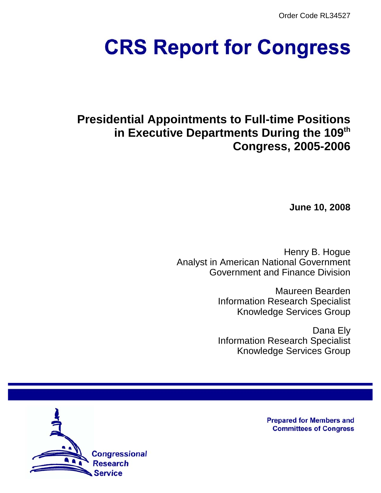Order Code RL34527

# **CRS Report for Congress**

# **Presidential Appointments to Full-time Positions in Executive Departments During the 109th Congress, 2005-2006**

**June 10, 2008**

Henry B. Hogue Analyst in American National Government Government and Finance Division

> Maureen Bearden Information Research Specialist Knowledge Services Group

> Dana Ely Information Research Specialist Knowledge Services Group



**Prepared for Members and Committees of Congress**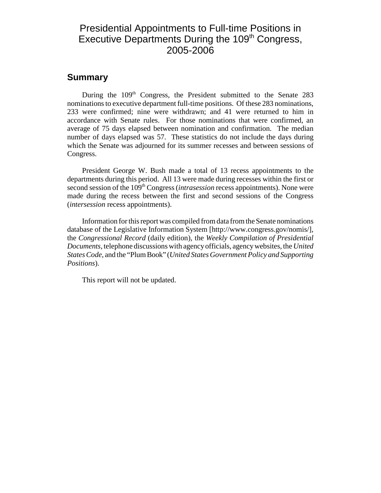# Presidential Appointments to Full-time Positions in Executive Departments During the 109<sup>th</sup> Congress, 2005-2006

### **Summary**

During the 109<sup>th</sup> Congress, the President submitted to the Senate 283 nominations to executive department full-time positions. Of these 283 nominations, 233 were confirmed; nine were withdrawn; and 41 were returned to him in accordance with Senate rules. For those nominations that were confirmed, an average of 75 days elapsed between nomination and confirmation. The median number of days elapsed was 57. These statistics do not include the days during which the Senate was adjourned for its summer recesses and between sessions of Congress.

President George W. Bush made a total of 13 recess appointments to the departments during this period. All 13 were made during recesses within the first or second session of the 109<sup>th</sup> Congress *(intrasession* recess appointments). None were made during the recess between the first and second sessions of the Congress (*intersession* recess appointments).

Information for this report was compiled from data from the Senate nominations database of the Legislative Information System [http://www.congress.gov/nomis/], the *Congressional Record* (daily edition), the *Weekly Compilation of Presidential Documents*, telephone discussions with agency officials, agency websites, the *United States Code*, and the "Plum Book" (*United States Government Policy and Supporting Positions*).

This report will not be updated.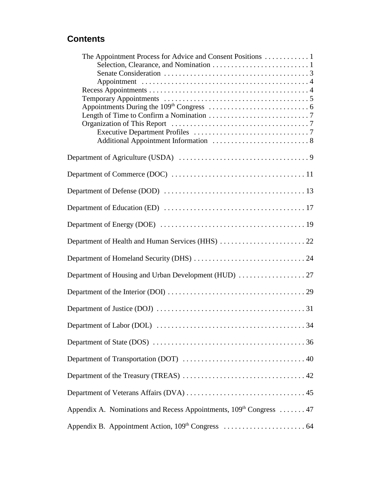# **Contents**

| Length of Time to Confirm a Nomination $\ldots \ldots \ldots \ldots \ldots \ldots \ldots \ldots$                       |
|------------------------------------------------------------------------------------------------------------------------|
|                                                                                                                        |
|                                                                                                                        |
|                                                                                                                        |
|                                                                                                                        |
|                                                                                                                        |
|                                                                                                                        |
|                                                                                                                        |
|                                                                                                                        |
|                                                                                                                        |
|                                                                                                                        |
|                                                                                                                        |
|                                                                                                                        |
|                                                                                                                        |
| Department of Labor (DOL) $\ldots \ldots \ldots \ldots \ldots \ldots \ldots \ldots \ldots \ldots \ldots \ldots \ldots$ |
|                                                                                                                        |
|                                                                                                                        |
|                                                                                                                        |
|                                                                                                                        |
| Appendix A. Nominations and Recess Appointments, 109 <sup>th</sup> Congress  47                                        |
|                                                                                                                        |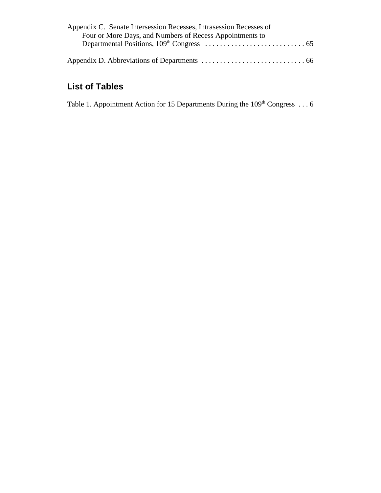| Appendix C. Senate Intersession Recesses, Intrasession Recesses of |  |
|--------------------------------------------------------------------|--|
| Four or More Days, and Numbers of Recess Appointments to           |  |
|                                                                    |  |
|                                                                    |  |
|                                                                    |  |

# **List of Tables**

Table 1. Appointment Action for 15 Departments During the  $109<sup>th</sup> Congress ... 6$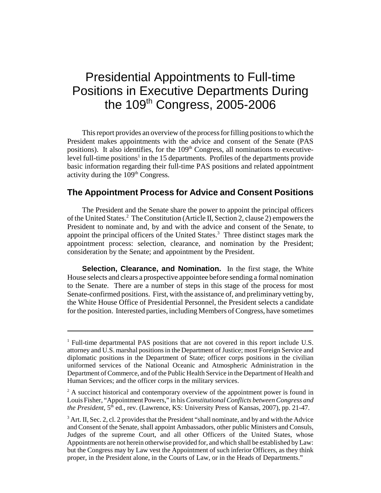# Presidential Appointments to Full-time Positions in Executive Departments During the 109th Congress, 2005-2006

This report provides an overview of the process for filling positions to which the President makes appointments with the advice and consent of the Senate (PAS positions). It also identifies, for the 109<sup>th</sup> Congress, all nominations to executivelevel full-time positions<sup>1</sup> in the 15 departments. Profiles of the departments provide basic information regarding their full-time PAS positions and related appointment activity during the 109<sup>th</sup> Congress.

### **The Appointment Process for Advice and Consent Positions**

The President and the Senate share the power to appoint the principal officers of the United States.<sup>2</sup> The Constitution (Article II, Section 2, clause 2) empowers the President to nominate and, by and with the advice and consent of the Senate, to appoint the principal officers of the United States.<sup>3</sup> Three distinct stages mark the appointment process: selection, clearance, and nomination by the President; consideration by the Senate; and appointment by the President.

**Selection, Clearance, and Nomination.** In the first stage, the White House selects and clears a prospective appointee before sending a formal nomination to the Senate. There are a number of steps in this stage of the process for most Senate-confirmed positions. First, with the assistance of, and preliminary vetting by, the White House Office of Presidential Personnel, the President selects a candidate for the position. Interested parties, including Members of Congress, have sometimes

<sup>&</sup>lt;sup>1</sup> Full-time departmental PAS positions that are not covered in this report include U.S. attorney and U.S. marshal positions in the Department of Justice; most Foreign Service and diplomatic positions in the Department of State; officer corps positions in the civilian uniformed services of the National Oceanic and Atmospheric Administration in the Department of Commerce, and of the Public Health Service in the Department of Health and Human Services; and the officer corps in the military services.

 $2<sup>2</sup>$  A succinct historical and contemporary overview of the appointment power is found in Louis Fisher, "Appointment Powers," in his *Constitutional Conflicts between Congress and the President,*  $5<sup>th</sup>$  ed., rev. (Lawrence, KS: University Press of Kansas, 2007), pp. 21-47.

 $3$  Art. II, Sec. 2, cl. 2 provides that the President "shall nominate, and by and with the Advice and Consent of the Senate, shall appoint Ambassadors, other public Ministers and Consuls, Judges of the supreme Court, and all other Officers of the United States, whose Appointments are not herein otherwise provided for, and which shall be established by Law: but the Congress may by Law vest the Appointment of such inferior Officers, as they think proper, in the President alone, in the Courts of Law, or in the Heads of Departments."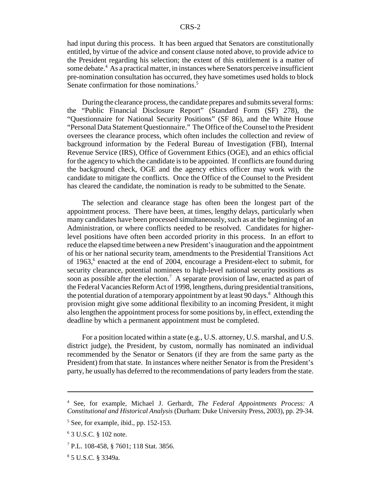had input during this process. It has been argued that Senators are constitutionally entitled, by virtue of the advice and consent clause noted above, to provide advice to the President regarding his selection; the extent of this entitlement is a matter of some debate.<sup>4</sup> As a practical matter, in instances where Senators perceive insufficient pre-nomination consultation has occurred, they have sometimes used holds to block Senate confirmation for those nominations.<sup>5</sup>

During the clearance process, the candidate prepares and submits several forms: the "Public Financial Disclosure Report" (Standard Form (SF) 278), the "Questionnaire for National Security Positions" (SF 86), and the White House "Personal Data Statement Questionnaire." The Office of the Counsel to the President oversees the clearance process, which often includes the collection and review of background information by the Federal Bureau of Investigation (FBI), Internal Revenue Service (IRS), Office of Government Ethics (OGE), and an ethics official for the agency to which the candidate is to be appointed. If conflicts are found during the background check, OGE and the agency ethics officer may work with the candidate to mitigate the conflicts. Once the Office of the Counsel to the President has cleared the candidate, the nomination is ready to be submitted to the Senate.

The selection and clearance stage has often been the longest part of the appointment process. There have been, at times, lengthy delays, particularly when many candidates have been processed simultaneously, such as at the beginning of an Administration, or where conflicts needed to be resolved. Candidates for higherlevel positions have often been accorded priority in this process. In an effort to reduce the elapsed time between a new President's inauguration and the appointment of his or her national security team, amendments to the Presidential Transitions Act of 1963,<sup>6</sup> enacted at the end of 2004, encourage a President-elect to submit, for security clearance, potential nominees to high-level national security positions as soon as possible after the election.<sup>7</sup> A separate provision of law, enacted as part of the Federal Vacancies Reform Act of 1998, lengthens, during presidential transitions, the potential duration of a temporary appointment by at least 90 days.<sup>8</sup> Although this provision might give some additional flexibility to an incoming President, it might also lengthen the appointment process for some positions by, in effect, extending the deadline by which a permanent appointment must be completed.

For a position located within a state (e.g., U.S. attorney, U.S. marshal, and U.S. district judge), the President, by custom, normally has nominated an individual recommended by the Senator or Senators (if they are from the same party as the President) from that state. In instances where neither Senator is from the President's party, he usually has deferred to the recommendations of party leaders from the state.

<sup>4</sup> See, for example, Michael J. Gerhardt, *The Federal Appointments Process: A Constitutional and Historical Analysis* (Durham: Duke University Press, 2003), pp. 29-34.

<sup>5</sup> See, for example, ibid., pp. 152-153.

<sup>6</sup> 3 U.S.C. § 102 note.

<sup>7</sup> P.L. 108-458, § 7601; 118 Stat. 3856.

<sup>8</sup> 5 U.S.C. § 3349a.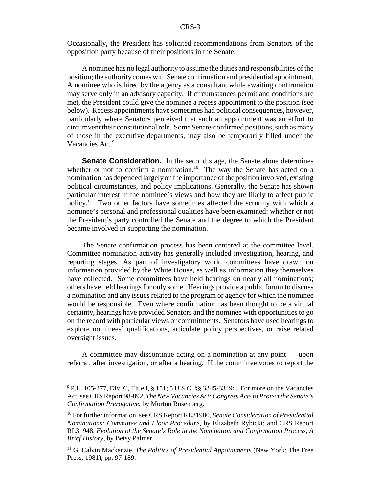Occasionally, the President has solicited recommendations from Senators of the opposition party because of their positions in the Senate.

A nominee has no legal authority to assume the duties and responsibilities of the position; the authority comes with Senate confirmation and presidential appointment. A nominee who is hired by the agency as a consultant while awaiting confirmation may serve only in an advisory capacity. If circumstances permit and conditions are met, the President could give the nominee a recess appointment to the position (see below). Recess appointments have sometimes had political consequences, however, particularly where Senators perceived that such an appointment was an effort to circumvent their constitutional role. Some Senate-confirmed positions, such as many of those in the executive departments, may also be temporarily filled under the Vacancies Act.<sup>9</sup>

**Senate Consideration.** In the second stage, the Senate alone determines whether or not to confirm a nomination.<sup>10</sup> The way the Senate has acted on a nomination has depended largely on the importance of the position involved, existing political circumstances, and policy implications. Generally, the Senate has shown particular interest in the nominee's views and how they are likely to affect public policy.11 Two other factors have sometimes affected the scrutiny with which a nominee's personal and professional qualities have been examined: whether or not the President's party controlled the Senate and the degree to which the President became involved in supporting the nomination.

The Senate confirmation process has been centered at the committee level. Committee nomination activity has generally included investigation, hearing, and reporting stages. As part of investigatory work, committees have drawn on information provided by the White House, as well as information they themselves have collected. Some committees have held hearings on nearly all nominations; others have held hearings for only some. Hearings provide a public forum to discuss a nomination and any issues related to the program or agency for which the nominee would be responsible. Even where confirmation has been thought to be a virtual certainty, hearings have provided Senators and the nominee with opportunities to go on the record with particular views or commitments. Senators have used hearings to explore nominees' qualifications, articulate policy perspectives, or raise related oversight issues.

A committee may discontinue acting on a nomination at any point — upon referral, after investigation, or after a hearing. If the committee votes to report the

<sup>&</sup>lt;sup>9</sup> P.L. 105-277, Div. C, Title I, § 151; 5 U.S.C. §§ 3345-3349d. For more on the Vacancies Act, see CRS Report 98-892, *The New Vacancies Act: Congress Acts to Protect the Senate's Confirmation Prerogative*, by Morton Rosenberg.

<sup>10</sup> For further information, see CRS Report RL31980, *Senate Consideration of Presidential Nominations: Committee and Floor Procedure*, by Elizabeth Rybicki; and CRS Report RL31948, *Evolution of the Senate's Role in the Nomination and Confirmation Process, A Brief History*, by Betsy Palmer.

<sup>&</sup>lt;sup>11</sup> G. Calvin Mackenzie, *The Politics of Presidential Appointments* (New York: The Free Press, 1981), pp. 97-189.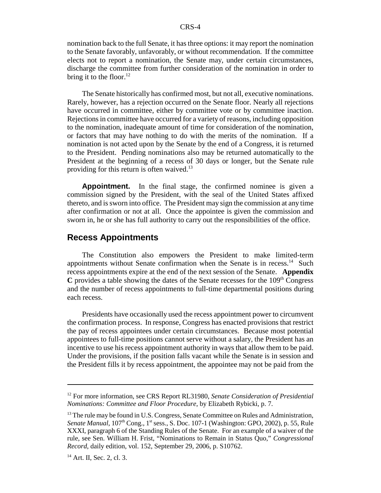nomination back to the full Senate, it has three options: it may report the nomination to the Senate favorably, unfavorably, or without recommendation. If the committee elects not to report a nomination, the Senate may, under certain circumstances, discharge the committee from further consideration of the nomination in order to bring it to the floor. $12$ 

The Senate historically has confirmed most, but not all, executive nominations. Rarely, however, has a rejection occurred on the Senate floor. Nearly all rejections have occurred in committee, either by committee vote or by committee inaction. Rejections in committee have occurred for a variety of reasons, including opposition to the nomination, inadequate amount of time for consideration of the nomination, or factors that may have nothing to do with the merits of the nomination. If a nomination is not acted upon by the Senate by the end of a Congress, it is returned to the President. Pending nominations also may be returned automatically to the President at the beginning of a recess of 30 days or longer, but the Senate rule providing for this return is often waived.<sup>13</sup>

**Appointment.** In the final stage, the confirmed nominee is given a commission signed by the President, with the seal of the United States affixed thereto, and is sworn into office. The President may sign the commission at any time after confirmation or not at all. Once the appointee is given the commission and sworn in, he or she has full authority to carry out the responsibilities of the office.

#### **Recess Appointments**

The Constitution also empowers the President to make limited-term appointments without Senate confirmation when the Senate is in recess.<sup>14</sup> Such recess appointments expire at the end of the next session of the Senate. **Appendix C** provides a table showing the dates of the Senate recesses for the  $109<sup>th</sup>$  Congress and the number of recess appointments to full-time departmental positions during each recess.

Presidents have occasionally used the recess appointment power to circumvent the confirmation process. In response, Congress has enacted provisions that restrict the pay of recess appointees under certain circumstances. Because most potential appointees to full-time positions cannot serve without a salary, the President has an incentive to use his recess appointment authority in ways that allow them to be paid. Under the provisions, if the position falls vacant while the Senate is in session and the President fills it by recess appointment, the appointee may not be paid from the

<sup>12</sup> For more information, see CRS Report RL31980, *Senate Consideration of Presidential Nominations: Committee and Floor Procedure*, by Elizabeth Rybicki, p. 7.

 $<sup>13</sup>$  The rule may be found in U.S. Congress, Senate Committee on Rules and Administration,</sup> Senate Manual, 107<sup>th</sup> Cong., 1<sup>st</sup> sess., S. Doc. 107-1 (Washington: GPO, 2002), p. 55, Rule XXXI, paragraph 6 of the Standing Rules of the Senate. For an example of a waiver of the rule, see Sen. William H. Frist, "Nominations to Remain in Status Quo," *Congressional Record*, daily edition, vol. 152, September 29, 2006, p. S10762.

<sup>&</sup>lt;sup>14</sup> Art. II, Sec. 2, cl. 3.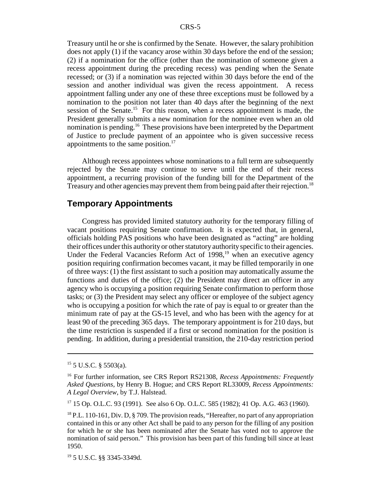Treasury until he or she is confirmed by the Senate. However, the salary prohibition does not apply (1) if the vacancy arose within 30 days before the end of the session; (2) if a nomination for the office (other than the nomination of someone given a recess appointment during the preceding recess) was pending when the Senate recessed; or (3) if a nomination was rejected within 30 days before the end of the session and another individual was given the recess appointment. A recess appointment falling under any one of these three exceptions must be followed by a nomination to the position not later than 40 days after the beginning of the next session of the Senate.<sup>15</sup> For this reason, when a recess appointment is made, the President generally submits a new nomination for the nominee even when an old nomination is pending.<sup>16</sup> These provisions have been interpreted by the Department of Justice to preclude payment of an appointee who is given successive recess appointments to the same position. $17$ 

Although recess appointees whose nominations to a full term are subsequently rejected by the Senate may continue to serve until the end of their recess appointment, a recurring provision of the funding bill for the Department of the Treasury and other agencies may prevent them from being paid after their rejection.<sup>18</sup>

### **Temporary Appointments**

Congress has provided limited statutory authority for the temporary filling of vacant positions requiring Senate confirmation. It is expected that, in general, officials holding PAS positions who have been designated as "acting" are holding their offices under this authority or other statutory authority specific to their agencies. Under the Federal Vacancies Reform Act of  $1998$ ,<sup>19</sup> when an executive agency position requiring confirmation becomes vacant, it may be filled temporarily in one of three ways: (1) the first assistant to such a position may automatically assume the functions and duties of the office; (2) the President may direct an officer in any agency who is occupying a position requiring Senate confirmation to perform those tasks; or (3) the President may select any officer or employee of the subject agency who is occupying a position for which the rate of pay is equal to or greater than the minimum rate of pay at the GS-15 level, and who has been with the agency for at least 90 of the preceding 365 days. The temporary appointment is for 210 days, but the time restriction is suspended if a first or second nomination for the position is pending. In addition, during a presidential transition, the 210-day restriction period

 $15$  5 U.S.C. § 5503(a).

<sup>16</sup> For further information, see CRS Report RS21308, *Recess Appointments: Frequently Asked Questions*, by Henry B. Hogue; and CRS Report RL33009, *Recess Appointments: A Legal Overview*, by T.J. Halstead.

 $17$  15 Op. O.L.C. 93 (1991). See also 6 Op. O.L.C. 585 (1982); 41 Op. A.G. 463 (1960).

 $^{18}$  P.L. 110-161, Div. D,  $\S$  709. The provision reads, "Hereafter, no part of any appropriation contained in this or any other Act shall be paid to any person for the filling of any position for which he or she has been nominated after the Senate has voted not to approve the nomination of said person." This provision has been part of this funding bill since at least 1950.

<sup>19 5</sup> U.S.C. §§ 3345-3349d.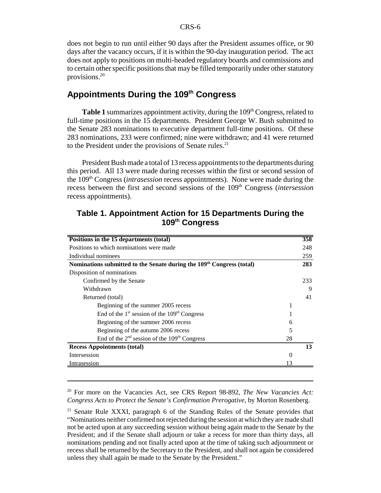does not begin to run until either 90 days after the President assumes office, or 90 days after the vacancy occurs, if it is within the 90-day inauguration period. The act does not apply to positions on multi-headed regulatory boards and commissions and to certain other specific positions that may be filled temporarily under other statutory provisions.20

# Appointments During the 109<sup>th</sup> Congress

**Table 1** summarizes appointment activity, during the 109<sup>th</sup> Congress, related to full-time positions in the 15 departments. President George W. Bush submitted to the Senate 283 nominations to executive department full-time positions. Of these 283 nominations, 233 were confirmed; nine were withdrawn; and 41 were returned to the President under the provisions of Senate rules. $^{21}$ 

President Bush made a total of 13 recess appointments to the departments during this period. All 13 were made during recesses within the first or second session of the 109th Congress (*intrasession* recess appointments). None were made during the recess between the first and second sessions of the 109th Congress (*intersession* recess appointments).

| Positions in the 15 departments (total)                                           |          | 358 |
|-----------------------------------------------------------------------------------|----------|-----|
| Positions to which nominations were made                                          |          | 248 |
| Individual nominees                                                               |          | 259 |
| Nominations submitted to the Senate during the 109 <sup>th</sup> Congress (total) |          | 283 |
| Disposition of nominations                                                        |          |     |
| Confirmed by the Senate                                                           |          | 233 |
| Withdrawn                                                                         |          | 9   |
| Returned (total)                                                                  |          | 41  |
| Beginning of the summer 2005 recess                                               |          |     |
| End of the $1st$ session of the $109th$ Congress                                  |          |     |
| Beginning of the summer 2006 recess                                               | 6        |     |
| Beginning of the autumn 2006 recess                                               | 5        |     |
| End of the $2nd$ session of the 109 <sup>th</sup> Congress                        | 28       |     |
| <b>Recess Appointments (total)</b>                                                |          | 13  |
| Intersession                                                                      | $\Omega$ |     |
| Intrasession                                                                      |          |     |

### **Table 1. Appointment Action for 15 Departments During the 109th Congress**

20 For more on the Vacancies Act, see CRS Report 98-892, *The New Vacancies Act: Congress Acts to Protect the Senate's Confirmation Prerogative*, by Morton Rosenberg.

<sup>&</sup>lt;sup>21</sup> Senate Rule XXXI, paragraph 6 of the Standing Rules of the Senate provides that "Nominations neither confirmed not rejected during the session at which they are made shall not be acted upon at any succeeding session without being again made to the Senate by the President; and if the Senate shall adjourn or take a recess for more than thirty days, all nominations pending and not finally acted upon at the time of taking such adjournment or recess shall be returned by the Secretary to the President, and shall not again be considered unless they shall again be made to the Senate by the President."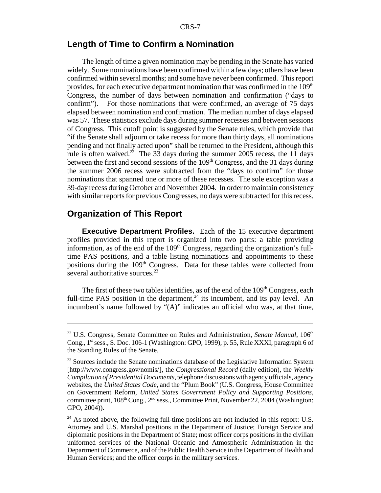#### **Length of Time to Confirm a Nomination**

The length of time a given nomination may be pending in the Senate has varied widely. Some nominations have been confirmed within a few days; others have been confirmed within several months; and some have never been confirmed. This report provides, for each executive department nomination that was confirmed in the 109<sup>th</sup> Congress, the number of days between nomination and confirmation ("days to confirm"). For those nominations that were confirmed, an average of 75 days elapsed between nomination and confirmation. The median number of days elapsed was 57. These statistics exclude days during summer recesses and between sessions of Congress. This cutoff point is suggested by the Senate rules, which provide that "if the Senate shall adjourn or take recess for more than thirty days, all nominations pending and not finally acted upon" shall be returned to the President, although this rule is often waived.<sup>22</sup> The 33 days during the summer 2005 recess, the 11 days between the first and second sessions of the 109<sup>th</sup> Congress, and the 31 days during the summer 2006 recess were subtracted from the "days to confirm" for those nominations that spanned one or more of these recesses. The sole exception was a 39-day recess during October and November 2004. In order to maintain consistency with similar reports for previous Congresses, no days were subtracted for this recess.

#### **Organization of This Report**

**Executive Department Profiles.** Each of the 15 executive department profiles provided in this report is organized into two parts: a table providing information, as of the end of the  $109<sup>th</sup>$  Congress, regarding the organization's fulltime PAS positions, and a table listing nominations and appointments to these positions during the 109<sup>th</sup> Congress. Data for these tables were collected from several authoritative sources.<sup>23</sup>

The first of these two tables identifies, as of the end of the  $109<sup>th</sup>$  Congress, each full-time PAS position in the department, $24$  its incumbent, and its pay level. An incumbent's name followed by "(A)" indicates an official who was, at that time,

<sup>&</sup>lt;sup>22</sup> U.S. Congress, Senate Committee on Rules and Administration, *Senate Manual*, 106<sup>th</sup> Cong., 1st sess., S. Doc. 106-1 (Washington: GPO, 1999), p. 55, Rule XXXI, paragraph 6 of the Standing Rules of the Senate.

 $23$  Sources include the Senate nominations database of the Legislative Information System [http://www.congress.gov/nomis/], the *Congressional Record* (daily edition), the *Weekly Compilation of Presidential Documents*, telephone discussions with agency officials, agency websites, the *United States Code*, and the "Plum Book" (U.S. Congress, House Committee on Government Reform, *United States Government Policy and Supporting Positions*, committee print, 108<sup>th</sup> Cong., 2<sup>nd</sup> sess., Committee Print, November 22, 2004 (Washington: GPO, 2004)).

 $24$  As noted above, the following full-time positions are not included in this report: U.S. Attorney and U.S. Marshal positions in the Department of Justice; Foreign Service and diplomatic positions in the Department of State; most officer corps positions in the civilian uniformed services of the National Oceanic and Atmospheric Administration in the Department of Commerce, and of the Public Health Service in the Department of Health and Human Services; and the officer corps in the military services.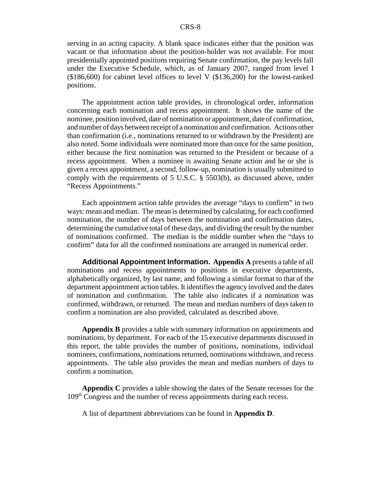serving in an acting capacity. A blank space indicates either that the position was vacant or that information about the position-holder was not available. For most presidentially appointed positions requiring Senate confirmation, the pay levels fall under the Executive Schedule, which, as of January 2007, ranged from level I (\$186,600) for cabinet level offices to level V (\$136,200) for the lowest-ranked positions.

The appointment action table provides, in chronological order, information concerning each nomination and recess appointment. It shows the name of the nominee, position involved, date of nomination or appointment, date of confirmation, and number of days between receipt of a nomination and confirmation. Actions other than confirmation (i.e., nominations returned to or withdrawn by the President) are also noted. Some individuals were nominated more than once for the same position, either because the first nomination was returned to the President or because of a recess appointment. When a nominee is awaiting Senate action and he or she is given a recess appointment, a second, follow-up, nomination is usually submitted to comply with the requirements of 5 U.S.C. § 5503(b), as discussed above, under "Recess Appointments."

Each appointment action table provides the average "days to confirm" in two ways: mean and median. The mean is determined by calculating, for each confirmed nomination, the number of days between the nomination and confirmation dates, determining the cumulative total of these days, and dividing the result by the number of nominations confirmed. The median is the middle number when the "days to confirm" data for all the confirmed nominations are arranged in numerical order.

**Additional Appointment Information. Appendix A** presents a table of all nominations and recess appointments to positions in executive departments, alphabetically organized, by last name, and following a similar format to that of the department appointment action tables. It identifies the agency involved and the dates of nomination and confirmation. The table also indicates if a nomination was confirmed, withdrawn, or returned. The mean and median numbers of days taken to confirm a nomination are also provided, calculated as described above.

**Appendix B** provides a table with summary information on appointments and nominations, by department. For each of the 15 executive departments discussed in this report, the table provides the number of positions, nominations, individual nominees, confirmations, nominations returned, nominations withdrawn, and recess appointments. The table also provides the mean and median numbers of days to confirm a nomination.

**Appendix C** provides a table showing the dates of the Senate recesses for the 109th Congress and the number of recess appointments during each recess.

A list of department abbreviations can be found in **Appendix D**.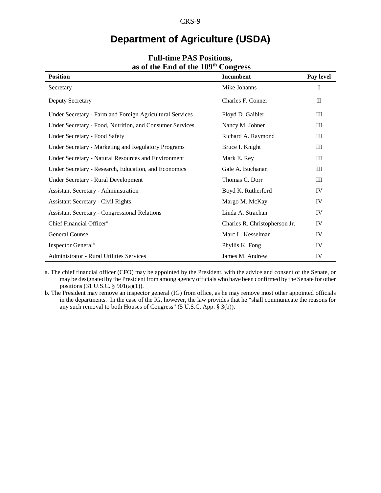# **Department of Agriculture (USDA)**

| as of the Ling of the 199                                | $\mathbf{C}$                  |             |
|----------------------------------------------------------|-------------------------------|-------------|
| <b>Position</b>                                          | Incumbent                     | Pay level   |
| Secretary                                                | Mike Johanns                  | I           |
| <b>Deputy Secretary</b>                                  | Charles F. Conner             | $_{\rm II}$ |
| Under Secretary - Farm and Foreign Agricultural Services | Floyd D. Gaibler              | III         |
| Under Secretary - Food, Nutrition, and Consumer Services | Nancy M. Johner               | III         |
| <b>Under Secretary - Food Safety</b>                     | Richard A. Raymond            | Ш           |
| Under Secretary - Marketing and Regulatory Programs      | Bruce I. Knight               | Ш           |
| Under Secretary - Natural Resources and Environment      | Mark E. Rey                   | Ш           |
| Under Secretary - Research, Education, and Economics     | Gale A. Buchanan              | III         |
| Under Secretary - Rural Development                      | Thomas C. Dorr                | Ш           |
| <b>Assistant Secretary - Administration</b>              | Boyd K. Rutherford            | IV          |
| <b>Assistant Secretary - Civil Rights</b>                | Margo M. McKay                | IV          |
| <b>Assistant Secretary - Congressional Relations</b>     | Linda A. Strachan             | IV          |
| Chief Financial Officer <sup>a</sup>                     | Charles R. Christopherson Jr. | IV          |
| <b>General Counsel</b>                                   | Marc L. Kesselman             | IV          |
| Inspector General <sup>b</sup>                           | Phyllis K. Fong               | IV          |
| <b>Administrator - Rural Utilities Services</b>          | James M. Andrew               | IV          |

#### **Full-time PAS Positions, as of the End of the 109th Congress**

a. The chief financial officer (CFO) may be appointed by the President, with the advice and consent of the Senate, or may be designated by the President from among agency officials who have been confirmed by the Senate for other positions (31 U.S.C. § 901(a)(1)).

b. The President may remove an inspector general (IG) from office, as he may remove most other appointed officials in the departments. In the case of the IG, however, the law provides that he "shall communicate the reasons for any such removal to both Houses of Congress" (5 U.S.C. App. § 3(b)).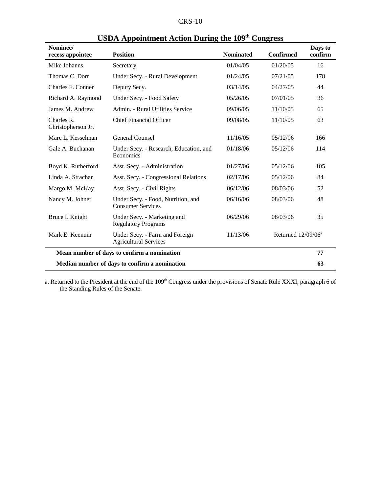| Nominee/<br>recess appointee                  | <b>Position</b>                                                | <b>Nominated</b> | <b>Confirmed</b>               | Days to<br>confirm |
|-----------------------------------------------|----------------------------------------------------------------|------------------|--------------------------------|--------------------|
| Mike Johanns                                  | Secretary                                                      | 01/04/05         | 01/20/05                       | 16                 |
| Thomas C. Dorr                                | Under Secy. - Rural Development                                | 01/24/05         | 07/21/05                       | 178                |
| Charles F. Conner                             | Deputy Secy.                                                   | 03/14/05         | 04/27/05                       | 44                 |
| Richard A. Raymond                            | Under Secy. - Food Safety                                      | 05/26/05         | 07/01/05                       | 36                 |
| James M. Andrew                               | Admin. - Rural Utilities Service                               | 09/06/05         | 11/10/05                       | 65                 |
| Charles R.<br>Christopherson Jr.              | <b>Chief Financial Officer</b>                                 | 09/08/05         | 11/10/05                       | 63                 |
| Marc L. Kesselman                             | General Counsel                                                | 11/16/05         | 05/12/06                       | 166                |
| Gale A. Buchanan                              | Under Secy. - Research, Education, and<br>Economics            | 01/18/06         | 05/12/06                       | 114                |
| Boyd K. Rutherford                            | Asst. Secy. - Administration                                   | 01/27/06         | 05/12/06                       | 105                |
| Linda A. Strachan                             | Asst. Secy. - Congressional Relations                          | 02/17/06         | 05/12/06                       | 84                 |
| Margo M. McKay                                | Asst. Secy. - Civil Rights                                     | 06/12/06         | 08/03/06                       | 52                 |
| Nancy M. Johner                               | Under Secy. - Food, Nutrition, and<br><b>Consumer Services</b> | 06/16/06         | 08/03/06                       | 48                 |
| Bruce I. Knight                               | Under Secy. - Marketing and<br><b>Regulatory Programs</b>      | 06/29/06         | 08/03/06                       | 35                 |
| Mark E. Keenum                                | Under Secy. - Farm and Foreign<br><b>Agricultural Services</b> | 11/13/06         | Returned 12/09/06 <sup>a</sup> |                    |
|                                               | Mean number of days to confirm a nomination                    |                  |                                | 77                 |
| Median number of days to confirm a nomination |                                                                |                  | 63                             |                    |

# **USDA Appointment Action During the 109th Congress**

a. Returned to the President at the end of the 109<sup>th</sup> Congress under the provisions of Senate Rule XXXI, paragraph 6 of the Standing Rules of the Senate.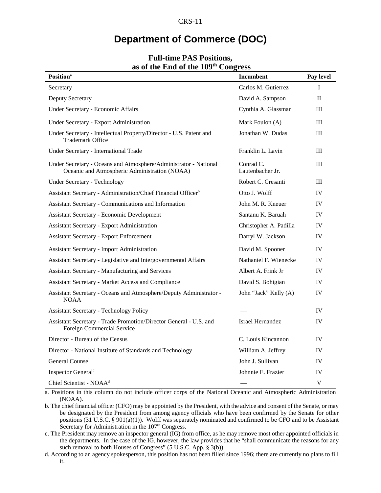# **Department of Commerce (DOC)**

| <b>Position</b> <sup>a</sup>                                                                                      | <b>Incumbent</b>              | Pay level    |
|-------------------------------------------------------------------------------------------------------------------|-------------------------------|--------------|
| Secretary                                                                                                         | Carlos M. Gutierrez           | I            |
| Deputy Secretary                                                                                                  | David A. Sampson              | $\mathbf{I}$ |
| Under Secretary - Economic Affairs                                                                                | Cynthia A. Glassman           | Ш            |
| Under Secretary - Export Administration                                                                           | Mark Foulon (A)               | III          |
| Under Secretary - Intellectual Property/Director - U.S. Patent and<br><b>Trademark Office</b>                     | Jonathan W. Dudas             | Ш            |
| Under Secretary - International Trade                                                                             | Franklin L. Lavin             | Ш            |
| Under Secretary - Oceans and Atmosphere/Administrator - National<br>Oceanic and Atmospheric Administration (NOAA) | Conrad C.<br>Lautenbacher Jr. | Ш            |
| <b>Under Secretary - Technology</b>                                                                               | Robert C. Cresanti            | Ш            |
| Assistant Secretary - Administration/Chief Financial Officer <sup>b</sup>                                         | Otto J. Wolff                 | IV           |
| Assistant Secretary - Communications and Information                                                              | John M. R. Kneuer             | IV           |
| <b>Assistant Secretary - Economic Development</b>                                                                 | Santanu K. Baruah             | IV           |
| <b>Assistant Secretary - Export Administration</b>                                                                | Christopher A. Padilla        | IV           |
| <b>Assistant Secretary - Export Enforcement</b>                                                                   | Darryl W. Jackson             | IV           |
| Assistant Secretary - Import Administration                                                                       | David M. Spooner              | IV           |
| Assistant Secretary - Legislative and Intergovernmental Affairs                                                   | Nathaniel F. Wienecke         | IV           |
| <b>Assistant Secretary - Manufacturing and Services</b>                                                           | Albert A. Frink Jr            | IV           |
| Assistant Secretary - Market Access and Compliance                                                                | David S. Bohigian             | IV           |
| Assistant Secretary - Oceans and Atmosphere/Deputy Administrator -<br><b>NOAA</b>                                 | John "Jack" Kelly (A)         | IV           |
| <b>Assistant Secretary - Technology Policy</b>                                                                    |                               | IV           |
| Assistant Secretary - Trade Promotion/Director General - U.S. and<br>Foreign Commercial Service                   | <b>Israel Hernandez</b>       | IV           |
| Director - Bureau of the Census                                                                                   | C. Louis Kincannon            | IV           |
| Director - National Institute of Standards and Technology                                                         | William A. Jeffrey            | IV           |
| <b>General Counsel</b>                                                                                            | John J. Sullivan              | IV           |
| Inspector General <sup>c</sup>                                                                                    | Johnnie E. Frazier            | <b>IV</b>    |
| Chief Scientist - NOAA <sup>d</sup>                                                                               |                               | V            |

#### **Full-time PAS Positions, as of the End of the 109th Congress**

a. Positions in this column do not include officer corps of the National Oceanic and Atmospheric Administration (NOAA).

b. The chief financial officer (CFO) may be appointed by the President, with the advice and consent of the Senate, or may be designated by the President from among agency officials who have been confirmed by the Senate for other positions (31 U.S.C. § 901(a)(1)). Wolff was separately nominated and confirmed to be CFO and to be Assistant Secretary for Administration in the 107<sup>th</sup> Congress.

c. The President may remove an inspector general (IG) from office, as he may remove most other appointed officials in the departments. In the case of the IG, however, the law provides that he "shall communicate the reasons for any such removal to both Houses of Congress" (5 U.S.C. App. § 3(b)).

d. According to an agency spokesperson, this position has not been filled since 1996; there are currently no plans to fill it.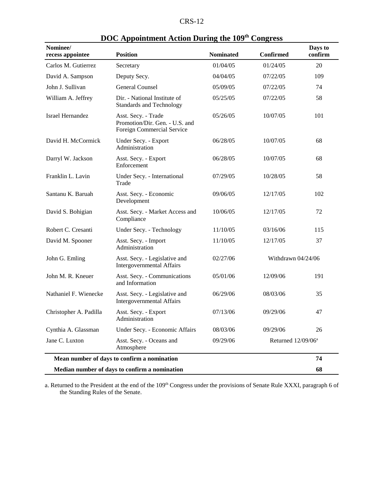| Nominee/<br>recess appointee                  | <b>Position</b>                                                                     | <b>Nominated</b> | <b>Confirmed</b>               | Days to<br>confirm |
|-----------------------------------------------|-------------------------------------------------------------------------------------|------------------|--------------------------------|--------------------|
| Carlos M. Gutierrez                           | Secretary                                                                           | 01/04/05         | 01/24/05                       | 20                 |
| David A. Sampson                              | Deputy Secy.                                                                        | 04/04/05         | 07/22/05                       | 109                |
| John J. Sullivan                              | <b>General Counsel</b>                                                              | 05/09/05         | 07/22/05                       | 74                 |
| William A. Jeffrey                            | Dir. - National Institute of<br><b>Standards and Technology</b>                     | 05/25/05         | 07/22/05                       | 58                 |
| <b>Israel Hernandez</b>                       | Asst. Secy. - Trade<br>Promotion/Dir. Gen. - U.S. and<br>Foreign Commercial Service | 05/26/05         | 10/07/05                       | 101                |
| David H. McCormick                            | Under Secy. - Export<br>Administration                                              | 06/28/05         | 10/07/05                       | 68                 |
| Darryl W. Jackson                             | Asst. Secy. - Export<br>Enforcement                                                 | 06/28/05         | 10/07/05                       | 68                 |
| Franklin L. Lavin                             | Under Secy. - International<br>Trade                                                | 07/29/05         | 10/28/05                       | 58                 |
| Santanu K. Baruah                             | Asst. Secy. - Economic<br>Development                                               | 09/06/05         | 12/17/05                       | 102                |
| David S. Bohigian                             | Asst. Secy. - Market Access and<br>Compliance                                       | 10/06/05         | 12/17/05                       | 72                 |
| Robert C. Cresanti                            | Under Secy. - Technology                                                            | 11/10/05         | 03/16/06                       | 115                |
| David M. Spooner                              | Asst. Secy. - Import<br>Administration                                              | 11/10/05         | 12/17/05                       | 37                 |
| John G. Emling                                | Asst. Secy. - Legislative and<br><b>Intergovernmental Affairs</b>                   | 02/27/06         | Withdrawn 04/24/06             |                    |
| John M. R. Kneuer                             | Asst. Secy. - Communications<br>and Information                                     | 05/01/06         | 12/09/06                       | 191                |
| Nathaniel F. Wienecke                         | Asst. Secy. - Legislative and<br><b>Intergovernmental Affairs</b>                   | 06/29/06         | 08/03/06                       | 35                 |
| Christopher A. Padilla                        | Asst. Secy. - Export<br>Administration                                              | 07/13/06         | 09/29/06                       | 47                 |
| Cynthia A. Glassman                           | Under Secy. - Economic Affairs                                                      | 08/03/06         | 09/29/06                       | 26                 |
| Jane C. Luxton                                | Asst. Secy. - Oceans and<br>Atmosphere                                              | 09/29/06         | Returned 12/09/06 <sup>a</sup> |                    |
|                                               | Mean number of days to confirm a nomination                                         |                  |                                | 74                 |
| Median number of days to confirm a nomination |                                                                                     |                  |                                | 68                 |

# **DOC Appointment Action During the 109th Congress**

a. Returned to the President at the end of the 109<sup>th</sup> Congress under the provisions of Senate Rule XXXI, paragraph 6 of the Standing Rules of the Senate.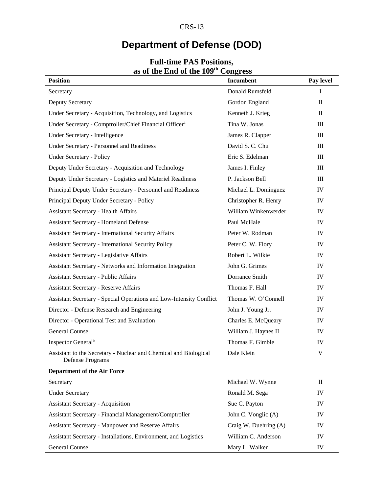# **Department of Defense (DOD)**

| as of the <b>Ema</b> of the 199                                                      | $\sim$ $\sim$ $\sim$ $\sim$ $\sim$ |                                  |
|--------------------------------------------------------------------------------------|------------------------------------|----------------------------------|
| <b>Position</b>                                                                      | <b>Incumbent</b>                   | Pay level                        |
| Secretary                                                                            | Donald Rumsfeld                    | $\bf{I}$                         |
| Deputy Secretary                                                                     | Gordon England                     | $\mathbf{I}$                     |
| Under Secretary - Acquisition, Technology, and Logistics                             | Kenneth J. Krieg                   | $\mathbf{I}$                     |
| Under Secretary - Comptroller/Chief Financial Officer <sup>a</sup>                   | Tina W. Jonas                      | $\rm III$                        |
| Under Secretary - Intelligence                                                       | James R. Clapper                   | $\rm III$                        |
| <b>Under Secretary - Personnel and Readiness</b>                                     | David S. C. Chu                    | $\rm III$                        |
| <b>Under Secretary - Policy</b>                                                      | Eric S. Edelman                    | $\mathop{\mathrm{III}}\nolimits$ |
| Deputy Under Secretary - Acquisition and Technology                                  | James I. Finley                    | $\rm III$                        |
| Deputy Under Secretary - Logistics and Materiel Readiness                            | P. Jackson Bell                    | $\rm III$                        |
| Principal Deputy Under Secretary - Personnel and Readiness                           | Michael L. Dominguez               | IV                               |
| Principal Deputy Under Secretary - Policy                                            | Christopher R. Henry               | IV                               |
| <b>Assistant Secretary - Health Affairs</b>                                          | William Winkenwerder               | IV                               |
| <b>Assistant Secretary - Homeland Defense</b>                                        | Paul McHale                        | IV                               |
| <b>Assistant Secretary - International Security Affairs</b>                          | Peter W. Rodman                    | IV                               |
| <b>Assistant Secretary - International Security Policy</b>                           | Peter C. W. Flory                  | IV                               |
| <b>Assistant Secretary - Legislative Affairs</b>                                     | Robert L. Wilkie                   | IV                               |
| Assistant Secretary - Networks and Information Integration                           | John G. Grimes                     | IV                               |
| <b>Assistant Secretary - Public Affairs</b>                                          | Dorrance Smith                     | IV                               |
| <b>Assistant Secretary - Reserve Affairs</b>                                         | Thomas F. Hall                     | IV                               |
| Assistant Secretary - Special Operations and Low-Intensity Conflict                  | Thomas W. O'Connell                | IV                               |
| Director - Defense Research and Engineering                                          | John J. Young Jr.                  | IV                               |
| Director - Operational Test and Evaluation                                           | Charles E. McQueary                | IV                               |
| <b>General Counsel</b>                                                               | William J. Haynes II               | IV                               |
| Inspector General <sup>b</sup>                                                       | Thomas F. Gimble                   | IV                               |
| Assistant to the Secretary - Nuclear and Chemical and Biological<br>Defense Programs | Dale Klein                         | $\mathbf V$                      |
| <b>Department of the Air Force</b>                                                   |                                    |                                  |
| Secretary                                                                            | Michael W. Wynne                   | $\mathbf{I}$                     |
| <b>Under Secretary</b>                                                               | Ronald M. Sega                     | IV                               |
| <b>Assistant Secretary - Acquisition</b>                                             | Sue C. Payton                      | IV                               |
| Assistant Secretary - Financial Management/Comptroller                               | John C. Vonglic (A)                | IV                               |
| Assistant Secretary - Manpower and Reserve Affairs                                   | Craig W. Duehring (A)              | IV                               |
| Assistant Secretary - Installations, Environment, and Logistics                      | William C. Anderson                | IV                               |
| <b>General Counsel</b>                                                               | Mary L. Walker                     | IV                               |

#### **Full-time PAS Positions, as of the End of the 109th Congress**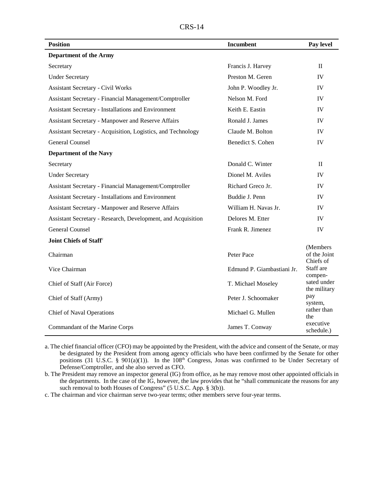| P C<br>AN 3- |  | 4 |
|--------------|--|---|
|--------------|--|---|

| <b>Position</b>                                              | Incumbent                  | Pay level                             |
|--------------------------------------------------------------|----------------------------|---------------------------------------|
| <b>Department of the Army</b>                                |                            |                                       |
| Secretary                                                    | Francis J. Harvey          | $\mathbf{H}$                          |
| <b>Under Secretary</b>                                       | Preston M. Geren           | IV                                    |
| <b>Assistant Secretary - Civil Works</b>                     | John P. Woodley Jr.        | IV                                    |
| Assistant Secretary - Financial Management/Comptroller       | Nelson M. Ford             | IV                                    |
| <b>Assistant Secretary - Installations and Environment</b>   | Keith E. Eastin            | IV                                    |
| <b>Assistant Secretary - Manpower and Reserve Affairs</b>    | Ronald J. James            | IV                                    |
| Assistant Secretary - Acquisition, Logistics, and Technology | Claude M. Bolton           | IV                                    |
| <b>General Counsel</b>                                       | Benedict S. Cohen          | <b>IV</b>                             |
| <b>Department of the Navy</b>                                |                            |                                       |
| Secretary                                                    | Donald C. Winter           | $\Pi$                                 |
| <b>Under Secretary</b>                                       | Dionel M. Aviles           | IV                                    |
| Assistant Secretary - Financial Management/Comptroller       | Richard Greco Jr.          | IV                                    |
| Assistant Secretary - Installations and Environment          | Buddie J. Penn             | IV                                    |
| Assistant Secretary - Manpower and Reserve Affairs           | William H. Navas Jr.       | IV                                    |
| Assistant Secretary - Research, Development, and Acquisition | Delores M. Etter           | IV                                    |
| <b>General Counsel</b>                                       | Frank R. Jimenez           | IV                                    |
| Joint Chiefs of Staff <sup>c</sup>                           |                            |                                       |
| Chairman                                                     | Peter Pace                 | (Members<br>of the Joint<br>Chiefs of |
| Vice Chairman                                                | Edmund P. Giambastiani Jr. | Staff are<br>compen-                  |
| Chief of Staff (Air Force)                                   | T. Michael Moseley         | sated under<br>the military           |
| Chief of Staff (Army)                                        | Peter J. Schoomaker        | pay<br>system,                        |
| <b>Chief of Naval Operations</b>                             | Michael G. Mullen          | rather than<br>the                    |
| Commandant of the Marine Corps                               | James T. Conway            | executive<br>schedule.)               |

a. The chief financial officer (CFO) may be appointed by the President, with the advice and consent of the Senate, or may be designated by the President from among agency officials who have been confirmed by the Senate for other positions (31 U.S.C. § 901(a)(1)). In the  $108<sup>th</sup>$  Congress, Jonas was confirmed to be Under Secretary of Defense/Comptroller, and she also served as CFO.

b. The President may remove an inspector general (IG) from office, as he may remove most other appointed officials in the departments. In the case of the IG, however, the law provides that he "shall communicate the reasons for any such removal to both Houses of Congress" (5 U.S.C. App. § 3(b)).

c. The chairman and vice chairman serve two-year terms; other members serve four-year terms.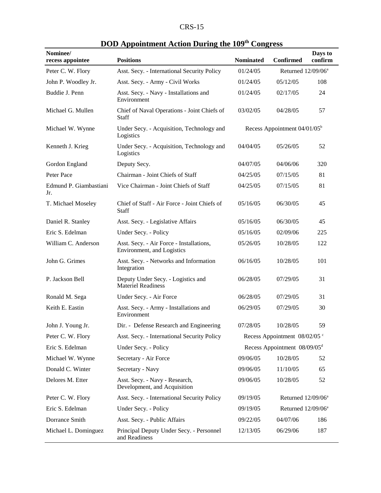| 'D C<br>- M. |  |
|--------------|--|
|--------------|--|

| Nominee/<br>recess appointee  | <b>Positions</b>                                                       | <b>Nominated</b>                           | Confirmed                                | Days to<br>confirm |
|-------------------------------|------------------------------------------------------------------------|--------------------------------------------|------------------------------------------|--------------------|
| Peter C. W. Flory             | Asst. Secy. - International Security Policy                            | 01/24/05                                   | Returned 12/09/06 <sup>a</sup>           |                    |
| John P. Woodley Jr.           | Asst. Secy. - Army - Civil Works                                       | 01/24/05                                   | 05/12/05                                 | 108                |
| Buddie J. Penn                | Asst. Secy. - Navy - Installations and<br>Environment                  | 01/24/05                                   | 02/17/05                                 | 24                 |
| Michael G. Mullen             | Chief of Naval Operations - Joint Chiefs of<br>Staff                   | 03/02/05                                   | 04/28/05                                 | 57                 |
| Michael W. Wynne              | Under Secy. - Acquisition, Technology and<br>Logistics                 |                                            | Recess Appointment 04/01/05 <sup>b</sup> |                    |
| Kenneth J. Krieg              | Under Secy. - Acquisition, Technology and<br>Logistics                 | 04/04/05                                   | 05/26/05                                 | 52                 |
| Gordon England                | Deputy Secy.                                                           | 04/07/05                                   | 04/06/06                                 | 320                |
| Peter Pace                    | Chairman - Joint Chiefs of Staff                                       | 04/25/05                                   | 07/15/05                                 | 81                 |
| Edmund P. Giambastiani<br>Jr. | Vice Chairman - Joint Chiefs of Staff                                  | 04/25/05                                   | 07/15/05                                 | 81                 |
| T. Michael Moseley            | Chief of Staff - Air Force - Joint Chiefs of<br><b>Staff</b>           | 05/16/05                                   | 06/30/05                                 | 45                 |
| Daniel R. Stanley             | Asst. Secy. - Legislative Affairs                                      | 05/16/05                                   | 06/30/05                                 | 45                 |
| Eric S. Edelman               | Under Secy. - Policy                                                   | 05/16/05                                   | 02/09/06                                 | 225                |
| William C. Anderson           | Asst. Secy. - Air Force - Installations,<br>Environment, and Logistics | 05/26/05                                   | 10/28/05                                 | 122                |
| John G. Grimes                | Asst. Secy. - Networks and Information<br>Integration                  | 06/16/05                                   | 10/28/05                                 | 101                |
| P. Jackson Bell               | Deputy Under Secy. - Logistics and<br><b>Materiel Readiness</b>        | 06/28/05                                   | 07/29/05                                 | 31                 |
| Ronald M. Sega                | Under Secy. - Air Force                                                | 06/28/05                                   | 07/29/05                                 | 31                 |
| Keith E. Eastin               | Asst. Secy. - Army - Installations and<br>Environment                  | 06/29/05                                   | 07/29/05                                 | 30                 |
| John J. Young Jr.             | Dir. - Defense Research and Engineering                                | 07/28/05                                   | 10/28/05                                 | 59                 |
| Peter C. W. Flory             | Asst. Secy. - International Security Policy                            |                                            | Recess Appointment 08/02/05 °            |                    |
| Eric S. Edelman               | Under Secy. - Policy                                                   |                                            | Recess Appointment $08/09/05d$           |                    |
| Michael W. Wynne              | Secretary - Air Force                                                  | 09/06/05                                   | 10/28/05                                 | 52                 |
| Donald C. Winter              | Secretary - Navy                                                       | 09/06/05                                   | 11/10/05                                 | 65                 |
| Delores M. Etter              | Asst. Secy. - Navy - Research,<br>Development, and Acquisition         | 09/06/05                                   | 10/28/05                                 | 52                 |
| Peter C. W. Flory             | Asst. Secy. - International Security Policy                            | 09/19/05<br>Returned 12/09/06 <sup>a</sup> |                                          |                    |
| Eric S. Edelman               | Under Secy. - Policy                                                   | 09/19/05                                   | Returned $12/09/06^a$                    |                    |
| Dorrance Smith                | Asst. Secy. - Public Affairs                                           | 09/22/05                                   | 04/07/06                                 | 186                |
| Michael L. Dominguez          | Principal Deputy Under Secy. - Personnel<br>and Readiness              | 12/13/05                                   | 06/29/06                                 | 187                |

# **DOD Appointment Action During the 109th Congress**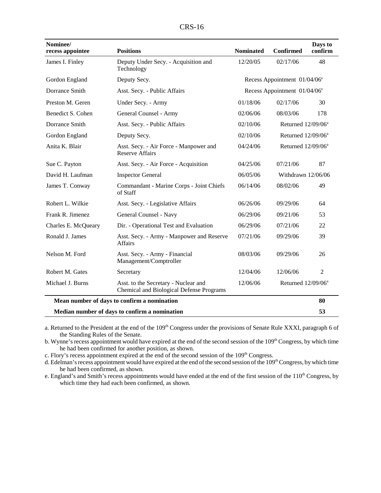| Nominee/            | <b>Positions</b>                                                                 | <b>Nominated</b> | <b>Confirmed</b>                         | Days to<br>confirm |
|---------------------|----------------------------------------------------------------------------------|------------------|------------------------------------------|--------------------|
| recess appointee    |                                                                                  |                  |                                          |                    |
| James I. Finley     | Deputy Under Secy. - Acquisition and<br>Technology                               | 12/20/05         | 02/17/06                                 | 48                 |
| Gordon England      | Deputy Secy.                                                                     |                  | Recess Appointment 01/04/06 <sup>e</sup> |                    |
| Dorrance Smith      | Asst. Secy. - Public Affairs                                                     |                  | Recess Appointment 01/04/06 <sup>e</sup> |                    |
| Preston M. Geren    | Under Secy. - Army                                                               | 01/18/06         | 02/17/06                                 | 30                 |
| Benedict S. Cohen   | General Counsel - Army                                                           | 02/06/06         | 08/03/06                                 | 178                |
| Dorrance Smith      | Asst. Secy. - Public Affairs                                                     | 02/10/06         | Returned 12/09/06 <sup>a</sup>           |                    |
| Gordon England      | Deputy Secy.                                                                     | 02/10/06         | Returned 12/09/06 <sup>a</sup>           |                    |
| Anita K. Blair      | Asst. Secy. - Air Force - Manpower and<br><b>Reserve Affairs</b>                 | 04/24/06         | Returned 12/09/06 <sup>a</sup>           |                    |
| Sue C. Payton       | Asst. Secy. - Air Force - Acquisition                                            | 04/25/06         | 07/21/06                                 | 87                 |
| David H. Laufman    | <b>Inspector General</b>                                                         | 06/05/06         | Withdrawn 12/06/06                       |                    |
| James T. Conway     | Commandant - Marine Corps - Joint Chiefs<br>of Staff                             | 06/14/06         | 08/02/06                                 | 49                 |
| Robert L. Wilkie    | Asst. Secy. - Legislative Affairs                                                | 06/26/06         | 09/29/06                                 | 64                 |
| Frank R. Jimenez    | General Counsel - Navy                                                           | 06/29/06         | 09/21/06                                 | 53                 |
| Charles E. McQueary | Dir. - Operational Test and Evaluation                                           | 06/29/06         | 07/21/06                                 | 22                 |
| Ronald J. James     | Asst. Secy. - Army - Manpower and Reserve<br>Affairs                             | 07/21/06         | 09/29/06                                 | 39                 |
| Nelson M. Ford      | Asst. Secy. - Army - Financial<br>Management/Comptroller                         | 08/03/06         | 09/29/06                                 | 26                 |
| Robert M. Gates     | Secretary                                                                        | 12/04/06         | 12/06/06                                 | $\overline{c}$     |
| Michael J. Burns    | Asst. to the Secretary - Nuclear and<br>Chemical and Biological Defense Programs | 12/06/06         | Returned 12/09/06 <sup>a</sup>           |                    |
|                     | Mean number of days to confirm a nomination                                      |                  |                                          | 80                 |

 **Median number of days to confirm a nomination 53**

a. Returned to the President at the end of the 109<sup>th</sup> Congress under the provisions of Senate Rule XXXI, paragraph 6 of the Standing Rules of the Senate.

b. Wynne's recess appointment would have expired at the end of the second session of the 109<sup>th</sup> Congress, by which time he had been confirmed for another position, as shown.

c. Flory's recess appointment expired at the end of the second session of the 109<sup>th</sup> Congress.

d. Edelman's recess appointment would have expired at the end of the second session of the 109<sup>th</sup> Congress, by which time he had been confirmed, as shown.

e. England's and Smith's recess appointments would have ended at the end of the first session of the 110<sup>th</sup> Congress, by which time they had each been confirmed, as shown.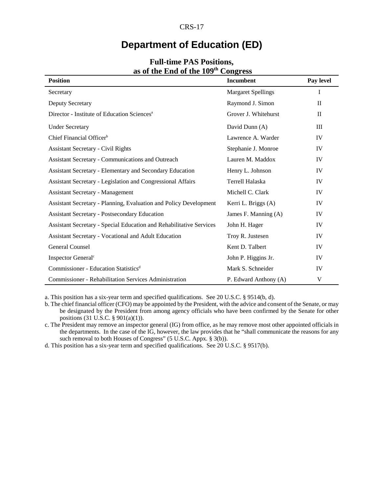# **Department of Education (ED)**

| <b>Position</b>                                                            | Incumbent                 | Pay level    |
|----------------------------------------------------------------------------|---------------------------|--------------|
| Secretary                                                                  | <b>Margaret Spellings</b> | I            |
| <b>Deputy Secretary</b>                                                    | Raymond J. Simon          | $\mathbf{I}$ |
| Director - Institute of Education Sciences <sup>a</sup>                    | Grover J. Whitehurst      | $\mathbf{I}$ |
| <b>Under Secretary</b>                                                     | David Dunn (A)            | Ш            |
| Chief Financial Officer <sup>b</sup>                                       | Lawrence A. Warder        | IV           |
| <b>Assistant Secretary - Civil Rights</b>                                  | Stephanie J. Monroe       | IV           |
| Assistant Secretary - Communications and Outreach                          | Lauren M. Maddox          | IV           |
| Assistant Secretary - Elementary and Secondary Education                   | Henry L. Johnson          | IV           |
| Assistant Secretary - Legislation and Congressional Affairs                | Terrell Halaska           | IV           |
| <b>Assistant Secretary - Management</b>                                    | Michell C. Clark          | IV           |
| Assistant Secretary - Planning, Evaluation and Policy Development          | Kerri L. Briggs (A)       | IV           |
| <b>Assistant Secretary - Postsecondary Education</b>                       | James F. Manning (A)      | IV           |
| <b>Assistant Secretary - Special Education and Rehabilitative Services</b> | John H. Hager             | IV           |
| Assistant Secretary - Vocational and Adult Education                       | Troy R. Justesen          | IV           |
| General Counsel                                                            | Kent D. Talbert           | IV           |
| Inspector General <sup>c</sup>                                             | John P. Higgins Jr.       | IV           |
| Commissioner - Education Statistics <sup>d</sup>                           | Mark S. Schneider         | IV           |
| <b>Commissioner - Rehabilitation Services Administration</b>               | P. Edward Anthony (A)     | V            |

#### **Full-time PAS Positions, as of the End of the 109th Congress**

a. This position has a six-year term and specified qualifications. See 20 U.S.C. § 9514(b, d).

b. The chief financial officer (CFO) may be appointed by the President, with the advice and consent of the Senate, or may be designated by the President from among agency officials who have been confirmed by the Senate for other positions (31 U.S.C. § 901(a)(1)).

c. The President may remove an inspector general (IG) from office, as he may remove most other appointed officials in the departments. In the case of the IG, however, the law provides that he "shall communicate the reasons for any such removal to both Houses of Congress" (5 U.S.C. Appx. § 3(b)).

d. This position has a six-year term and specified qualifications. See 20 U.S.C. § 9517(b).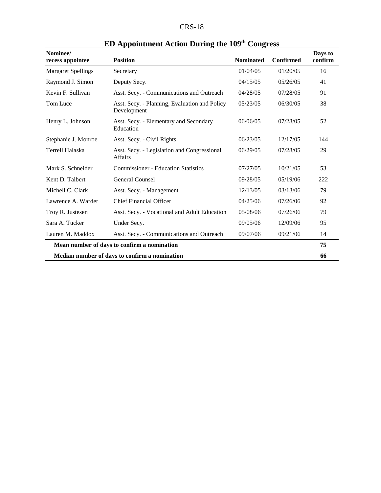| $CRS-18$ |  |
|----------|--|
|----------|--|

| Nominee/<br>recess appointee | <b>Position</b>                                               | <b>Nominated</b> | <b>Confirmed</b> | Days to<br>confirm |
|------------------------------|---------------------------------------------------------------|------------------|------------------|--------------------|
| <b>Margaret Spellings</b>    | Secretary                                                     | 01/04/05         | 01/20/05         | 16                 |
| Raymond J. Simon             | Deputy Secy.                                                  | 04/15/05         | 05/26/05         | 41                 |
| Kevin F. Sullivan            | Asst. Secy. - Communications and Outreach                     | 04/28/05         | 07/28/05         | 91                 |
| Tom Luce                     | Asst. Secy. - Planning, Evaluation and Policy<br>Development  | 05/23/05         | 06/30/05         | 38                 |
| Henry L. Johnson             | Asst. Secy. - Elementary and Secondary<br>Education           | 06/06/05         | 07/28/05         | 52                 |
| Stephanie J. Monroe          | Asst. Secy. - Civil Rights                                    | 06/23/05         | 12/17/05         | 144                |
| Terrell Halaska              | Asst. Secy. - Legislation and Congressional<br><b>Affairs</b> | 06/29/05         | 07/28/05         | 29                 |
| Mark S. Schneider            | <b>Commissioner - Education Statistics</b>                    | 07/27/05         | 10/21/05         | 53                 |
| Kent D. Talbert              | General Counsel                                               | 09/28/05         | 05/19/06         | 222                |
| Michell C. Clark             | Asst. Secy. - Management                                      | 12/13/05         | 03/13/06         | 79                 |
| Lawrence A. Warder           | <b>Chief Financial Officer</b>                                | 04/25/06         | 07/26/06         | 92                 |
| Troy R. Justesen             | Asst. Secy. - Vocational and Adult Education                  | 05/08/06         | 07/26/06         | 79                 |
| Sara A. Tucker               | Under Secy.                                                   | 09/05/06         | 12/09/06         | 95                 |
| Lauren M. Maddox             | Asst. Secy. - Communications and Outreach                     | 09/07/06         | 09/21/06         | 14                 |
|                              | Mean number of days to confirm a nomination                   |                  |                  | 75                 |
|                              | Median number of days to confirm a nomination                 |                  |                  | 66                 |

# **ED Appointment Action During the 109th Congress**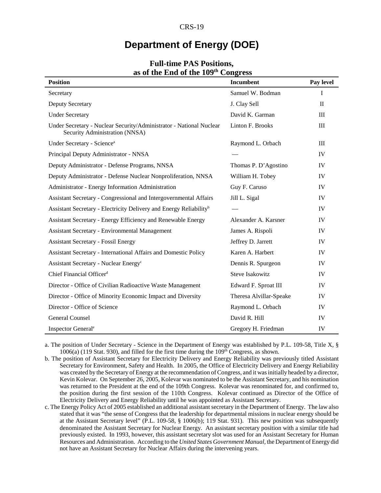# **Department of Energy (DOE)**

| <b>Position</b>                                                                                       | Incumbent               | Pay level    |
|-------------------------------------------------------------------------------------------------------|-------------------------|--------------|
|                                                                                                       |                         |              |
| Secretary                                                                                             | Samuel W. Bodman        | $\mathbf I$  |
| <b>Deputy Secretary</b>                                                                               | J. Clay Sell            | $\mathbf{I}$ |
| <b>Under Secretary</b>                                                                                | David K. Garman         | III          |
| Under Secretary - Nuclear Security/Administrator - National Nuclear<br>Security Administration (NNSA) | Linton F. Brooks        | III          |
| Under Secretary - Science <sup>a</sup>                                                                | Raymond L. Orbach       | Ш            |
| Principal Deputy Administrator - NNSA                                                                 |                         | IV           |
| Deputy Administrator - Defense Programs, NNSA                                                         | Thomas P. D'Agostino    | IV           |
| Deputy Administrator - Defense Nuclear Nonproliferation, NNSA                                         | William H. Tobey        | IV           |
| Administrator - Energy Information Administration                                                     | Guy F. Caruso           | IV           |
| Assistant Secretary - Congressional and Intergovernmental Affairs                                     | Jill L. Sigal           | IV           |
| Assistant Secretary - Electricity Delivery and Energy Reliability <sup>b</sup>                        |                         | IV           |
| Assistant Secretary - Energy Efficiency and Renewable Energy                                          | Alexander A. Karsner    | IV           |
| <b>Assistant Secretary - Environmental Management</b>                                                 | James A. Rispoli        | IV           |
| <b>Assistant Secretary - Fossil Energy</b>                                                            | Jeffrey D. Jarrett      | IV           |
| Assistant Secretary - International Affairs and Domestic Policy                                       | Karen A. Harbert        | IV           |
| Assistant Secretary - Nuclear Energy <sup>c</sup>                                                     | Dennis R. Spurgeon      | IV           |
| Chief Financial Officer <sup>d</sup>                                                                  | <b>Steve Isakowitz</b>  | IV           |
| Director - Office of Civilian Radioactive Waste Management                                            | Edward F. Sproat III    | IV           |
| Director - Office of Minority Economic Impact and Diversity                                           | Theresa Alvillar-Speake | IV           |
| Director - Office of Science                                                                          | Raymond L. Orbach       | IV           |
| <b>General Counsel</b>                                                                                | David R. Hill           | IV           |
| Inspector General <sup>e</sup>                                                                        | Gregory H. Friedman     | IV           |

#### **Full-time PAS Positions, as of the End of the 109th Congress**

a. The position of Under Secretary - Science in the Department of Energy was established by P.L. 109-58, Title X, §  $1006(a)$  (119 Stat. 930), and filled for the first time during the  $109<sup>th</sup>$  Congress, as shown.

b. The position of Assistant Secretary for Electricity Delivery and Energy Reliability was previously titled Assistant Secretary for Environment, Safety and Health. In 2005, the Office of Electricity Delivery and Energy Reliability was created by the Secretary of Energy at the recommendation of Congress, and it was initially headed by a director, Kevin Kolevar. On September 26, 2005, Kolevar was nominated to be the Assistant Secretary, and his nomination was returned to the President at the end of the 109th Congress. Kolevar was renominated for, and confirmed to, the position during the first session of the 110th Congress. Kolevar continued as Director of the Office of Electricity Delivery and Energy Reliability until he was appointed as Assistant Secretary.

c. The Energy Policy Act of 2005 established an additional assistant secretary in the Department of Energy. The law also stated that it was "the sense of Congress that the leadership for departmental missions in nuclear energy should be at the Assistant Secretary level" (P.L. 109-58, § 1006(b); 119 Stat. 931). This new position was subsequently denominated the Assistant Secretary for Nuclear Energy. An assistant secretary position with a similar title had previously existed. In 1993, however, this assistant secretary slot was used for an Assistant Secretary for Human Resources and Administration. According to the *United States Government Manual*, the Department of Energy did not have an Assistant Secretary for Nuclear Affairs during the intervening years.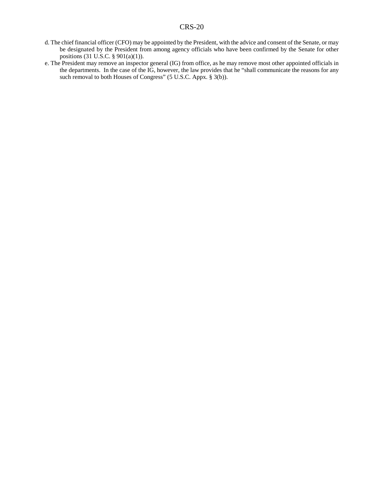- d. The chief financial officer (CFO) may be appointed by the President, with the advice and consent of the Senate, or may be designated by the President from among agency officials who have been confirmed by the Senate for other positions (31 U.S.C. § 901(a)(1)).
- e. The President may remove an inspector general (IG) from office, as he may remove most other appointed officials in the departments. In the case of the IG, however, the law provides that he "shall communicate the reasons for any such removal to both Houses of Congress" (5 U.S.C. Appx. § 3(b)).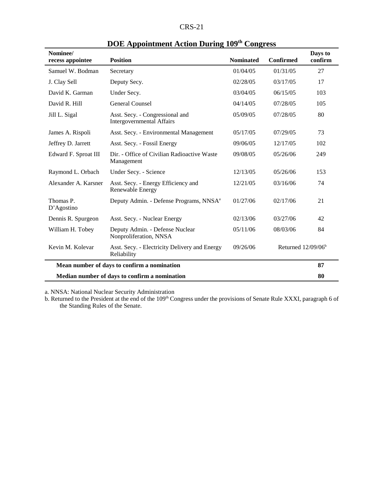| Nominee/<br>recess appointee | <b>Position</b>                                                     | <b>Nominated</b> | <b>Confirmed</b>               | Days to<br>confirm |
|------------------------------|---------------------------------------------------------------------|------------------|--------------------------------|--------------------|
| Samuel W. Bodman             | Secretary                                                           | 01/04/05         | 01/31/05                       | 27                 |
| J. Clay Sell                 | Deputy Secy.                                                        | 02/28/05         | 03/17/05                       | 17                 |
| David K. Garman              | Under Secy.                                                         | 03/04/05         | 06/15/05                       | 103                |
| David R. Hill                | General Counsel                                                     | 04/14/05         | 07/28/05                       | 105                |
| Jill L. Sigal                | Asst. Secy. - Congressional and<br><b>Intergovernmental Affairs</b> | 05/09/05         | 07/28/05                       | 80                 |
| James A. Rispoli             | Asst. Secy. - Environmental Management                              | 05/17/05         | 07/29/05                       | 73                 |
| Jeffrey D. Jarrett           | Asst. Secy. - Fossil Energy                                         | 09/06/05         | 12/17/05                       | 102                |
| Edward F. Sproat III         | Dir. - Office of Civilian Radioactive Waste<br>Management           | 09/08/05         | 05/26/06                       | 249                |
| Raymond L. Orbach            | Under Secy. - Science                                               | 12/13/05         | 05/26/06                       | 153                |
| Alexander A. Karsner         | Asst. Secy. - Energy Efficiency and<br>Renewable Energy             | 12/21/05         | 03/16/06                       | 74                 |
| Thomas P.<br>D'Agostino      | Deputy Admin. - Defense Programs, NNSA <sup>a</sup>                 | 01/27/06         | 02/17/06                       | 21                 |
| Dennis R. Spurgeon           | Asst. Secy. - Nuclear Energy                                        | 02/13/06         | 03/27/06                       | 42                 |
| William H. Tobey             | Deputy Admin. - Defense Nuclear<br>Nonproliferation, NNSA           | 05/11/06         | 08/03/06                       | 84                 |
| Kevin M. Kolevar             | Asst. Secy. - Electricity Delivery and Energy<br>Reliability        | 09/26/06         | Returned 12/09/06 <sup>b</sup> |                    |
|                              | Mean number of days to confirm a nomination                         |                  |                                | 87                 |
|                              | Median number of days to confirm a nomination                       |                  |                                | 80                 |

# **DOE Appointment Action During 109th Congress**

a. NNSA: National Nuclear Security Administration

b. Returned to the President at the end of the 109<sup>th</sup> Congress under the provisions of Senate Rule XXXI, paragraph 6 of the Standing Rules of the Senate.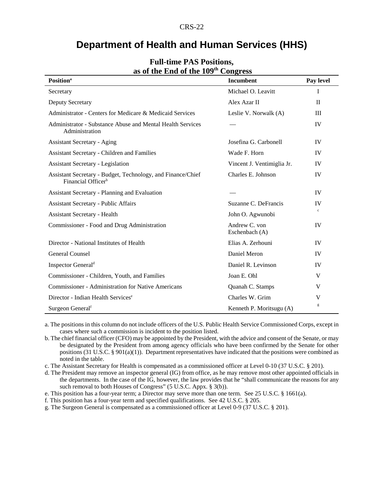### **Department of Health and Human Services (HHS)**

| $45$ of the $24$ of the $10$<br>$\mathbf{C}$ <i>UIL</i> $\mathbf{L}$ $\mathbf{U}$             |                                 |              |  |
|-----------------------------------------------------------------------------------------------|---------------------------------|--------------|--|
| <b>Position</b> <sup>a</sup>                                                                  | <b>Incumbent</b>                | Pay level    |  |
| Secretary                                                                                     | Michael O. Leavitt              | $\mathbf{I}$ |  |
| <b>Deputy Secretary</b>                                                                       | Alex Azar II                    | $\mathbf H$  |  |
| Administrator - Centers for Medicare & Medicaid Services                                      | Leslie V. Norwalk (A)           | III          |  |
| Administrator - Substance Abuse and Mental Health Services<br>Administration                  |                                 | IV           |  |
| <b>Assistant Secretary - Aging</b>                                                            | Josefina G. Carbonell           | <b>IV</b>    |  |
| <b>Assistant Secretary - Children and Families</b>                                            | Wade F. Horn                    | <b>IV</b>    |  |
| <b>Assistant Secretary - Legislation</b>                                                      | Vincent J. Ventimiglia Jr.      | <b>IV</b>    |  |
| Assistant Secretary - Budget, Technology, and Finance/Chief<br>Financial Officer <sup>b</sup> | Charles E. Johnson              | IV           |  |
| Assistant Secretary - Planning and Evaluation                                                 |                                 | <b>IV</b>    |  |
| <b>Assistant Secretary - Public Affairs</b>                                                   | Suzanne C. DeFrancis            | IV           |  |
| <b>Assistant Secretary - Health</b>                                                           | John O. Agwunobi                | $\mathbf{c}$ |  |
| Commissioner - Food and Drug Administration                                                   | Andrew C. von<br>Eschenbach (A) | <b>IV</b>    |  |
| Director - National Institutes of Health                                                      | Elias A. Zerhouni               | IV           |  |
| <b>General Counsel</b>                                                                        | Daniel Meron                    | IV           |  |
| Inspector General <sup>d</sup>                                                                | Daniel R. Levinson              | IV           |  |
| Commissioner - Children, Youth, and Families                                                  | Joan E. Ohl                     | V            |  |
| <b>Commissioner - Administration for Native Americans</b>                                     | Quanah C. Stamps                | V            |  |
| Director - Indian Health Services <sup>e</sup>                                                | Charles W. Grim<br>V            |              |  |
| Surgeon General <sup>f</sup>                                                                  | Kenneth P. Moritsugu (A)        | g            |  |

#### **Full-time PAS Positions, as of the End of the 109th Congress**

a. The positions in this column do not include officers of the U.S. Public Health Service Commissioned Corps, except in cases where such a commission is incident to the position listed.

b. The chief financial officer (CFO) may be appointed by the President, with the advice and consent of the Senate, or may be designated by the President from among agency officials who have been confirmed by the Senate for other positions (31 U.S.C. § 901(a)(1)). Department representatives have indicated that the positions were combined as noted in the table.

c. The Assistant Secretary for Health is compensated as a commissioned officer at Level 0-10 (37 U.S.C. § 201).

d. The President may remove an inspector general (IG) from office, as he may remove most other appointed officials in the departments. In the case of the IG, however, the law provides that he "shall communicate the reasons for any such removal to both Houses of Congress" (5 U.S.C. Appx. § 3(b)).

e. This position has a four-year term; a Director may serve more than one term. See 25 U.S.C. § 1661(a).

f. This position has a four-year term and specified qualifications. See 42 U.S.C. § 205.

g. The Surgeon General is compensated as a commissioned officer at Level 0-9 (37 U.S.C. § 201).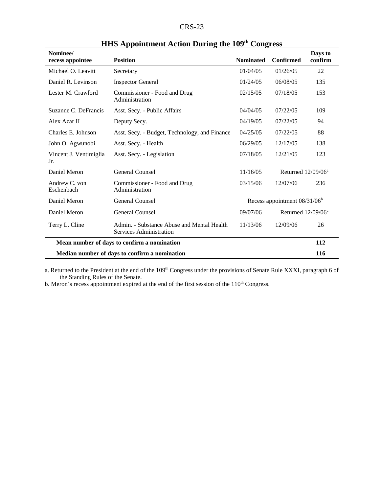| י כי<br>1<br>n v |
|------------------|
|------------------|

| Nominee/<br>recess appointee  | <b>Position</b>                                                       | <b>Nominated</b> | Confirmed                      | Days to<br>confirm |
|-------------------------------|-----------------------------------------------------------------------|------------------|--------------------------------|--------------------|
| Michael O. Leavitt            | Secretary                                                             | 01/04/05         | 01/26/05                       | 22                 |
| Daniel R. Levinson            | <b>Inspector General</b>                                              | 01/24/05         | 06/08/05                       | 135                |
| Lester M. Crawford            | Commissioner - Food and Drug<br>Administration                        | 02/15/05         | 07/18/05                       | 153                |
| Suzanne C. DeFrancis          | Asst. Secy. - Public Affairs                                          | 04/04/05         | 07/22/05                       | 109                |
| Alex Azar II                  | Deputy Secy.                                                          | 04/19/05         | 07/22/05                       | 94                 |
| Charles E. Johnson            | Asst. Secy. - Budget, Technology, and Finance                         | 04/25/05         | 07/22/05                       | 88                 |
| John O. Agwunobi              | Asst. Secy. - Health                                                  | 06/29/05         | 12/17/05                       | 138                |
| Vincent J. Ventimiglia<br>Jr. | Asst. Secy. - Legislation                                             | 07/18/05         | 12/21/05                       | 123                |
| Daniel Meron                  | <b>General Counsel</b>                                                | 11/16/05         | Returned $12/09/06^a$          |                    |
| Andrew C. von<br>Eschenbach   | Commissioner - Food and Drug<br>Administration                        | 03/15/06         | 12/07/06                       | 236                |
| Daniel Meron                  | <b>General Counsel</b>                                                |                  | Recess appointment $08/31/06b$ |                    |
| Daniel Meron                  | General Counsel                                                       | 09/07/06         | Returned $12/09/06^a$          |                    |
| Terry L. Cline                | Admin. - Substance Abuse and Mental Health<br>Services Administration | 11/13/06         | 12/09/06                       | 26                 |
|                               | Mean number of days to confirm a nomination                           |                  |                                | 112                |
|                               | Median number of days to confirm a nomination                         |                  |                                | 116                |

# **HHS Appointment Action During the 109th Congress**

a. Returned to the President at the end of the 109<sup>th</sup> Congress under the provisions of Senate Rule XXXI, paragraph 6 of the Standing Rules of the Senate.

b. Meron's recess appointment expired at the end of the first session of the  $110<sup>th</sup>$  Congress.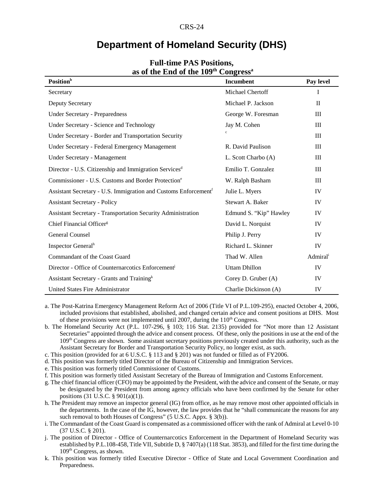# **Department of Homeland Security (DHS)**

| $\sim$ or the line of the 10)                                               |                        |                      |
|-----------------------------------------------------------------------------|------------------------|----------------------|
| <b>Position</b> <sup>b</sup>                                                | Incumbent              | Pay level            |
| Secretary                                                                   | Michael Chertoff       | I                    |
| Deputy Secretary                                                            | Michael P. Jackson     | $\mathbf{H}$         |
| <b>Under Secretary - Preparedness</b>                                       | George W. Foresman     | Ш                    |
| <b>Under Secretary - Science and Technology</b>                             | Jay M. Cohen           | Ш                    |
| Under Secretary - Border and Transportation Security                        |                        | III                  |
| Under Secretary - Federal Emergency Management                              | R. David Paulison      | III                  |
| Under Secretary - Management                                                | L. Scott Charbo (A)    | Ш                    |
| Director - U.S. Citizenship and Immigration Services <sup>d</sup>           | Emilio T. Gonzalez     | III                  |
| Commissioner - U.S. Customs and Border Protection <sup>e</sup>              | W. Ralph Basham        | III                  |
| Assistant Secretary - U.S. Immigration and Customs Enforcement <sup>f</sup> | Julie L. Myers         | IV                   |
| <b>Assistant Secretary - Policy</b>                                         | Stewart A. Baker       | IV                   |
| <b>Assistant Secretary - Transportation Security Administration</b>         | Edmund S. "Kip" Hawley | IV                   |
| Chief Financial Officer <sup>g</sup>                                        | David L. Norquist      | IV                   |
| General Counsel                                                             | Philip J. Perry        | IV                   |
| Inspector General <sup>h</sup>                                              | Richard L. Skinner     | IV                   |
| Commandant of the Coast Guard                                               | Thad W. Allen          | Admiral <sup>i</sup> |
| Director - Office of Counternarcotics Enforcement <sup>j</sup>              | <b>Uttam Dhillon</b>   | IV                   |
| Assistant Secretary - Grants and Training <sup>k</sup>                      | Corey D. Gruber (A)    | IV                   |
| United States Fire Administrator                                            | Charlie Dickinson (A)  | IV                   |

#### **Full-time PAS Positions, as of the End of the 109th Congressa**

- a. The Post-Katrina Emergency Management Reform Act of 2006 (Title VI of P.L.109-295), enacted October 4, 2006, included provisions that established, abolished, and changed certain advice and consent positions at DHS. Most of these provisions were not implemented until 2007, during the  $110<sup>th</sup>$  Congress.
- b. The Homeland Security Act (P.L. 107-296, § 103; 116 Stat. 2135) provided for "Not more than 12 Assistant Secretaries" appointed through the advice and consent process. Of these, only the positions in use at the end of the 109<sup>th</sup> Congress are shown. Some assistant secretary positions previously created under this authority, such as the Assistant Secretary for Border and Transportation Security Policy, no longer exist, as such.
- c. This position (provided for at 6 U.S.C. § 113 and § 201) was not funded or filled as of FY2006.
- d. This position was formerly titled Director of the Bureau of Citizenship and Immigration Services.
- e. This position was formerly titled Commissioner of Customs.
- f. This position was formerly titled Assistant Secretary of the Bureau of Immigration and Customs Enforcement.
- g. The chief financial officer (CFO) may be appointed by the President, with the advice and consent of the Senate, or may be designated by the President from among agency officials who have been confirmed by the Senate for other positions (31 U.S.C. § 901(a)(1)).
- h. The President may remove an inspector general (IG) from office, as he may remove most other appointed officials in the departments. In the case of the IG, however, the law provides that he "shall communicate the reasons for any such removal to both Houses of Congress" (5 U.S.C. Appx. § 3(b)).
- i. The Commandant of the Coast Guard is compensated as a commissioned officer with the rank of Admiral at Level 0-10 (37 U.S.C. § 201).
- j. The position of Director Office of Counternarcotics Enforcement in the Department of Homeland Security was established by P.L.108-458, Title VII, Subtitle D, § 7407(a) (118 Stat. 3853), and filled for the first time during the 109th Congress, as shown.
- k. This position was formerly titled Executive Director Office of State and Local Government Coordination and Preparedness.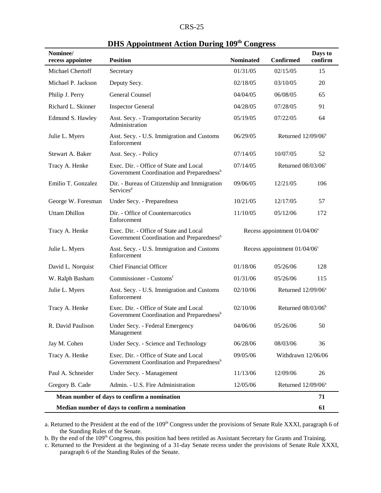| D.<br>c.<br>י גרי |
|-------------------|
|-------------------|

| Nominee/<br>recess appointee                  | $\sim$ 110 $\mu$ pointment return $\mu$ aring<br><b>Position</b>                                | <b>Nominated</b>                | <b>Confirmed</b>                | Days to<br>confirm |
|-----------------------------------------------|-------------------------------------------------------------------------------------------------|---------------------------------|---------------------------------|--------------------|
| Michael Chertoff                              | Secretary                                                                                       | 01/31/05                        | 02/15/05                        | 15                 |
| Michael P. Jackson                            | Deputy Secy.                                                                                    | 02/18/05                        | 03/10/05                        | 20                 |
| Philip J. Perry                               | General Counsel                                                                                 | 04/04/05                        | 06/08/05                        | 65                 |
| Richard L. Skinner                            | <b>Inspector General</b>                                                                        | 04/28/05                        | 07/28/05                        | 91                 |
| Edmund S. Hawley                              | Asst. Secy. - Transportation Security<br>Administration                                         | 05/19/05                        | 07/22/05                        | 64                 |
| Julie L. Myers                                | Asst. Secy. - U.S. Immigration and Customs<br>Enforcement                                       | 06/29/05                        | Returned 12/09/06 <sup>a</sup>  |                    |
| Stewart A. Baker                              | Asst. Secy. - Policy                                                                            | 07/14/05                        | 10/07/05                        | 52                 |
| Tracy A. Henke                                | Exec. Dir. - Office of State and Local<br>Government Coordination and Preparedness <sup>b</sup> | 07/14/05                        | Returned 08/03/06°              |                    |
| Emilio T. Gonzalez                            | Dir. - Bureau of Citizenship and Immigration<br>Services <sup>d</sup>                           | 09/06/05                        | 12/21/05                        | 106                |
| George W. Foresman                            | Under Secy. - Preparedness                                                                      | 10/21/05                        | 12/17/05                        | 57                 |
| <b>Uttam Dhillon</b>                          | Dir. - Office of Counternarcotics<br>Enforcement                                                | 11/10/05                        | 05/12/06                        | 172                |
| Tracy A. Henke                                | Exec. Dir. - Office of State and Local<br>Government Coordination and Preparedness <sup>b</sup> | Recess appointment $01/04/06^e$ |                                 |                    |
| Julie L. Myers                                | Asst. Secy. - U.S. Immigration and Customs<br>Enforcement                                       |                                 | Recess appointment $01/04/06$ ° |                    |
| David L. Norquist                             | <b>Chief Financial Officer</b>                                                                  | 01/18/06                        | 05/26/06                        | 128                |
| W. Ralph Basham                               | Commissioner - Customsf                                                                         | 01/31/06                        | 05/26/06                        | 115                |
| Julie L. Myers                                | Asst. Secy. - U.S. Immigration and Customs<br>Enforcement                                       | 02/10/06                        | Returned 12/09/06 <sup>a</sup>  |                    |
| Tracy A. Henke                                | Exec. Dir. - Office of State and Local<br>Government Coordination and Preparedness <sup>b</sup> | 02/10/06                        | Returned 08/03/06 <sup>b</sup>  |                    |
| R. David Paulison                             | Under Secy. - Federal Emergency<br>Management                                                   | 04/06/06                        | 05/26/06                        | 50                 |
| Jay M. Cohen                                  | Under Secy. - Science and Technology                                                            | 06/28/06                        | 08/03/06                        | 36                 |
| Tracy A. Henke                                | Exec. Dir. - Office of State and Local<br>Government Coordination and Preparedness <sup>b</sup> | 09/05/06                        | Withdrawn 12/06/06              |                    |
| Paul A. Schneider                             | Under Secy. - Management                                                                        | 11/13/06                        | 12/09/06                        | 26                 |
| Gregory B. Cade                               | Admin. - U.S. Fire Administration                                                               | 12/05/06                        | Returned $12/09/06^a$           |                    |
|                                               | Mean number of days to confirm a nomination                                                     |                                 |                                 | 71                 |
| Median number of days to confirm a nomination |                                                                                                 |                                 | 61                              |                    |

#### **DHS Appointment Action During 109th Congress**

a. Returned to the President at the end of the 109<sup>th</sup> Congress under the provisions of Senate Rule XXXI, paragraph 6 of the Standing Rules of the Senate.

b. By the end of the 109<sup>th</sup> Congress, this position had been retitled as Assistant Secretary for Grants and Training.

c. Returned to the President at the beginning of a 31-day Senate recess under the provisions of Senate Rule XXXI, paragraph 6 of the Standing Rules of the Senate.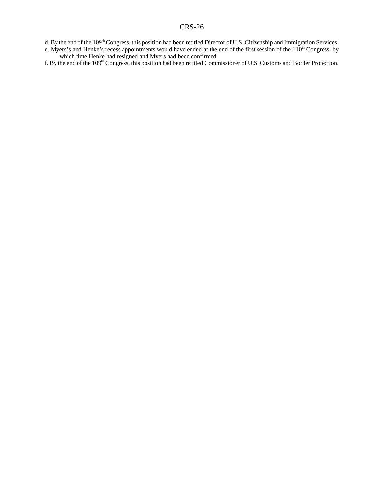- d. By the end of the 109<sup>th</sup> Congress, this position had been retitled Director of U.S. Citizenship and Immigration Services.
- e. Myers's and Henke's recess appointments would have ended at the end of the first session of the 110<sup>th</sup> Congress, by which time Henke had resigned and Myers had been confirmed.
- f. By the end of the 109th Congress, this position had been retitled Commissioner of U.S. Customs and Border Protection.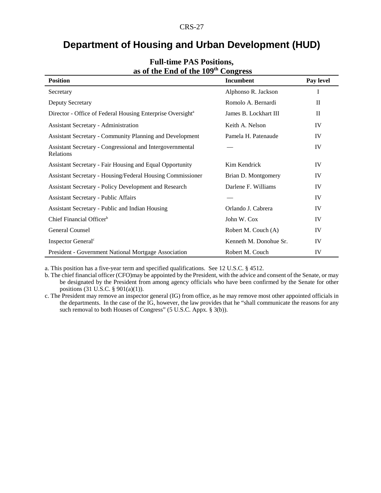# **Department of Housing and Urban Development (HUD)**

| as of the Line of the 107                                              | $\sim$ $\sim$ $\sim$ $\sim$ $\sim$ $\sim$ |              |
|------------------------------------------------------------------------|-------------------------------------------|--------------|
| <b>Position</b>                                                        | Incumbent                                 | Pay level    |
| Secretary                                                              | Alphonso R. Jackson                       | I            |
| Deputy Secretary                                                       | Romolo A. Bernardi                        | $\mathbf{I}$ |
| Director - Office of Federal Housing Enterprise Oversight <sup>a</sup> | James B. Lockhart III                     | $\mathbf{H}$ |
| <b>Assistant Secretary - Administration</b>                            | Keith A. Nelson                           | IV           |
| <b>Assistant Secretary - Community Planning and Development</b>        | Pamela H. Patenaude                       | IV           |
| Assistant Secretary - Congressional and Intergovernmental<br>Relations |                                           | IV           |
| Assistant Secretary - Fair Housing and Equal Opportunity               | Kim Kendrick                              | IV           |
| <b>Assistant Secretary - Housing/Federal Housing Commissioner</b>      | Brian D. Montgomery                       | IV           |
| <b>Assistant Secretary - Policy Development and Research</b>           | Darlene F. Williams                       | IV           |
| <b>Assistant Secretary - Public Affairs</b>                            |                                           | IV           |
| Assistant Secretary - Public and Indian Housing                        | Orlando J. Cabrera                        | IV           |
| Chief Financial Officer <sup>b</sup>                                   | John W. Cox                               | IV           |
| General Counsel                                                        | Robert M. Couch (A)                       | IV           |
| Inspector General <sup>c</sup>                                         | Kenneth M. Donohue Sr.                    | IV           |
| <b>President - Government National Mortgage Association</b>            | Robert M. Couch                           | IV           |

#### **Full-time PAS Positions, as of the End of the 109th Congress**

a. This position has a five-year term and specified qualifications. See 12 U.S.C. § 4512.

b. The chief financial officer (CFO)may be appointed by the President, with the advice and consent of the Senate, or may be designated by the President from among agency officials who have been confirmed by the Senate for other positions (31 U.S.C. § 901(a)(1)).

c. The President may remove an inspector general (IG) from office, as he may remove most other appointed officials in the departments. In the case of the IG, however, the law provides that he "shall communicate the reasons for any such removal to both Houses of Congress" (5 U.S.C. Appx. § 3(b)).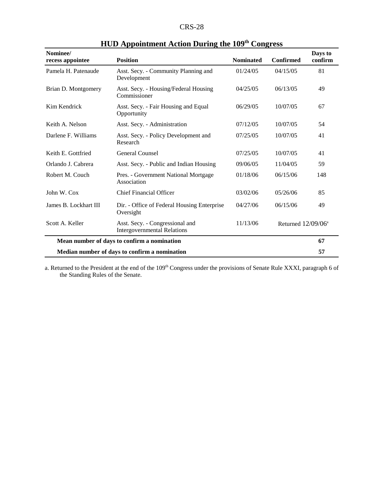| <b>CRS-28</b> |  |
|---------------|--|
|---------------|--|

| Nominee/<br>recess appointee                  | <b>Position</b>                                                       | <b>Nominated</b> | <b>Confirmed</b>      | Days to<br>confirm |
|-----------------------------------------------|-----------------------------------------------------------------------|------------------|-----------------------|--------------------|
| Pamela H. Patenaude                           | Asst. Secy. - Community Planning and<br>Development                   | 01/24/05         | 04/15/05              | 81                 |
| Brian D. Montgomery                           | Asst. Secy. - Housing/Federal Housing<br>Commissioner                 | 04/25/05         | 06/13/05              | 49                 |
| Kim Kendrick                                  | Asst. Secy. - Fair Housing and Equal<br>Opportunity                   | 06/29/05         | 10/07/05              | 67                 |
| Keith A. Nelson                               | Asst. Secy. - Administration                                          | 07/12/05         | 10/07/05              | 54                 |
| Darlene F. Williams                           | Asst. Secy. - Policy Development and<br>Research                      | 07/25/05         | 10/07/05              | 41                 |
| Keith E. Gottfried                            | <b>General Counsel</b>                                                | 07/25/05         | 10/07/05              | 41                 |
| Orlando J. Cabrera                            | Asst. Secy. - Public and Indian Housing                               | 09/06/05         | 11/04/05              | 59                 |
| Robert M. Couch                               | Pres. - Government National Mortgage<br>Association                   | 01/18/06         | 06/15/06              | 148                |
| John W. Cox                                   | <b>Chief Financial Officer</b>                                        | 03/02/06         | 05/26/06              | 85                 |
| James B. Lockhart III                         | Dir. - Office of Federal Housing Enterprise<br>Oversight              | 04/27/06         | 06/15/06              | 49                 |
| Scott A. Keller                               | Asst. Secy. - Congressional and<br><b>Intergovernmental Relations</b> | 11/13/06         | Returned $12/09/06^a$ |                    |
|                                               | Mean number of days to confirm a nomination                           |                  |                       | 67                 |
| Median number of days to confirm a nomination |                                                                       |                  | 57                    |                    |

**HUD Appointment Action During the 109th Congress**

a. Returned to the President at the end of the 109<sup>th</sup> Congress under the provisions of Senate Rule XXXI, paragraph 6 of the Standing Rules of the Senate.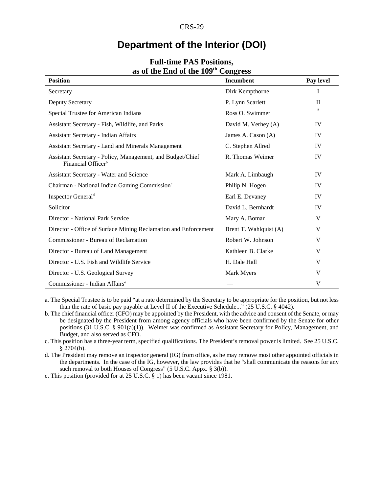### **Department of the Interior (DOI)**

| <b>Position</b>                                                                              | Incumbent              | Pay level    |
|----------------------------------------------------------------------------------------------|------------------------|--------------|
| Secretary                                                                                    | Dirk Kempthorne        | I            |
| Deputy Secretary                                                                             | P. Lynn Scarlett       | $\mathbf{I}$ |
| Special Trustee for American Indians                                                         | Ross O. Swimmer        | a            |
| Assistant Secretary - Fish, Wildlife, and Parks                                              | David M. Verhey (A)    | IV           |
| Assistant Secretary - Indian Affairs                                                         | James A. Cason (A)     | IV           |
| Assistant Secretary - Land and Minerals Management                                           | C. Stephen Allred      | IV           |
| Assistant Secretary - Policy, Management, and Budget/Chief<br>Financial Officer <sup>b</sup> | R. Thomas Weimer       | IV           |
| <b>Assistant Secretary - Water and Science</b>                                               | Mark A. Limbaugh       | IV           |
| Chairman - National Indian Gaming Commission <sup>c</sup>                                    | Philip N. Hogen        | IV           |
| Inspector General <sup>d</sup>                                                               | Earl E. Devaney        | IV           |
| Solicitor                                                                                    | David L. Bernhardt     | IV           |
| Director - National Park Service                                                             | Mary A. Bomar          | V            |
| Director - Office of Surface Mining Reclamation and Enforcement                              | Brent T. Wahlquist (A) | V            |
| Commissioner - Bureau of Reclamation                                                         | Robert W. Johnson      | V            |
| Director - Bureau of Land Management                                                         | Kathleen B. Clarke     | V            |
| Director - U.S. Fish and Wildlife Service                                                    | H. Dale Hall           | V            |
| Director - U.S. Geological Survey                                                            | Mark Myers             | V            |
| Commissioner - Indian Affairs <sup>e</sup>                                                   |                        | V            |

#### **Full-time PAS Positions, as of the End of the 109th Congress**

a. The Special Trustee is to be paid "at a rate determined by the Secretary to be appropriate for the position, but not less than the rate of basic pay payable at Level II of the Executive Schedule..." (25 U.S.C. § 4042).

b. The chief financial officer (CFO) may be appointed by the President, with the advice and consent of the Senate, or may be designated by the President from among agency officials who have been confirmed by the Senate for other positions (31 U.S.C. § 901(a)(1)). Weimer was confirmed as Assistant Secretary for Policy, Management, and Budget, and also served as CFO.

c. This position has a three-year term, specified qualifications. The President's removal power is limited. See 25 U.S.C. § 2704(b).

d. The President may remove an inspector general (IG) from office, as he may remove most other appointed officials in the departments. In the case of the IG, however, the law provides that he "shall communicate the reasons for any such removal to both Houses of Congress" (5 U.S.C. Appx. § 3(b)).

e. This position (provided for at 25 U.S.C. § 1) has been vacant since 1981.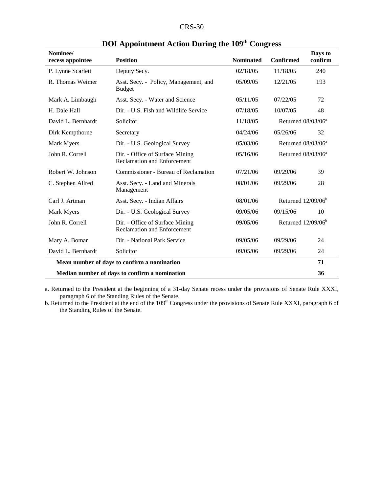| <b>CRS-30</b> |  |
|---------------|--|
|---------------|--|

| Nominee/<br>recess appointee                  | <b>Position</b>                                                       | <b>Nominated</b> | <b>Confirmed</b>               | Days to<br>confirm |
|-----------------------------------------------|-----------------------------------------------------------------------|------------------|--------------------------------|--------------------|
| P. Lynne Scarlett                             | Deputy Secy.                                                          | 02/18/05         | 11/18/05                       | 240                |
| R. Thomas Weimer                              | Asst. Secy. - Policy, Management, and<br><b>Budget</b>                | 05/09/05         | 12/21/05                       | 193                |
| Mark A. Limbaugh                              | Asst. Secy. - Water and Science                                       | 05/11/05         | 07/22/05                       | 72                 |
| H. Dale Hall                                  | Dir. - U.S. Fish and Wildlife Service                                 | 07/18/05         | 10/07/05                       | 48                 |
| David L. Bernhardt                            | Solicitor                                                             | 11/18/05         | Returned $08/03/06^a$          |                    |
| Dirk Kempthorne                               | Secretary                                                             | 04/24/06         | 05/26/06                       | 32                 |
| Mark Myers                                    | Dir. - U.S. Geological Survey                                         | 05/03/06         | Returned $08/03/06^a$          |                    |
| John R. Correll                               | Dir. - Office of Surface Mining<br><b>Reclamation and Enforcement</b> | 05/16/06         | Returned 08/03/06 <sup>a</sup> |                    |
| Robert W. Johnson                             | Commissioner - Bureau of Reclamation                                  | 07/21/06         | 09/29/06                       | 39                 |
| C. Stephen Allred                             | Asst. Secy. - Land and Minerals<br>Management                         | 08/01/06         | 09/29/06                       | 28                 |
| Carl J. Artman                                | Asst. Secy. - Indian Affairs                                          | 08/01/06         | Returned $12/09/06^b$          |                    |
| Mark Myers                                    | Dir. - U.S. Geological Survey                                         | 09/05/06         | 09/15/06                       | 10                 |
| John R. Correll                               | Dir. - Office of Surface Mining<br><b>Reclamation and Enforcement</b> | 09/05/06         | Returned $12/09/06b$           |                    |
| Mary A. Bomar                                 | Dir. - National Park Service                                          | 09/05/06         | 09/29/06                       | 24                 |
| David L. Bernhardt                            | Solicitor                                                             | 09/05/06         | 09/29/06                       | 24                 |
| Mean number of days to confirm a nomination   |                                                                       |                  | 71                             |                    |
| Median number of days to confirm a nomination |                                                                       |                  | 36                             |                    |

| DOI Appointment Action During the 109 <sup>th</sup> Congress |  |  |
|--------------------------------------------------------------|--|--|
|--------------------------------------------------------------|--|--|

a. Returned to the President at the beginning of a 31-day Senate recess under the provisions of Senate Rule XXXI, paragraph 6 of the Standing Rules of the Senate.

b. Returned to the President at the end of the 109<sup>th</sup> Congress under the provisions of Senate Rule XXXI, paragraph 6 of the Standing Rules of the Senate.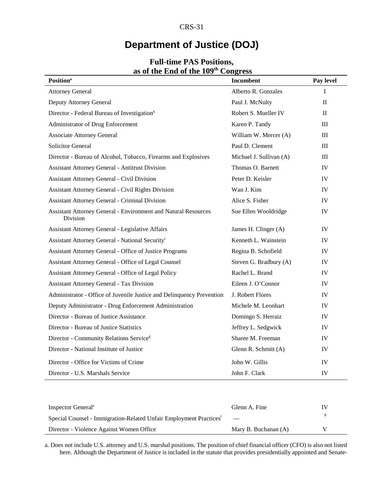# **Department of Justice (DOJ)**

| as of the Life of the 199<br><b>Position</b> <sup>a</sup>                  | $\mathbf{C}$ ungi $\mathbf{C}$<br>Incumbent | Pay level |
|----------------------------------------------------------------------------|---------------------------------------------|-----------|
| <b>Attorney General</b>                                                    | Alberto R. Gonzales                         | I         |
| Deputy Attorney General                                                    | Paul J. McNulty                             | $\rm II$  |
| Director - Federal Bureau of Investigation <sup>b</sup>                    | Robert S. Mueller IV                        | $\Pi$     |
| Administrator of Drug Enforcement                                          | Karen P. Tandy                              | Ш         |
| <b>Associate Attorney General</b>                                          | William W. Mercer (A)                       | Ш         |
| <b>Solicitor General</b>                                                   | Paul D. Clement                             | Ш         |
| Director - Bureau of Alcohol, Tobacco, Firearms and Explosives             | Michael J. Sullivan (A)                     | $\rm III$ |
| <b>Assistant Attorney General - Antitrust Division</b>                     | Thomas O. Barnett                           | IV        |
| <b>Assistant Attorney General - Civil Division</b>                         | Peter D. Keisler                            | IV        |
| Assistant Attorney General - Civil Rights Division                         | Wan J. Kim                                  | IV        |
| Assistant Attorney General - Criminal Division                             | Alice S. Fisher                             | IV        |
| Assistant Attorney General - Environment and Natural Resources<br>Division | Sue Ellen Wooldridge                        | IV        |
| Assistant Attorney General - Legislative Affairs                           | James H. Clinger (A)                        | IV        |
| Assistant Attorney General - National Security <sup>c</sup>                | Kenneth L. Wainstein                        | IV        |
| Assistant Attorney General - Office of Justice Programs                    | Regina B. Schofield                         | IV        |
| Assistant Attorney General - Office of Legal Counsel                       | Steven G. Bradbury (A)                      | IV        |
| Assistant Attorney General - Office of Legal Policy                        | Rachel L. Brand                             | IV        |
| <b>Assistant Attorney General - Tax Division</b>                           | Eileen J. O'Connor                          | IV        |
| Administrator - Office of Juvenile Justice and Delinquency Prevention      | J. Robert Flores                            | IV        |
| Deputy Administrator - Drug Enforcement Administration                     | Michele M. Leonhart                         | IV        |
| Director - Bureau of Justice Assistance                                    | Domingo S. Herraiz                          | IV        |
| Director - Bureau of Justice Statistics                                    | Jeffrey L. Sedgwick                         | IV        |
| Director - Community Relations Serviced                                    | Sharee M. Freeman                           | IV        |
| Director - National Institute of Justice                                   | Glenn R. Schmitt (A)                        | IV        |
| Director - Office for Victims of Crime                                     | John W. Gillis                              | IV        |
| Director - U.S. Marshals Service                                           | John F. Clark                               | IV        |

#### **Full-time PAS Positions, as of the End of the 109th Congress**

| Inspector General <sup>e</sup>                                                 | Glenn A. Fine            | IV |
|--------------------------------------------------------------------------------|--------------------------|----|
| Special Counsel - Immigration-Related Unfair Employment Practices <sup>f</sup> | $\overline{\phantom{a}}$ |    |
| Director - Violence Against Women Office                                       | Mary B. Buchanan $(A)$   | v  |
|                                                                                |                          |    |

a. Does not include U.S. attorney and U.S. marshal positions. The position of chief financial officer (CFO) is also not listed here. Although the Department of Justice is included in the statute that provides presidentially appointed and Senate-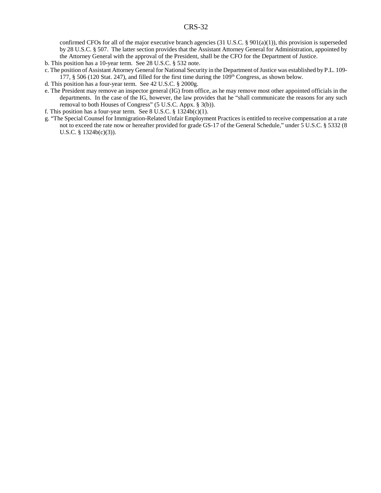confirmed CFOs for all of the major executive branch agencies (31 U.S.C. § 901(a)(1)), this provision is superseded by 28 U.S.C. § 507. The latter section provides that the Assistant Attorney General for Administration, appointed by the Attorney General with the approval of the President, shall be the CFO for the Department of Justice.

- b. This position has a 10-year term. See 28 U.S.C. § 532 note.
- c. The position of Assistant Attorney General for National Security in the Department of Justice was established by P.L. 109- 177,  $\S$  506 (120 Stat. 247), and filled for the first time during the 109<sup>th</sup> Congress, as shown below.
- d. This position has a four-year term. See 42 U.S.C. § 2000g.
- e. The President may remove an inspector general (IG) from office, as he may remove most other appointed officials in the departments. In the case of the IG, however, the law provides that he "shall communicate the reasons for any such removal to both Houses of Congress" (5 U.S.C. Appx. § 3(b)).
- f. This position has a four-year term. See 8 U.S.C.  $\S$  1324b(c)(1).
- g. "The Special Counsel for Immigration-Related Unfair Employment Practices is entitled to receive compensation at a rate not to exceed the rate now or hereafter provided for grade GS-17 of the General Schedule," under 5 U.S.C. § 5332 (8 U.S.C. § 1324b(c)(3)).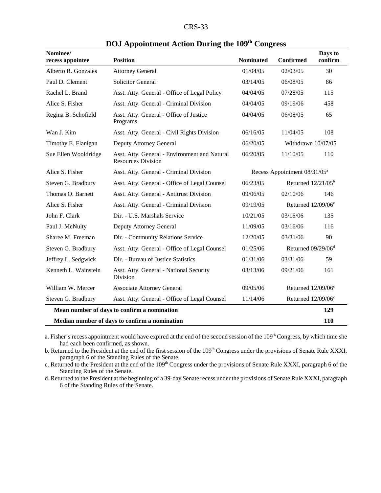| CRS-<br>۰, ۱ |  |
|--------------|--|
|--------------|--|

| Nominee/<br>recess appointee | <b>Position</b>                                                            | <b>Nominated</b>                         | <b>Confirmed</b>               | Days to<br>confirm |
|------------------------------|----------------------------------------------------------------------------|------------------------------------------|--------------------------------|--------------------|
| Alberto R. Gonzales          | <b>Attorney General</b>                                                    | 01/04/05                                 | 02/03/05                       | 30                 |
| Paul D. Clement              | <b>Solicitor General</b>                                                   | 03/14/05                                 | 06/08/05                       | 86                 |
| Rachel L. Brand              | Asst. Atty. General - Office of Legal Policy                               | 04/04/05                                 | 07/28/05                       | 115                |
| Alice S. Fisher              | Asst. Atty. General - Criminal Division                                    | 04/04/05                                 | 09/19/06                       | 458                |
| Regina B. Schofield          | Asst. Atty. General - Office of Justice<br>Programs                        | 04/04/05                                 | 06/08/05                       | 65                 |
| Wan J. Kim                   | Asst. Atty. General - Civil Rights Division                                | 06/16/05                                 | 11/04/05                       | 108                |
| Timothy E. Flanigan          | Deputy Attorney General                                                    | 06/20/05                                 | Withdrawn 10/07/05             |                    |
| Sue Ellen Wooldridge         | Asst. Atty. General - Environment and Natural<br><b>Resources Division</b> | 06/20/05                                 | 11/10/05                       | 110                |
| Alice S. Fisher              | Asst. Atty. General - Criminal Division                                    | Recess Appointment 08/31/05 <sup>a</sup> |                                |                    |
| Steven G. Bradbury           | Asst. Atty. General - Office of Legal Counsel                              | 06/23/05                                 | Returned $12/21/05^b$          |                    |
| Thomas O. Barnett            | Asst. Atty. General - Antitrust Division                                   | 09/06/05                                 | 02/10/06                       | 146                |
| Alice S. Fisher              | Asst. Atty. General - Criminal Division                                    | 09/19/05                                 | Returned 12/09/06 <sup>c</sup> |                    |
| John F. Clark                | Dir. - U.S. Marshals Service                                               | 10/21/05                                 | 03/16/06                       | 135                |
| Paul J. McNulty              | Deputy Attorney General                                                    | 11/09/05                                 | 03/16/06                       | 116                |
| Sharee M. Freeman            | Dir. - Community Relations Service                                         | 12/20/05                                 | 03/31/06                       | 90                 |
| Steven G. Bradbury           | Asst. Atty. General - Office of Legal Counsel                              | 01/25/06                                 | Returned $09/29/06d$           |                    |
| Jeffrey L. Sedgwick          | Dir. - Bureau of Justice Statistics                                        | 01/31/06                                 | 03/31/06                       | 59                 |
| Kenneth L. Wainstein         | Asst. Atty. General - National Security<br><b>Division</b>                 | 03/13/06                                 | 09/21/06                       | 161                |
| William W. Mercer            | <b>Associate Attorney General</b>                                          | 09/05/06                                 | Returned 12/09/06°             |                    |
| Steven G. Bradbury           | Asst. Atty. General - Office of Legal Counsel                              | 11/14/06                                 | Returned 12/09/06 <sup>c</sup> |                    |
|                              | Mean number of days to confirm a nomination                                |                                          |                                | 129                |
|                              | Median number of days to confirm a nomination                              |                                          |                                | 110                |

|  | DOJ Appointment Action During the 109 <sup>th</sup> Congress |  |  |  |  |  |  |
|--|--------------------------------------------------------------|--|--|--|--|--|--|
|--|--------------------------------------------------------------|--|--|--|--|--|--|

a. Fisher's recess appointment would have expired at the end of the second session of the 109<sup>th</sup> Congress, by which time she had each been confirmed, as shown.

b. Returned to the President at the end of the first session of the 109<sup>th</sup> Congress under the provisions of Senate Rule XXXI, paragraph 6 of the Standing Rules of the Senate.

c. Returned to the President at the end of the 109<sup>th</sup> Congress under the provisions of Senate Rule XXXI, paragraph 6 of the Standing Rules of the Senate.

d. Returned to the President at the beginning of a 39-day Senate recess under the provisions of Senate Rule XXXI, paragraph 6 of the Standing Rules of the Senate.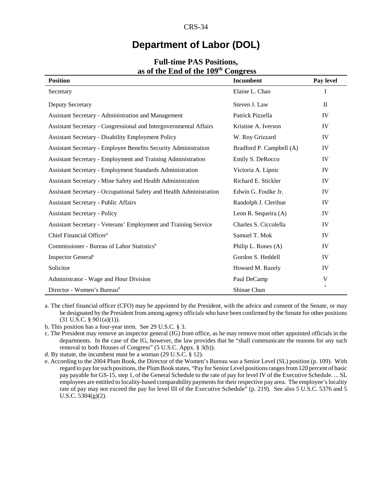# **Department of Labor (DOL)**

| <b>Position</b>                                                        | <b>Incumbent</b>         | Pay level    |
|------------------------------------------------------------------------|--------------------------|--------------|
| Secretary                                                              | Elaine L. Chao           | I            |
| Deputy Secretary                                                       | Steven J. Law            | $\mathbf{I}$ |
| <b>Assistant Secretary - Administration and Management</b>             | Patrick Pizzella         | IV           |
| Assistant Secretary - Congressional and Intergovernmental Affairs      | Kristine A. Iverson      | IV           |
| <b>Assistant Secretary - Disability Employment Policy</b>              | W. Roy Grizzard          | IV           |
| <b>Assistant Secretary - Employee Benefits Security Administration</b> | Bradford P. Campbell (A) | IV           |
| Assistant Secretary - Employment and Training Administration           | Emily S. DeRocco         | IV           |
| <b>Assistant Secretary - Employment Standards Administration</b>       | Victoria A. Lipnic       | IV           |
| Assistant Secretary - Mine Safety and Health Administration            | Richard E. Stickler      | IV           |
| Assistant Secretary - Occupational Safety and Health Administration    | Edwin G. Foulke Jr.      | IV           |
| <b>Assistant Secretary - Public Affairs</b>                            | Randolph J. Clerihue     | IV           |
| <b>Assistant Secretary - Policy</b>                                    | Leon R. Sequeira (A)     | IV           |
| Assistant Secretary - Veterans' Employment and Training Service        | Charles S. Ciccolella    | IV           |
| Chief Financial Officer <sup>a</sup>                                   | Samuel T. Mok            | IV           |
| Commissioner - Bureau of Labor Statistics <sup>b</sup>                 | Philip L. Rones (A)      | IV           |
| Inspector General <sup>c</sup>                                         | Gordon S. Heddell        | IV           |
| Solicitor                                                              | Howard M. Razely         | IV           |
| Administrator - Wage and Hour Division                                 | Paul DeCamp              | V            |
| Director - Women's Bureau <sup>d</sup>                                 | Shinae Chun              | $\rm e$      |

#### **Full-time PAS Positions, as of the End of the 109th Congress**

a. The chief financial officer (CFO) may be appointed by the President, with the advice and consent of the Senate, or may be designated by the President from among agency officials who have been confirmed by the Senate for other positions  $(31 \text{ U.S.C. } § 901(a)(1)).$ 

b. This position has a four-year term. See 29 U.S.C. § 3.

c. The President may remove an inspector general (IG) from office, as he may remove most other appointed officials in the departments. In the case of the IG, however, the law provides that he "shall communicate the reasons for any such removal to both Houses of Congress" (5 U.S.C. Appx. § 3(b)).

d. By statute, the incumbent must be a woman (29 U.S.C. § 12).

e. According to the 2004 Plum Book, the Director of the Women's Bureau was a Senior Level (SL) position (p. 109). With regard to pay for such positions, the Plum Book states, "Pay for Senior Level positions ranges from 120 percent of basic pay payable for GS-15, step 1, of the General Schedule to the rate of pay for level IV of the Executive Schedule. ... SL employees are entitled to locality-based comparability payments for their respective pay area. The employee's locality rate of pay may not exceed the pay for level III of the Executive Schedule" (p. 219). See also 5 U.S.C. 5376 and 5 U.S.C.  $5304(g)(2)$ .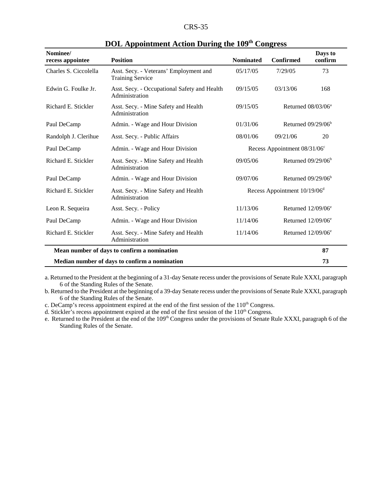| Nominee/<br>recess appointee | <b>Position</b>                                                   | <b>Nominated</b>                         | <b>Confirmed</b>                      | Days to<br>confirm             |
|------------------------------|-------------------------------------------------------------------|------------------------------------------|---------------------------------------|--------------------------------|
| Charles S. Ciccolella        | Asst. Secy. - Veterans' Employment and<br><b>Training Service</b> | 05/17/05                                 | 7/29/05                               | 73                             |
| Edwin G. Foulke Jr.          | Asst. Secy. - Occupational Safety and Health<br>Administration    | 09/15/05                                 | 03/13/06                              | 168                            |
| Richard E. Stickler          | Asst. Secy. - Mine Safety and Health<br>Administration            | 09/15/05                                 |                                       | Returned 08/03/06 <sup>a</sup> |
| Paul DeCamp                  | Admin. - Wage and Hour Division                                   | 01/31/06                                 |                                       | Returned $09/29/06b$           |
| Randolph J. Clerihue         | Asst. Secy. - Public Affairs                                      | 08/01/06                                 | 09/21/06                              | 20                             |
| Paul DeCamp                  | Admin. - Wage and Hour Division                                   |                                          | Recess Appointment $08/31/06^{\circ}$ |                                |
| Richard E. Stickler          | Asst. Secy. - Mine Safety and Health<br>Administration            | 09/05/06                                 |                                       | Returned $09/29/06b$           |
| Paul DeCamp                  | Admin. - Wage and Hour Division                                   | 09/07/06                                 |                                       | Returned $09/29/06b$           |
| Richard E. Stickler          | Asst. Secy. - Mine Safety and Health<br>Administration            | Recess Appointment 10/19/06 <sup>d</sup> |                                       |                                |
| Leon R. Sequeira             | Asst. Secy. - Policy                                              | 11/13/06                                 |                                       | Returned $12/09/06^e$          |
| Paul DeCamp                  | Admin. - Wage and Hour Division                                   | 11/14/06                                 |                                       | Returned $12/09/06^e$          |
| Richard E. Stickler          | Asst. Secy. - Mine Safety and Health<br>Administration            | 11/14/06                                 |                                       | Returned $12/09/06^e$          |
|                              | Mean number of days to confirm a nomination                       |                                          |                                       | 87                             |
|                              | Median number of days to confirm a nomination                     |                                          |                                       | 73                             |

### **DOL Appointment Action During the 109th Congress**

a. Returned to the President at the beginning of a 31-day Senate recess under the provisions of Senate Rule XXXI, paragraph 6 of the Standing Rules of the Senate.

b. Returned to the President at the beginning of a 39-day Senate recess under the provisions of Senate Rule XXXI, paragraph 6 of the Standing Rules of the Senate.

c. DeCamp's recess appointment expired at the end of the first session of the  $110<sup>th</sup>$  Congress.

d. Stickler's recess appointment expired at the end of the first session of the  $110<sup>th</sup>$  Congress.

e. Returned to the President at the end of the 109<sup>th</sup> Congress under the provisions of Senate Rule XXXI, paragraph 6 of the Standing Rules of the Senate.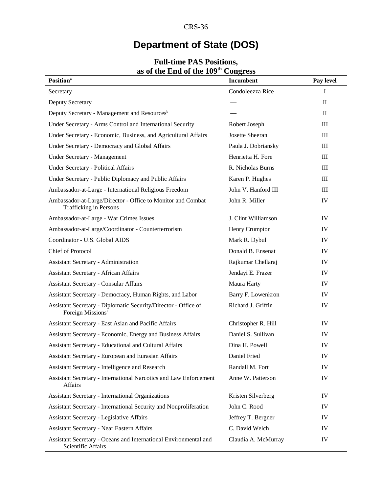# **Department of State (DOS)**

| as of the Eily of the TO7<br><b>Position</b> <sup>a</sup>                                       | CUILLESS<br><b>Incumbent</b> | Pay level                        |
|-------------------------------------------------------------------------------------------------|------------------------------|----------------------------------|
| Secretary                                                                                       | Condoleezza Rice             | I                                |
| <b>Deputy Secretary</b>                                                                         |                              | $\mathbf{I}$                     |
| Deputy Secretary - Management and Resources <sup>b</sup>                                        |                              | $\mathbf{I}$                     |
| Under Secretary - Arms Control and International Security                                       | Robert Joseph                | $\mathop{\rm III}$               |
| Under Secretary - Economic, Business, and Agricultural Affairs                                  | Josette Sheeran              | $\mathop{\mathrm{III}}\nolimits$ |
| Under Secretary - Democracy and Global Affairs                                                  | Paula J. Dobriansky          | $\mathop{\rm III}$               |
| Under Secretary - Management                                                                    | Henrietta H. Fore            | III                              |
| <b>Under Secretary - Political Affairs</b>                                                      | R. Nicholas Burns            | $\mathop{\mathrm{III}}\nolimits$ |
| Under Secretary - Public Diplomacy and Public Affairs                                           | Karen P. Hughes              | III                              |
| Ambassador-at-Large - International Religious Freedom                                           | John V. Hanford III          | III                              |
| Ambassador-at-Large/Director - Office to Monitor and Combat<br><b>Trafficking in Persons</b>    | John R. Miller               | IV                               |
| Ambassador-at-Large - War Crimes Issues                                                         | J. Clint Williamson          | IV                               |
| Ambassador-at-Large/Coordinator - Counterterrorism                                              | Henry Crumpton               | IV                               |
| Coordinator - U.S. Global AIDS                                                                  | Mark R. Dybul                | IV                               |
| Chief of Protocol                                                                               | Donald B. Ensenat            | IV                               |
| Assistant Secretary - Administration                                                            | Rajkumar Chellaraj           | IV                               |
| <b>Assistant Secretary - African Affairs</b>                                                    | Jendayi E. Frazer            | IV                               |
| <b>Assistant Secretary - Consular Affairs</b>                                                   | Maura Harty                  | IV                               |
| Assistant Secretary - Democracy, Human Rights, and Labor                                        | Barry F. Lowenkron           | IV                               |
| Assistant Secretary - Diplomatic Security/Director - Office of<br>Foreign Missions <sup>c</sup> | Richard J. Griffin           | IV                               |
| Assistant Secretary - East Asian and Pacific Affairs                                            | Christopher R. Hill          | IV                               |
| Assistant Secretary - Economic, Energy and Business Affairs                                     | Daniel S. Sullivan           | IV                               |
| Assistant Secretary - Educational and Cultural Affairs                                          | Dina H. Powell               | IV                               |
| Assistant Secretary - European and Eurasian Affairs                                             | Daniel Fried                 | IV                               |
| Assistant Secretary - Intelligence and Research                                                 | Randall M. Fort              | IV                               |
| Assistant Secretary - International Narcotics and Law Enforcement<br>Affairs                    | Anne W. Patterson            | IV                               |
| <b>Assistant Secretary - International Organizations</b>                                        | Kristen Silverberg           | IV                               |
| Assistant Secretary - International Security and Nonproliferation                               | John C. Rood                 | IV                               |
| <b>Assistant Secretary - Legislative Affairs</b>                                                | Jeffrey T. Bergner           | IV                               |
| <b>Assistant Secretary - Near Eastern Affairs</b>                                               | C. David Welch               | IV                               |
| Assistant Secretary - Oceans and International Environmental and<br>Scientific Affairs          | Claudia A. McMurray          | IV                               |

#### **Full-time PAS Positions, as of the End of the 109th Congress**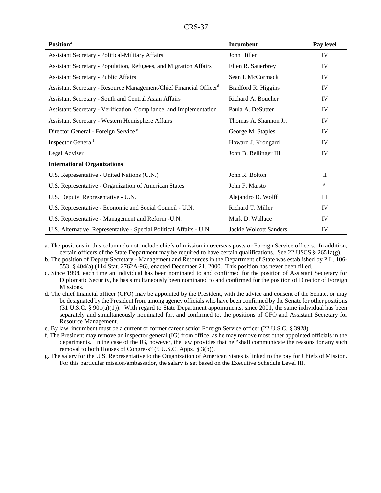| <b>Position</b> <sup>a</sup>                                                   | Incumbent              | Pay level    |
|--------------------------------------------------------------------------------|------------------------|--------------|
| <b>Assistant Secretary - Political-Military Affairs</b>                        | John Hillen            | IV           |
| Assistant Secretary - Population, Refugees, and Migration Affairs              | Ellen R. Sauerbrey     | IV           |
| <b>Assistant Secretary - Public Affairs</b>                                    | Sean I. McCormack      | IV           |
| Assistant Secretary - Resource Management/Chief Financial Officer <sup>d</sup> | Bradford R. Higgins    | IV           |
| Assistant Secretary - South and Central Asian Affairs                          | Richard A. Boucher     | IV           |
| Assistant Secretary - Verification, Compliance, and Implementation             | Paula A. DeSutter      | IV           |
| Assistant Secretary - Western Hemisphere Affairs                               | Thomas A. Shannon Jr.  | IV           |
| Director General - Foreign Service <sup>e</sup>                                | George M. Staples      | IV           |
| Inspector General <sup>f</sup>                                                 | Howard J. Krongard     | IV           |
| Legal Adviser                                                                  | John B. Bellinger III  | IV           |
| <b>International Organizations</b>                                             |                        |              |
| U.S. Representative - United Nations (U.N.)                                    | John R. Bolton         | $\mathbf{I}$ |
| U.S. Representative - Organization of American States                          | John F. Maisto         | g            |
| U.S. Deputy Representative - U.N.                                              | Alejandro D. Wolff     | Ш            |
| U.S. Representative - Economic and Social Council - U.N.                       | Richard T. Miller      | IV           |
| U.S. Representative - Management and Reform - U.N.                             | Mark D. Wallace        | IV           |
| U.S. Alternative Representative - Special Political Affairs - U.N.             | Jackie Wolcott Sanders | IV           |

a. The positions in this column do not include chiefs of mission in overseas posts or Foreign Service officers. In addition, certain officers of the State Department may be required to have certain qualifications. See 22 USCS § 2651a(g).

b. The position of Deputy Secretary - Management and Resources in the Department of State was established by P.L. 106- 553, § 404(a) (114 Stat. 2762A-96), enacted December 21, 2000. This position has never been filled.

c. Since 1998, each time an individual has been nominated to and confirmed for the position of Assistant Secretary for Diplomatic Security, he has simultaneously been nominated to and confirmed for the position of Director of Foreign Missions.

d. The chief financial officer (CFO) may be appointed by the President, with the advice and consent of the Senate, or may be designated by the President from among agency officials who have been confirmed by the Senate for other positions (31 U.S.C. § 901(a)(1)). With regard to State Department appointments, since 2001, the same individual has been separately and simultaneously nominated for, and confirmed to, the positions of CFO and Assistant Secretary for Resource Management.

e. By law, incumbent must be a current or former career senior Foreign Service officer (22 U.S.C. § 3928).

- f. The President may remove an inspector general (IG) from office, as he may remove most other appointed officials in the departments. In the case of the IG, however, the law provides that he "shall communicate the reasons for any such removal to both Houses of Congress" (5 U.S.C. Appx. § 3(b)).
- g. The salary for the U.S. Representative to the Organization of American States is linked to the pay for Chiefs of Mission. For this particular mission/ambassador, the salary is set based on the Executive Schedule Level III.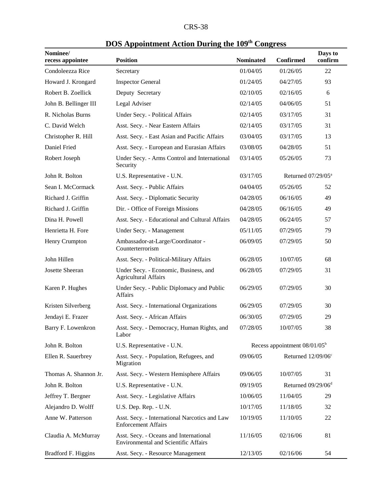| <b>CRS-38</b> |  |
|---------------|--|
|---------------|--|

|                              | DOS Appointment Action During the 109 Congress                                        |                  |                                 |                    |
|------------------------------|---------------------------------------------------------------------------------------|------------------|---------------------------------|--------------------|
| Nominee/<br>recess appointee | <b>Position</b>                                                                       | <b>Nominated</b> | <b>Confirmed</b>                | Days to<br>confirm |
| Condoleezza Rice             | Secretary                                                                             | 01/04/05         | 01/26/05                        | 22                 |
| Howard J. Krongard           | <b>Inspector General</b>                                                              | 01/24/05         | 04/27/05                        | 93                 |
| Robert B. Zoellick           | Deputy Secretary                                                                      | 02/10/05         | 02/16/05                        | 6                  |
| John B. Bellinger III        | Legal Adviser                                                                         | 02/14/05         | 04/06/05                        | 51                 |
| R. Nicholas Burns            | Under Secy. - Political Affairs                                                       | 02/14/05         | 03/17/05                        | 31                 |
| C. David Welch               | Asst. Secy. - Near Eastern Affairs                                                    | 02/14/05         | 03/17/05                        | 31                 |
| Christopher R. Hill          | Asst. Secy. - East Asian and Pacific Affairs                                          | 03/04/05         | 03/17/05                        | 13                 |
| Daniel Fried                 | Asst. Secy. - European and Eurasian Affairs                                           | 03/08/05         | 04/28/05                        | 51                 |
| Robert Joseph                | Under Secy. - Arms Control and International<br>Security                              | 03/14/05         | 05/26/05                        | 73                 |
| John R. Bolton               | U.S. Representative - U.N.                                                            | 03/17/05         | Returned $07/29/05^a$           |                    |
| Sean I. McCormack            | Asst. Secy. - Public Affairs                                                          | 04/04/05         | 05/26/05                        | 52                 |
| Richard J. Griffin           | Asst. Secy. - Diplomatic Security                                                     | 04/28/05         | 06/16/05                        | 49                 |
| Richard J. Griffin           | Dir. - Office of Foreign Missions                                                     | 04/28/05         | 06/16/05                        | 49                 |
| Dina H. Powell               | Asst. Secy. - Educational and Cultural Affairs                                        | 04/28/05         | 06/24/05                        | 57                 |
| Henrietta H. Fore            | Under Secy. - Management                                                              | 05/11/05         | 07/29/05                        | 79                 |
| Henry Crumpton               | Ambassador-at-Large/Coordinator -<br>Counterterrorism                                 | 06/09/05         | 07/29/05                        | 50                 |
| John Hillen                  | Asst. Secy. - Political-Military Affairs                                              | 06/28/05         | 10/07/05                        | 68                 |
| Josette Sheeran              | Under Secy. - Economic, Business, and<br><b>Agricultural Affairs</b>                  | 06/28/05         | 07/29/05                        | 31                 |
| Karen P. Hughes              | Under Secy. - Public Diplomacy and Public<br><b>Affairs</b>                           | 06/29/05         | 07/29/05                        | 30                 |
| Kristen Silverberg           | Asst. Secy. - International Organizations                                             | 06/29/05         | 07/29/05                        | 30                 |
| Jendayi E. Frazer            | Asst. Secy. - African Affairs                                                         | 06/30/05         | 07/29/05                        | 29                 |
| Barry F. Lowenkron           | Asst. Secy. - Democracy, Human Rights, and<br>Labor                                   | 07/28/05         | 10/07/05                        | 38                 |
| John R. Bolton               | U.S. Representative - U.N.                                                            |                  | Recess appointment $08/01/05^b$ |                    |
| Ellen R. Sauerbrey           | Asst. Secy. - Population, Refugees, and<br>Migration                                  | 09/06/05         | Returned 12/09/06 <sup>c</sup>  |                    |
| Thomas A. Shannon Jr.        | Asst. Secy. - Western Hemisphere Affairs                                              | 09/06/05         | 10/07/05                        | 31                 |
| John R. Bolton               | U.S. Representative - U.N.                                                            | 09/19/05         | Returned 09/29/06 <sup>d</sup>  |                    |
| Jeffrey T. Bergner           | Asst. Secy. - Legislative Affairs                                                     | 10/06/05         | 11/04/05                        | 29                 |
| Alejandro D. Wolff           | U.S. Dep. Rep. - U.N.                                                                 | 10/17/05         | 11/18/05                        | 32                 |
| Anne W. Patterson            | Asst. Secy. - International Narcotics and Law<br><b>Enforcement Affairs</b>           | 10/19/05         | 11/10/05                        | 22                 |
| Claudia A. McMurray          | Asst. Secy. - Oceans and International<br><b>Environmental and Scientific Affairs</b> | 11/16/05         | 02/16/06                        | 81                 |
| Bradford F. Higgins          | Asst. Secy. - Resource Management                                                     | 12/13/05         | 02/16/06                        | 54                 |

# **DOS Appointment Action During the 109th Congress**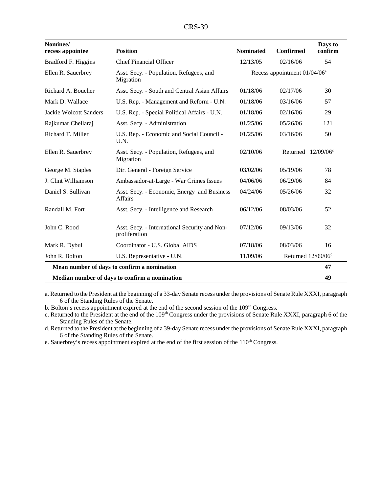| <b>CRS-39</b> |  |
|---------------|--|
|---------------|--|

| Nominee/<br>recess appointee  | <b>Position</b>                                                | <b>Nominated</b> | <b>Confirmed</b>                | Days to<br>confirm    |
|-------------------------------|----------------------------------------------------------------|------------------|---------------------------------|-----------------------|
| Bradford F. Higgins           | <b>Chief Financial Officer</b>                                 | 12/13/05         | 02/16/06                        | 54                    |
| Ellen R. Sauerbrey            | Asst. Secy. - Population, Refugees, and<br>Migration           |                  | Recess appointment $01/04/06^e$ |                       |
| Richard A. Boucher            | Asst. Secy. - South and Central Asian Affairs                  | 01/18/06         | 02/17/06                        | 30                    |
| Mark D. Wallace               | U.S. Rep. - Management and Reform - U.N.                       | 01/18/06         | 03/16/06                        | 57                    |
| <b>Jackie Wolcott Sanders</b> | U.S. Rep. - Special Political Affairs - U.N.                   | 01/18/06         | 02/16/06                        | 29                    |
| Rajkumar Chellaraj            | Asst. Secy. - Administration                                   | 01/25/06         | 05/26/06                        | 121                   |
| Richard T. Miller             | U.S. Rep. - Economic and Social Council -<br>U.N.              | 01/25/06         | 03/16/06                        | 50                    |
| Ellen R. Sauerbrey            | Asst. Secy. - Population, Refugees, and<br>Migration           | 02/10/06         |                                 | Returned $12/09/06$ ° |
| George M. Staples             | Dir. General - Foreign Service                                 | 03/02/06         | 05/19/06                        | 78                    |
| J. Clint Williamson           | Ambassador-at-Large - War Crimes Issues                        | 04/06/06         | 06/29/06                        | 84                    |
| Daniel S. Sullivan            | Asst. Secy. - Economic, Energy and Business<br><b>Affairs</b>  | 04/24/06         | 05/26/06                        | 32                    |
| Randall M. Fort               | Asst. Secy. - Intelligence and Research                        | 06/12/06         | 08/03/06                        | 52                    |
| John C. Rood                  | Asst. Secy. - International Security and Non-<br>proliferation | 07/12/06         | 09/13/06                        | 32                    |
| Mark R. Dybul                 | Coordinator - U.S. Global AIDS                                 | 07/18/06         | 08/03/06                        | 16                    |
| John R. Bolton                | U.S. Representative - U.N.                                     | 11/09/06         |                                 | Returned $12/09/06$ ° |
|                               | Mean number of days to confirm a nomination                    |                  |                                 | 47                    |
|                               | Median number of days to confirm a nomination                  |                  |                                 | 49                    |

a. Returned to the President at the beginning of a 33-day Senate recess under the provisions of Senate Rule XXXI, paragraph 6 of the Standing Rules of the Senate.

b. Bolton's recess appointment expired at the end of the second session of the 109<sup>th</sup> Congress.

c. Returned to the President at the end of the 109<sup>th</sup> Congress under the provisions of Senate Rule XXXI, paragraph 6 of the Standing Rules of the Senate.

d. Returned to the President at the beginning of a 39-day Senate recess under the provisions of Senate Rule XXXI, paragraph 6 of the Standing Rules of the Senate.

e. Sauerbrey's recess appointment expired at the end of the first session of the 110<sup>th</sup> Congress.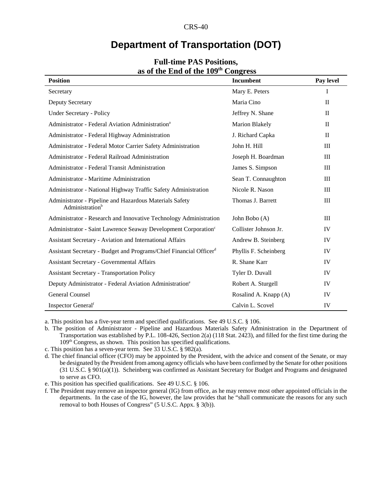### **Department of Transportation (DOT)**

| $\sim$ $\sim$ $\sim$ $\sim$ $\sim$ $\sim$ $\sim$                                       | טטי ב                 |              |
|----------------------------------------------------------------------------------------|-----------------------|--------------|
| <b>Position</b>                                                                        | Incumbent             | Pay level    |
| Secretary                                                                              | Mary E. Peters        | L            |
| <b>Deputy Secretary</b>                                                                | Maria Cino            | $\mathbf{I}$ |
| <b>Under Secretary - Policy</b>                                                        | Jeffrey N. Shane      | $\mathbf{I}$ |
| Administrator - Federal Aviation Administration <sup>a</sup>                           | <b>Marion Blakely</b> | $\mathbf{I}$ |
| Administrator - Federal Highway Administration                                         | J. Richard Capka      | $\mathbf{I}$ |
| Administrator - Federal Motor Carrier Safety Administration                            | John H. Hill          | III          |
| Administrator - Federal Railroad Administration                                        | Joseph H. Boardman    | III          |
| Administrator - Federal Transit Administration                                         | James S. Simpson      | III          |
| Administrator - Maritime Administration                                                | Sean T. Connaughton   | III          |
| Administrator - National Highway Traffic Safety Administration                         | Nicole R. Nason       | III          |
| Administrator - Pipeline and Hazardous Materials Safety<br>Administration <sup>b</sup> | Thomas J. Barrett     | III          |
| Administrator - Research and Innovative Technology Administration                      | John Bobo (A)         | $\rm III$    |
| Administrator - Saint Lawrence Seaway Development Corporation <sup>c</sup>             | Collister Johnson Jr. | IV           |
| Assistant Secretary - Aviation and International Affairs                               | Andrew B. Steinberg   | IV           |
| Assistant Secretary - Budget and Programs/Chief Financial Officerd                     | Phyllis F. Scheinberg | IV           |
| <b>Assistant Secretary - Governmental Affairs</b>                                      | R. Shane Karr         | IV           |
| <b>Assistant Secretary - Transportation Policy</b>                                     | Tyler D. Duvall       | IV           |
| Deputy Administrator - Federal Aviation Administration <sup>e</sup>                    | Robert A. Sturgell    | IV           |
| <b>General Counsel</b>                                                                 | Rosalind A. Knapp (A) | IV           |
| Inspector General <sup>f</sup>                                                         | Calvin L. Scovel      | IV           |

#### **Full-time PAS Positions, as of the End of the 109th Congress**

a. This position has a five-year term and specified qualifications. See 49 U.S.C. § 106.

b. The position of Administrator - Pipeline and Hazardous Materials Safety Administration in the Department of Transportation was established by P.L. 108-426, Section 2(a) (118 Stat. 2423), and filled for the first time during the 109<sup>th</sup> Congress, as shown. This position has specified qualifications.

c. This position has a seven-year term. See 33 U.S.C. § 982(a).

d. The chief financial officer (CFO) may be appointed by the President, with the advice and consent of the Senate, or may be designated by the President from among agency officials who have been confirmed by the Senate for other positions (31 U.S.C. § 901(a)(1)). Scheinberg was confirmed as Assistant Secretary for Budget and Programs and designated to serve as CFO.

e. This position has specified qualifications. See 49 U.S.C. § 106.

f. The President may remove an inspector general (IG) from office, as he may remove most other appointed officials in the departments. In the case of the IG, however, the law provides that he "shall communicate the reasons for any such removal to both Houses of Congress" (5 U.S.C. Appx. § 3(b)).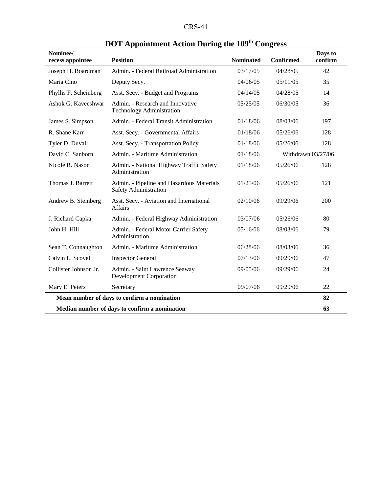| $CRS-41$ |  |
|----------|--|
|----------|--|

| Nominee/<br>recess appointee                  | <b>Position</b>                                                           | <b>Nominated</b> | Confirmed | Days to<br>confirm |
|-----------------------------------------------|---------------------------------------------------------------------------|------------------|-----------|--------------------|
| Joseph H. Boardman                            | Admin. - Federal Railroad Administration                                  | 03/17/05         | 04/28/05  | 42                 |
| Maria Cino                                    | Deputy Secy.                                                              | 04/06/05         | 05/11/05  | 35                 |
| Phyllis F. Scheinberg                         | Asst. Secy. - Budget and Programs                                         | 04/14/05         | 04/28/05  | 14                 |
| Ashok G. Kaveeshwar                           | Admin. - Research and Innovative<br><b>Technology Administration</b>      | 05/25/05         | 06/30/05  | 36                 |
| James S. Simpson                              | Admin. - Federal Transit Administration                                   | 01/18/06         | 08/03/06  | 197                |
| R. Shane Karr                                 | Asst. Secy. - Governmental Affairs                                        | 01/18/06         | 05/26/06  | 128                |
| Tyler D. Duvall                               | Asst. Secy. - Transportation Policy                                       | 01/18/06         | 05/26/06  | 128                |
| David C. Sanborn                              | Admin. - Maritime Administration                                          | 01/18/06         |           | Withdrawn 03/27/06 |
| Nicole R. Nason                               | Admin. - National Highway Traffic Safety<br>Administration                | 01/18/06         | 05/26/06  | 128                |
| Thomas J. Barrett                             | Admin. - Pipeline and Hazardous Materials<br><b>Safety Administration</b> | 01/25/06         | 05/26/06  | 121                |
| Andrew B. Steinberg                           | Asst. Secy. - Aviation and International<br><b>Affairs</b>                | 02/10/06         | 09/29/06  | 200                |
| J. Richard Capka                              | Admin. - Federal Highway Administration                                   | 03/07/06         | 05/26/06  | 80                 |
| John H. Hill                                  | Admin. - Federal Motor Carrier Safety<br>Administration                   | 05/16/06         | 08/03/06  | 79                 |
| Sean T. Connaughton                           | Admin. - Maritime Administration                                          | 06/28/06         | 08/03/06  | 36                 |
| Calvin L. Scovel                              | <b>Inspector General</b>                                                  | 07/13/06         | 09/29/06  | 47                 |
| Collister Johnson Jr.                         | Admin. - Saint Lawrence Seaway<br><b>Development Corporation</b>          | 09/05/06         | 09/29/06  | 24                 |
| Mary E. Peters                                | Secretary                                                                 | 09/07/06         | 09/29/06  | 22                 |
|                                               | Mean number of days to confirm a nomination                               |                  |           | 82                 |
| Median number of days to confirm a nomination |                                                                           |                  | 63        |                    |

# **DOT Appointment Action During the 109<sup>th</sup> Congress**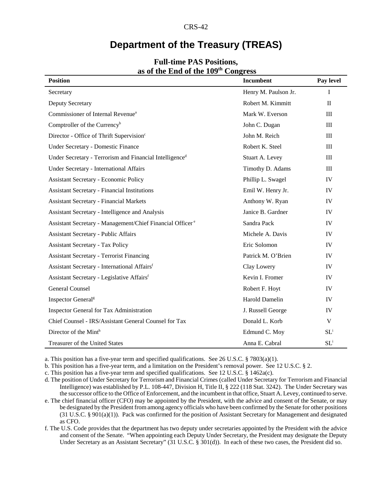# **Department of the Treasury (TREAS)**

| <b>Position</b>                                                       | <b>Incumbent</b><br>Pay level |              |
|-----------------------------------------------------------------------|-------------------------------|--------------|
| Secretary                                                             | Henry M. Paulson Jr.          | $\mathbf I$  |
| Deputy Secretary                                                      | Robert M. Kimmitt             | $\mathbf{I}$ |
| Commissioner of Internal Revenue <sup>a</sup>                         | Mark W. Everson               | $\rm III$    |
| Comptroller of the Currency <sup>b</sup>                              | John C. Dugan                 | $\rm III$    |
| Director - Office of Thrift Supervision <sup>c</sup>                  | John M. Reich                 | $\rm III$    |
| Under Secretary - Domestic Finance                                    | Robert K. Steel               | $\rm III$    |
| Under Secretary - Terrorism and Financial Intelligence <sup>d</sup>   | Stuart A. Levey               | $\rm III$    |
| Under Secretary - International Affairs                               | Timothy D. Adams              | III          |
| <b>Assistant Secretary - Economic Policy</b>                          | Phillip L. Swagel             | IV           |
| <b>Assistant Secretary - Financial Institutions</b>                   | Emil W. Henry Jr.             | IV           |
| <b>Assistant Secretary - Financial Markets</b>                        | Anthony W. Ryan               | IV           |
| Assistant Secretary - Intelligence and Analysis                       | Janice B. Gardner             | IV           |
| Assistant Secretary - Management/Chief Financial Officer <sup>e</sup> | Sandra Pack                   | IV           |
| <b>Assistant Secretary - Public Affairs</b>                           | Michele A. Davis              | IV           |
| <b>Assistant Secretary - Tax Policy</b>                               | Eric Solomon                  | IV           |
| <b>Assistant Secretary - Terrorist Financing</b>                      | Patrick M. O'Brien            | IV           |
| Assistant Secretary - International Affairsf                          | Clay Lowery                   | IV           |
| Assistant Secretary - Legislative Affairsf                            | Kevin I. Fromer               | IV           |
| <b>General Counsel</b>                                                | Robert F. Hoyt                | IV           |
| Inspector General <sup>g</sup>                                        | Harold Damelin                | IV           |
| Inspector General for Tax Administration                              | J. Russell George             | IV           |
| Chief Counsel - IRS/Assistant General Counsel for Tax                 | Donald L. Korb                | V            |
| Director of the Minth                                                 | Edmund C. Moy                 | $SL^i$       |
| Treasurer of the United States                                        | Anna E. Cabral                | $SL^i$       |

#### **Full-time PAS Positions, as of the End of the 109th Congress**

a. This position has a five-year term and specified qualifications. See 26 U.S.C. § 7803(a)(1).

b. This position has a five-year term, and a limitation on the President's removal power. See 12 U.S.C. § 2.

c. This position has a five-year term and specified qualifications. See 12 U.S.C. § 1462a(c).

d. The position of Under Secretary for Terrorism and Financial Crimes (called Under Secretary for Terrorism and Financial Intelligence) was established by P.L. 108-447, Division H, Title II, § 222 (118 Stat. 3242). The Under Secretary was the successor office to the Office of Enforcement, and the incumbent in that office, Stuart A. Levey, continued to serve. e. The chief financial officer (CFO) may be appointed by the President, with the advice and consent of the Senate, or may

be designated by the President from among agency officials who have been confirmed by the Senate for other positions (31 U.S.C. § 901(a)(1)). Pack was confirmed for the position of Assistant Secretary for Management and designated as CFO.

f. The U.S. Code provides that the department has two deputy under secretaries appointed by the President with the advice and consent of the Senate. "When appointing each Deputy Under Secretary, the President may designate the Deputy Under Secretary as an Assistant Secretary" (31 U.S.C. § 301(d)). In each of these two cases, the President did so.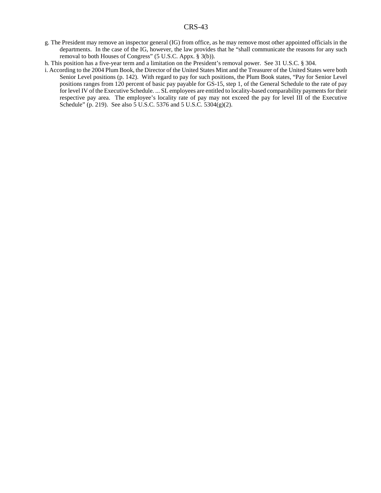g. The President may remove an inspector general (IG) from office, as he may remove most other appointed officials in the departments. In the case of the IG, however, the law provides that he "shall communicate the reasons for any such removal to both Houses of Congress" (5 U.S.C. Appx. § 3(b)).

h. This position has a five-year term and a limitation on the President's removal power. See 31 U.S.C. § 304.

i. According to the 2004 Plum Book, the Director of the United States Mint and the Treasurer of the United States were both Senior Level positions (p. 142). With regard to pay for such positions, the Plum Book states, "Pay for Senior Level positions ranges from 120 percent of basic pay payable for GS-15, step 1, of the General Schedule to the rate of pay for level IV of the Executive Schedule. ... SL employees are entitled to locality-based comparability payments for their respective pay area. The employee's locality rate of pay may not exceed the pay for level III of the Executive Schedule" (p. 219). See also 5 U.S.C. 5376 and 5 U.S.C. 5304(g)(2).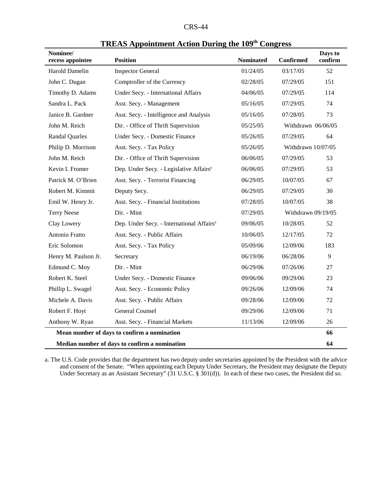| <b>CRS-44</b> |  |
|---------------|--|
|---------------|--|

| Nominee/<br>recess appointee | <b>Position</b>                                       | <b>Nominated</b> | <b>Confirmed</b>   | Days to<br>confirm |
|------------------------------|-------------------------------------------------------|------------------|--------------------|--------------------|
| Harold Damelin               | <b>Inspector General</b>                              | 01/24/05         | 03/17/05           | 52                 |
| John C. Dugan                | Comptroller of the Currency                           | 02/28/05         | 07/29/05           | 151                |
| Timothy D. Adams             | Under Secy. - International Affairs                   | 04/06/05         | 07/29/05           | 114                |
| Sandra L. Pack               | Asst. Secy. - Management                              | 05/16/05         | 07/29/05           | 74                 |
| Janice B. Gardner            | Asst. Secy. - Intelligence and Analysis               | 05/16/05         | 07/28/05           | 73                 |
| John M. Reich                | Dir. - Office of Thrift Supervision                   | 05/25/05         | Withdrawn 06/06/05 |                    |
| <b>Randal Quarles</b>        | Under Secy. - Domestic Finance                        | 05/26/05         | 07/29/05           | 64                 |
| Philip D. Morrison           | Asst. Secy. - Tax Policy                              | 05/26/05         | Withdrawn 10/07/05 |                    |
| John M. Reich                | Dir. - Office of Thrift Supervision                   | 06/06/05         | 07/29/05           | 53                 |
| Kevin I. Fromer              | Dep. Under Secy. - Legislative Affairs <sup>a</sup>   | 06/06/05         | 07/29/05           | 53                 |
| Patrick M. O'Brien           | Asst. Secy. - Terrorist Financing                     | 06/29/05         | 10/07/05           | 67                 |
| Robert M. Kimmit             | Deputy Secy.                                          | 06/29/05         | 07/29/05           | 30                 |
| Emil W. Henry Jr.            | Asst. Secy. - Financial Institutions                  | 07/28/05         | 10/07/05           | 38                 |
| <b>Terry Neese</b>           | Dir. - Mint                                           | 07/29/05         | Withdrawn 09/19/05 |                    |
| Clay Lowery                  | Dep. Under Secy. - International Affairs <sup>a</sup> | 09/06/05         | 10/28/05           | 52                 |
| Antonio Fratto               | Asst. Secy. - Public Affairs                          | 10/06/05         | 12/17/05           | 72                 |
| Eric Solomon                 | Asst. Secy. - Tax Policy                              | 05/09/06         | 12/09/06           | 183                |
| Henry M. Paulson Jr.         | Secretary                                             | 06/19/06         | 06/28/06           | 9                  |
| Edmund C. Moy                | Dir. - Mint                                           | 06/29/06         | 07/26/06           | 27                 |
| Robert K. Steel              | Under Secy. - Domestic Finance                        | 09/06/06         | 09/29/06           | 23                 |
| Phillip L. Swagel            | Asst. Secy. - Economic Policy                         | 09/26/06         | 12/09/06           | 74                 |
| Michele A. Davis             | Asst. Secy. - Public Affairs                          | 09/28/06         | 12/09/06           | 72                 |
| Robert F. Hoyt               | <b>General Counsel</b>                                | 09/29/06         | 12/09/06           | 71                 |
| Anthony W. Ryan              | Asst. Secy. - Financial Markets                       | 11/13/06         | 12/09/06           | 26                 |
|                              | Mean number of days to confirm a nomination           |                  |                    | 66                 |
|                              | Median number of days to confirm a nomination         |                  |                    | 64                 |

| <b>TREAS Appointment Action During the 109th Congress</b> |  |  |  |
|-----------------------------------------------------------|--|--|--|
|-----------------------------------------------------------|--|--|--|

a. The U.S. Code provides that the department has two deputy under secretaries appointed by the President with the advice and consent of the Senate. "When appointing each Deputy Under Secretary, the President may designate the Deputy Under Secretary as an Assistant Secretary" (31 U.S.C. § 301(d)). In each of these two cases, the President did so.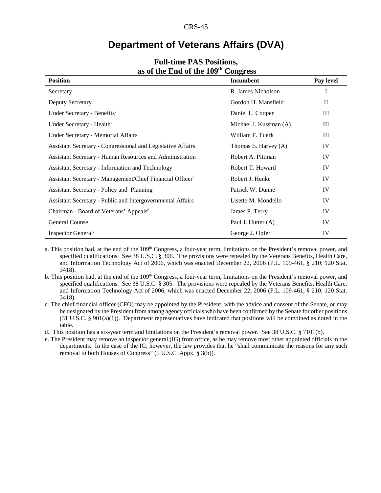### **Department of Veterans Affairs (DVA)**

| <b>Position</b>                                                       | Incumbent              | Pay level    |
|-----------------------------------------------------------------------|------------------------|--------------|
| Secretary                                                             | R. James Nicholson     | I            |
| Deputy Secretary                                                      | Gordon H. Mansfield    | $\mathbf{I}$ |
| Under Secretary - Benefits <sup>a</sup>                               | Daniel L. Cooper       | Ш            |
| Under Secretary - Health <sup>b</sup>                                 | Michael J. Kussman (A) | Ш            |
| Under Secretary - Memorial Affairs                                    | William F. Tuerk       | Ш            |
| Assistant Secretary - Congressional and Legislative Affairs           | Thomas E. Harvey (A)   | IV           |
| Assistant Secretary - Human Resources and Administration              | Robert A. Pittman      | IV           |
| <b>Assistant Secretary - Information and Technology</b>               | Robert T. Howard       | IV           |
| Assistant Secretary - Management/Chief Financial Officer <sup>c</sup> | Robert J. Henke        | IV           |
| Assistant Secretary - Policy and Planning                             | Patrick W. Dunne       | IV           |
| Assistant Secretary - Public and Intergovernmental Affairs            | Lisette M. Mondello    | IV           |
| Chairman - Board of Veterans' Appeals <sup>d</sup>                    | James P. Terry         | IV           |
| General Counsel                                                       | Paul J. Hutter (A)     | IV           |
| Inspector General <sup>e</sup>                                        | George J. Opfer        | IV           |

#### **Full-time PAS Positions, as of the End of the 109th Congress**

a. This position had, at the end of the  $109<sup>th</sup>$  Congress, a four-year term, limitations on the President's removal power, and specified qualifications. See 38 U.S.C. § 306. The provisions were repealed by the Veterans Benefits, Health Care, and Information Technology Act of 2006, which was enacted December 22, 2006 (P.L. 109-461, § 210; 120 Stat. 3418).

b. This position had, at the end of the 109<sup>th</sup> Congress, a four-year term, limitations on the President's removal power, and specified qualifications. See 38 U.S.C. § 305. The provisions were repealed by the Veterans Benefits, Health Care, and Information Technology Act of 2006, which was enacted December 22, 2006 (P.L. 109-461, § 210; 120 Stat. 3418).

c. The chief financial officer (CFO) may be appointed by the President, with the advice and consent of the Senate, or may be designated by the President from among agency officials who have been confirmed by the Senate for other positions (31 U.S.C. § 901(a)(1)). Department representatives have indicated that positions will be combined as noted in the table.

d. This position has a six-year term and limitations on the President's removal power. See 38 U.S.C. § 7101(b).

e. The President may remove an inspector general (IG) from office, as he may remove most other appointed officials in the departments. In the case of the IG, however, the law provides that he "shall communicate the reasons for any such removal to both Houses of Congress" (5 U.S.C. Appx. § 3(b)).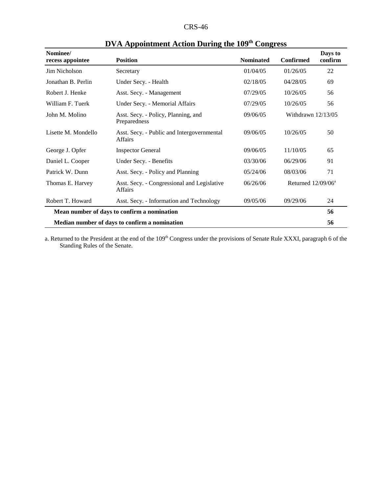| Nominee/<br>recess appointee | <b>Position</b>                                              | <b>Nominated</b> | <b>Confirmed</b>      | Days to<br>confirm |
|------------------------------|--------------------------------------------------------------|------------------|-----------------------|--------------------|
| Jim Nicholson                | Secretary                                                    | 01/04/05         | 01/26/05              | 22                 |
| Jonathan B. Perlin           | Under Secy. - Health                                         | 02/18/05         | 04/28/05              | 69                 |
| Robert J. Henke              | Asst. Secy. - Management                                     | 07/29/05         | 10/26/05              | 56                 |
| William F. Tuerk             | Under Secy. - Memorial Affairs                               | 07/29/05         | 10/26/05              | 56                 |
| John M. Molino               | Asst. Secy. - Policy, Planning, and<br>Preparedness          | 09/06/05         | Withdrawn $12/13/05$  |                    |
| Lisette M. Mondello          | Asst. Secy. - Public and Intergovernmental<br><b>Affairs</b> | 09/06/05         | 10/26/05              | 50                 |
| George J. Opfer              | <b>Inspector General</b>                                     | 09/06/05         | 11/10/05              | 65                 |
| Daniel L. Cooper             | Under Secy. - Benefits                                       | 03/30/06         | 06/29/06              | 91                 |
| Patrick W. Dunn              | Asst. Secy. - Policy and Planning                            | 05/24/06         | 08/03/06              | 71                 |
| Thomas E. Harvey             | Asst. Secy. - Congressional and Legislative<br>Affairs       | 06/26/06         | Returned $12/09/06^a$ |                    |
| Robert T. Howard             | Asst. Secy. - Information and Technology                     | 09/05/06         | 09/29/06              | 24                 |
|                              | Mean number of days to confirm a nomination                  |                  |                       | 56                 |
|                              | Median number of days to confirm a nomination                |                  |                       | 56                 |

# **DVA Appointment Action During the 109th Congress**

a. Returned to the President at the end of the 109<sup>th</sup> Congress under the provisions of Senate Rule XXXI, paragraph 6 of the Standing Rules of the Senate.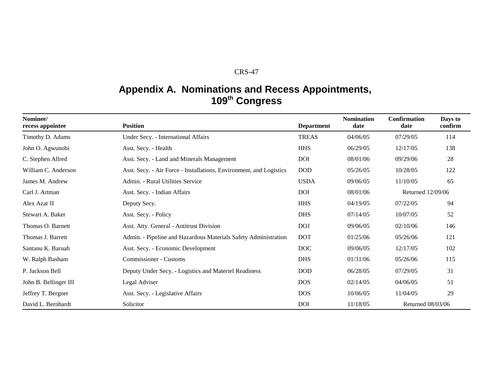# **Appendix A. Nominations and Recess Appointments, <sup>109</sup>th Congress**

| Nominee/<br>recess appointee | <b>Position</b>                                                     | <b>Department</b> | <b>Nomination</b><br>date | <b>Confirmation</b><br>date | Days to<br>confirm |
|------------------------------|---------------------------------------------------------------------|-------------------|---------------------------|-----------------------------|--------------------|
| Timothy D. Adams             | Under Secy. - International Affairs                                 | <b>TREAS</b>      | 04/06/05                  | 07/29/05                    | 114                |
| John O. Agwunobi             | Asst. Secy. - Health                                                | <b>HHS</b>        | 06/29/05                  | 12/17/05                    | 138                |
| C. Stephen Allred            | Asst. Secy. - Land and Minerals Management                          | <b>DOI</b>        | 08/01/06                  | 09/29/06                    | 28                 |
| William C. Anderson          | Asst. Secy. - Air Force - Installations, Environment, and Logistics | <b>DOD</b>        | 05/26/05                  | 10/28/05                    | 122                |
| James M. Andrew              | Admin. - Rural Utilities Service                                    | <b>USDA</b>       | 09/06/05                  | 11/10/05                    | 65                 |
| Carl J. Artman               | Asst. Secy. - Indian Affairs                                        | <b>DOI</b>        | 08/01/06                  | Returned 12/09/06           |                    |
| Alex Azar II                 | Deputy Secy.                                                        | <b>HHS</b>        | 04/19/05                  | 07/22/05                    | 94                 |
| Stewart A. Baker             | Asst. Secy. - Policy                                                | <b>DHS</b>        | 07/14/05                  | 10/07/05                    | 52                 |
| Thomas O. Barnett            | Asst. Atty. General - Antitrust Division                            | <b>DOJ</b>        | 09/06/05                  | 02/10/06                    | 146                |
| Thomas J. Barrett            | Admin. - Pipeline and Hazardous Materials Safety Administration     | <b>DOT</b>        | 01/25/06                  | 05/26/06                    | 121                |
| Santanu K. Baruah            | Asst. Secy. - Economic Development                                  | <b>DOC</b>        | 09/06/05                  | 12/17/05                    | 102                |
| W. Ralph Basham              | <b>Commissioner - Customs</b>                                       | <b>DHS</b>        | 01/31/06                  | 05/26/06                    | 115                |
| P. Jackson Bell              | Deputy Under Secy. - Logistics and Materiel Readiness               | <b>DOD</b>        | 06/28/05                  | 07/29/05                    | 31                 |
| John B. Bellinger III        | Legal Adviser                                                       | <b>DOS</b>        | 02/14/05                  | 04/06/05                    | 51                 |
| Jeffrey T. Bergner           | Asst. Secy. - Legislative Affairs                                   | <b>DOS</b>        | 10/06/05                  | 11/04/05                    | 29                 |
| David L. Bernhardt           | Solicitor                                                           | <b>DOI</b>        | 11/18/05                  | Returned 08/03/06           |                    |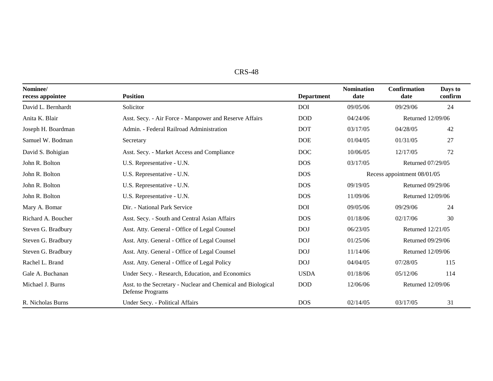| CRS-48 |
|--------|
|--------|

| Nominee/<br>recess appointee | <b>Position</b>                                                                  | <b>Department</b> | <b>Nomination</b><br>date | <b>Confirmation</b><br>date | Days to<br>confirm |
|------------------------------|----------------------------------------------------------------------------------|-------------------|---------------------------|-----------------------------|--------------------|
| David L. Bernhardt           | Solicitor                                                                        | <b>DOI</b>        | 09/05/06                  | 09/29/06                    | 24                 |
| Anita K. Blair               | Asst. Secy. - Air Force - Manpower and Reserve Affairs                           | <b>DOD</b>        | 04/24/06                  | Returned 12/09/06           |                    |
| Joseph H. Boardman           | Admin. - Federal Railroad Administration                                         | <b>DOT</b>        | 03/17/05                  | 04/28/05                    | 42                 |
| Samuel W. Bodman             | Secretary                                                                        | <b>DOE</b>        | 01/04/05                  | 01/31/05                    | 27                 |
| David S. Bohigian            | Asst. Secy. - Market Access and Compliance                                       | <b>DOC</b>        | 10/06/05                  | 12/17/05                    | 72                 |
| John R. Bolton               | U.S. Representative - U.N.                                                       | <b>DOS</b>        | 03/17/05                  | Returned 07/29/05           |                    |
| John R. Bolton               | U.S. Representative - U.N.                                                       | <b>DOS</b>        |                           | Recess appointment 08/01/05 |                    |
| John R. Bolton               | U.S. Representative - U.N.                                                       | <b>DOS</b>        | 09/19/05                  | Returned 09/29/06           |                    |
| John R. Bolton               | U.S. Representative - U.N.                                                       | <b>DOS</b>        | 11/09/06                  | Returned 12/09/06           |                    |
| Mary A. Bomar                | Dir. - National Park Service                                                     | <b>DOI</b>        | 09/05/06                  | 09/29/06                    | 24                 |
| Richard A. Boucher           | Asst. Secy. - South and Central Asian Affairs                                    | <b>DOS</b>        | 01/18/06                  | 02/17/06                    | 30                 |
| Steven G. Bradbury           | Asst. Atty. General - Office of Legal Counsel                                    | <b>DOJ</b>        | 06/23/05                  | Returned 12/21/05           |                    |
| Steven G. Bradbury           | Asst. Atty. General - Office of Legal Counsel                                    | <b>DOJ</b>        | 01/25/06                  | Returned 09/29/06           |                    |
| Steven G. Bradbury           | Asst. Atty. General - Office of Legal Counsel                                    | <b>DOJ</b>        | 11/14/06                  | Returned 12/09/06           |                    |
| Rachel L. Brand              | Asst. Atty. General - Office of Legal Policy                                     | <b>DOJ</b>        | 04/04/05                  | 07/28/05                    | 115                |
| Gale A. Buchanan             | Under Secy. - Research, Education, and Economics                                 | <b>USDA</b>       | 01/18/06                  | 05/12/06                    | 114                |
| Michael J. Burns             | Asst. to the Secretary - Nuclear and Chemical and Biological<br>Defense Programs | <b>DOD</b>        | 12/06/06                  | Returned 12/09/06           |                    |
| R. Nicholas Burns            | Under Secy. - Political Affairs                                                  | <b>DOS</b>        | 02/14/05                  | 03/17/05                    | 31                 |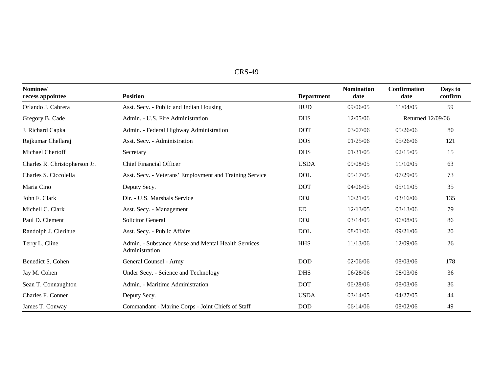| CRS-49 |  |
|--------|--|
|--------|--|

| Nominee/<br>recess appointee  | <b>Position</b>                                                       | <b>Department</b> | <b>Nomination</b><br>date | <b>Confirmation</b><br>date | Days to<br>confirm |
|-------------------------------|-----------------------------------------------------------------------|-------------------|---------------------------|-----------------------------|--------------------|
| Orlando J. Cabrera            | Asst. Secy. - Public and Indian Housing                               | <b>HUD</b>        | 09/06/05                  | 11/04/05                    | 59                 |
| Gregory B. Cade               | Admin. - U.S. Fire Administration                                     | <b>DHS</b>        | 12/05/06                  | Returned 12/09/06           |                    |
| J. Richard Capka              | Admin. - Federal Highway Administration                               | <b>DOT</b>        | 03/07/06                  | 05/26/06                    | 80                 |
| Rajkumar Chellaraj            | Asst. Secy. - Administration                                          | <b>DOS</b>        | 01/25/06                  | 05/26/06                    | 121                |
| Michael Chertoff              | Secretary                                                             | <b>DHS</b>        | 01/31/05                  | 02/15/05                    | 15                 |
| Charles R. Christopherson Jr. | <b>Chief Financial Officer</b>                                        | <b>USDA</b>       | 09/08/05                  | 11/10/05                    | 63                 |
| Charles S. Ciccolella         | Asst. Secy. - Veterans' Employment and Training Service               | <b>DOL</b>        | 05/17/05                  | 07/29/05                    | 73                 |
| Maria Cino                    | Deputy Secy.                                                          | <b>DOT</b>        | 04/06/05                  | 05/11/05                    | 35                 |
| John F. Clark                 | Dir. - U.S. Marshals Service                                          | <b>DOJ</b>        | 10/21/05                  | 03/16/06                    | 135                |
| Michell C. Clark              | Asst. Secy. - Management                                              | ED                | 12/13/05                  | 03/13/06                    | 79                 |
| Paul D. Clement               | <b>Solicitor General</b>                                              | <b>DOJ</b>        | 03/14/05                  | 06/08/05                    | 86                 |
| Randolph J. Clerihue          | Asst. Secy. - Public Affairs                                          | <b>DOL</b>        | 08/01/06                  | 09/21/06                    | 20                 |
| Terry L. Cline                | Admin. - Substance Abuse and Mental Health Services<br>Administration | <b>HHS</b>        | 11/13/06                  | 12/09/06                    | 26                 |
| Benedict S. Cohen             | General Counsel - Army                                                | <b>DOD</b>        | 02/06/06                  | 08/03/06                    | 178                |
| Jay M. Cohen                  | Under Secy. - Science and Technology                                  | <b>DHS</b>        | 06/28/06                  | 08/03/06                    | 36                 |
| Sean T. Connaughton           | Admin. - Maritime Administration                                      | <b>DOT</b>        | 06/28/06                  | 08/03/06                    | 36                 |
| Charles F. Conner             | Deputy Secy.                                                          | <b>USDA</b>       | 03/14/05                  | 04/27/05                    | 44                 |
| James T. Conway               | Commandant - Marine Corps - Joint Chiefs of Staff                     | <b>DOD</b>        | 06/14/06                  | 08/02/06                    | 49                 |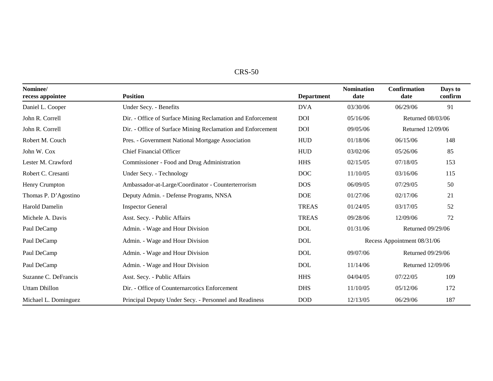| $CRS-50$ |
|----------|
|----------|

| Nominee/<br>recess appointee | <b>Position</b>                                             | <b>Department</b> | <b>Nomination</b><br>date | <b>Confirmation</b><br>date | Days to<br>confirm |
|------------------------------|-------------------------------------------------------------|-------------------|---------------------------|-----------------------------|--------------------|
| Daniel L. Cooper             | Under Secy. - Benefits                                      | <b>DVA</b>        | 03/30/06                  | 06/29/06                    | 91                 |
| John R. Correll              | Dir. - Office of Surface Mining Reclamation and Enforcement | <b>DOI</b>        | 05/16/06                  | Returned 08/03/06           |                    |
| John R. Correll              | Dir. - Office of Surface Mining Reclamation and Enforcement | <b>DOI</b>        | 09/05/06                  | Returned 12/09/06           |                    |
| Robert M. Couch              | Pres. - Government National Mortgage Association            | <b>HUD</b>        | 01/18/06                  | 06/15/06                    | 148                |
| John W. Cox                  | <b>Chief Financial Officer</b>                              | <b>HUD</b>        | 03/02/06                  | 05/26/06                    | 85                 |
| Lester M. Crawford           | Commissioner - Food and Drug Administration                 | <b>HHS</b>        | 02/15/05                  | 07/18/05                    | 153                |
| Robert C. Cresanti           | Under Secy. - Technology                                    | <b>DOC</b>        | 11/10/05                  | 03/16/06                    | 115                |
| Henry Crumpton               | Ambassador-at-Large/Coordinator - Counterterrorism          | <b>DOS</b>        | 06/09/05                  | 07/29/05                    | 50                 |
| Thomas P. D'Agostino         | Deputy Admin. - Defense Programs, NNSA                      | <b>DOE</b>        | 01/27/06                  | 02/17/06                    | 21                 |
| Harold Damelin               | <b>Inspector General</b>                                    | <b>TREAS</b>      | 01/24/05                  | 03/17/05                    | 52                 |
| Michele A. Davis             | Asst. Secy. - Public Affairs                                | <b>TREAS</b>      | 09/28/06                  | 12/09/06                    | 72                 |
| Paul DeCamp                  | Admin. - Wage and Hour Division                             | <b>DOL</b>        | 01/31/06                  | Returned 09/29/06           |                    |
| Paul DeCamp                  | Admin. - Wage and Hour Division                             | <b>DOL</b>        |                           | Recess Appointment 08/31/06 |                    |
| Paul DeCamp                  | Admin. - Wage and Hour Division                             | <b>DOL</b>        | 09/07/06                  | Returned 09/29/06           |                    |
| Paul DeCamp                  | Admin. - Wage and Hour Division                             | <b>DOL</b>        | 11/14/06                  | Returned 12/09/06           |                    |
| Suzanne C. DeFrancis         | Asst. Secy. - Public Affairs                                | <b>HHS</b>        | 04/04/05                  | 07/22/05                    | 109                |
| <b>Uttam Dhillon</b>         | Dir. - Office of Counternarcotics Enforcement               | <b>DHS</b>        | 11/10/05                  | 05/12/06                    | 172                |
| Michael L. Dominguez         | Principal Deputy Under Secy. - Personnel and Readiness      | <b>DOD</b>        | 12/13/05                  | 06/29/06                    | 187                |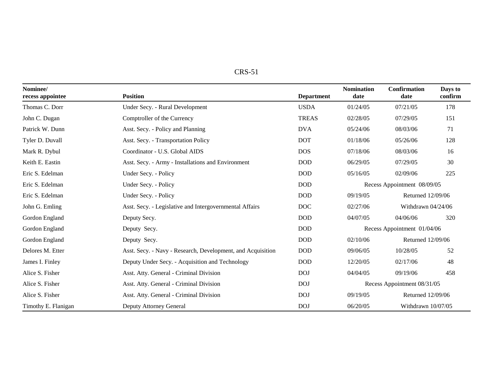| п.<br>יי<br>$\mathbf{L}$ |  |
|--------------------------|--|
|--------------------------|--|

| Nominee/<br>recess appointee | <b>Position</b>                                             | <b>Department</b> | <b>Nomination</b><br>date   | <b>Confirmation</b><br>date | Days to<br>confirm |
|------------------------------|-------------------------------------------------------------|-------------------|-----------------------------|-----------------------------|--------------------|
| Thomas C. Dorr               | Under Secy. - Rural Development                             | <b>USDA</b>       | 01/24/05                    | 07/21/05                    | 178                |
| John C. Dugan                | Comptroller of the Currency                                 | <b>TREAS</b>      | 02/28/05                    | 07/29/05                    | 151                |
| Patrick W. Dunn              | Asst. Secy. - Policy and Planning                           | <b>DVA</b>        | 05/24/06                    | 08/03/06                    | 71                 |
| Tyler D. Duvall              | Asst. Secy. - Transportation Policy                         | <b>DOT</b>        | 01/18/06                    | 05/26/06                    | 128                |
| Mark R. Dybul                | Coordinator - U.S. Global AIDS                              | <b>DOS</b>        | 07/18/06                    | 08/03/06                    | 16                 |
| Keith E. Eastin              | Asst. Secy. - Army - Installations and Environment          | <b>DOD</b>        | 06/29/05                    | 07/29/05                    | 30                 |
| Eric S. Edelman              | Under Secy. - Policy                                        | <b>DOD</b>        | 05/16/05                    | 02/09/06                    | 225                |
| Eric S. Edelman              | Under Secy. - Policy                                        | <b>DOD</b>        |                             | Recess Appointment 08/09/05 |                    |
| Eric S. Edelman              | Under Secy. - Policy                                        | <b>DOD</b>        | 09/19/05                    | Returned 12/09/06           |                    |
| John G. Emling               | Asst. Secy. - Legislative and Intergovernmental Affairs     | <b>DOC</b>        | 02/27/06                    | Withdrawn 04/24/06          |                    |
| Gordon England               | Deputy Secy.                                                | <b>DOD</b>        | 04/07/05                    | 04/06/06                    | 320                |
| Gordon England               | Deputy Secy.                                                | <b>DOD</b>        |                             | Recess Appointment 01/04/06 |                    |
| Gordon England               | Deputy Secy.                                                | <b>DOD</b>        | 02/10/06                    | Returned 12/09/06           |                    |
| Delores M. Etter             | Asst. Secy. - Navy - Research, Development, and Acquisition | <b>DOD</b>        | 09/06/05                    | 10/28/05                    | 52                 |
| James I. Finley              | Deputy Under Secy. - Acquisition and Technology             | <b>DOD</b>        | 12/20/05                    | 02/17/06                    | 48                 |
| Alice S. Fisher              | Asst. Atty. General - Criminal Division                     | <b>DOJ</b>        | 04/04/05                    | 09/19/06                    | 458                |
| Alice S. Fisher              | Asst. Atty. General - Criminal Division                     | <b>DOJ</b>        | Recess Appointment 08/31/05 |                             |                    |
| Alice S. Fisher              | Asst. Atty. General - Criminal Division                     | <b>DOJ</b>        | 09/19/05                    | Returned 12/09/06           |                    |
| Timothy E. Flanigan          | Deputy Attorney General                                     | <b>DOJ</b>        | 06/20/05                    | Withdrawn 10/07/05          |                    |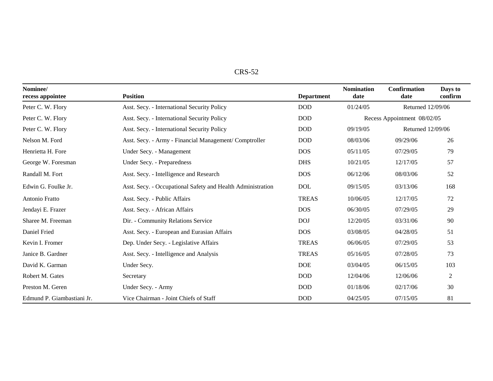| י מ<br>٢.<br>AD. |
|------------------|
|------------------|

| Nominee/<br>recess appointee | <b>Position</b>                                             | <b>Department</b> | <b>Nomination</b><br>date | <b>Confirmation</b><br>date | Days to<br>confirm |
|------------------------------|-------------------------------------------------------------|-------------------|---------------------------|-----------------------------|--------------------|
| Peter C. W. Flory            | Asst. Secy. - International Security Policy                 | <b>DOD</b>        | 01/24/05                  | Returned 12/09/06           |                    |
| Peter C. W. Flory            | Asst. Secy. - International Security Policy                 | <b>DOD</b>        |                           | Recess Appointment 08/02/05 |                    |
| Peter C. W. Flory            | Asst. Secy. - International Security Policy                 | <b>DOD</b>        | 09/19/05                  | Returned 12/09/06           |                    |
| Nelson M. Ford               | Asst. Secy. - Army - Financial Management/ Comptroller      | <b>DOD</b>        | 08/03/06                  | 09/29/06                    | 26                 |
| Henrietta H. Fore            | Under Secy. - Management                                    | <b>DOS</b>        | 05/11/05                  | 07/29/05                    | 79                 |
| George W. Foresman           | Under Secy. - Preparedness                                  | <b>DHS</b>        | 10/21/05                  | 12/17/05                    | 57                 |
| Randall M. Fort              | Asst. Secy. - Intelligence and Research                     | <b>DOS</b>        | 06/12/06                  | 08/03/06                    | 52                 |
| Edwin G. Foulke Jr.          | Asst. Secy. - Occupational Safety and Health Administration | <b>DOL</b>        | 09/15/05                  | 03/13/06                    | 168                |
| Antonio Fratto               | Asst. Secy. - Public Affairs                                | <b>TREAS</b>      | 10/06/05                  | 12/17/05                    | 72                 |
| Jendayi E. Frazer            | Asst. Secy. - African Affairs                               | <b>DOS</b>        | 06/30/05                  | 07/29/05                    | 29                 |
| Sharee M. Freeman            | Dir. - Community Relations Service                          | <b>DOJ</b>        | 12/20/05                  | 03/31/06                    | 90                 |
| Daniel Fried                 | Asst. Secy. - European and Eurasian Affairs                 | <b>DOS</b>        | 03/08/05                  | 04/28/05                    | 51                 |
| Kevin I. Fromer              | Dep. Under Secy. - Legislative Affairs                      | <b>TREAS</b>      | 06/06/05                  | 07/29/05                    | 53                 |
| Janice B. Gardner            | Asst. Secy. - Intelligence and Analysis                     | <b>TREAS</b>      | 05/16/05                  | 07/28/05                    | 73                 |
| David K. Garman              | Under Secy.                                                 | <b>DOE</b>        | 03/04/05                  | 06/15/05                    | 103                |
| Robert M. Gates              | Secretary                                                   | <b>DOD</b>        | 12/04/06                  | 12/06/06                    | $\overline{2}$     |
| Preston M. Geren             | Under Secy. - Army                                          | <b>DOD</b>        | 01/18/06                  | 02/17/06                    | 30                 |
| Edmund P. Giambastiani Jr.   | Vice Chairman - Joint Chiefs of Staff                       | <b>DOD</b>        | 04/25/05                  | 07/15/05                    | 81                 |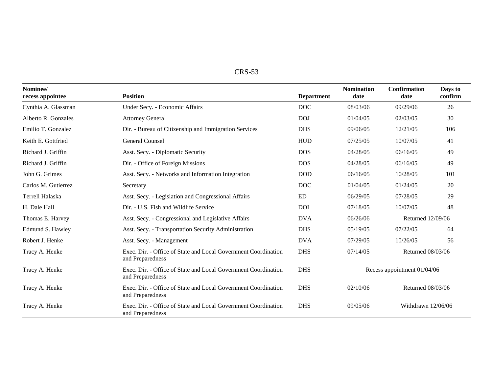| DС<br>- טברו |
|--------------|
|--------------|

| Nominee/<br>recess appointee | <b>Position</b>                                                                    | <b>Department</b> | <b>Nomination</b><br>date   | <b>Confirmation</b><br>date | Days to<br>confirm |
|------------------------------|------------------------------------------------------------------------------------|-------------------|-----------------------------|-----------------------------|--------------------|
| Cynthia A. Glassman          | Under Secy. - Economic Affairs                                                     | <b>DOC</b>        | 08/03/06                    | 09/29/06                    | 26                 |
| Alberto R. Gonzales          | <b>Attorney General</b>                                                            | <b>DOJ</b>        | 01/04/05                    | 02/03/05                    | 30                 |
| Emilio T. Gonzalez           | Dir. - Bureau of Citizenship and Immigration Services                              | <b>DHS</b>        | 09/06/05                    | 12/21/05                    | 106                |
| Keith E. Gottfried           | <b>General Counsel</b>                                                             | <b>HUD</b>        | 07/25/05                    | 10/07/05                    | 41                 |
| Richard J. Griffin           | Asst. Secy. - Diplomatic Security                                                  | <b>DOS</b>        | 04/28/05                    | 06/16/05                    | 49                 |
| Richard J. Griffin           | Dir. - Office of Foreign Missions                                                  | <b>DOS</b>        | 04/28/05                    | 06/16/05                    | 49                 |
| John G. Grimes               | Asst. Secy. - Networks and Information Integration                                 | <b>DOD</b>        | 06/16/05                    | 10/28/05                    | 101                |
| Carlos M. Gutierrez          | Secretary                                                                          | <b>DOC</b>        | 01/04/05                    | 01/24/05                    | 20                 |
| Terrell Halaska              | Asst. Secy. - Legislation and Congressional Affairs                                | ED                | 06/29/05                    | 07/28/05                    | 29                 |
| H. Dale Hall                 | Dir. - U.S. Fish and Wildlife Service                                              | <b>DOI</b>        | 07/18/05                    | 10/07/05                    | 48                 |
| Thomas E. Harvey             | Asst. Secy. - Congressional and Legislative Affairs                                | <b>DVA</b>        | 06/26/06                    | Returned 12/09/06           |                    |
| Edmund S. Hawley             | Asst. Secy. - Transportation Security Administration                               | <b>DHS</b>        | 05/19/05                    | 07/22/05                    | 64                 |
| Robert J. Henke              | Asst. Secy. - Management                                                           | <b>DVA</b>        | 07/29/05                    | 10/26/05                    | 56                 |
| Tracy A. Henke               | Exec. Dir. - Office of State and Local Government Coordination<br>and Preparedness | <b>DHS</b>        | 07/14/05                    | Returned 08/03/06           |                    |
| Tracy A. Henke               | Exec. Dir. - Office of State and Local Government Coordination<br>and Preparedness | <b>DHS</b>        | Recess appointment 01/04/06 |                             |                    |
| Tracy A. Henke               | Exec. Dir. - Office of State and Local Government Coordination<br>and Preparedness | <b>DHS</b>        | 02/10/06                    | Returned 08/03/06           |                    |
| Tracy A. Henke               | Exec. Dir. - Office of State and Local Government Coordination<br>and Preparedness | <b>DHS</b>        | 09/05/06                    | Withdrawn 12/06/06          |                    |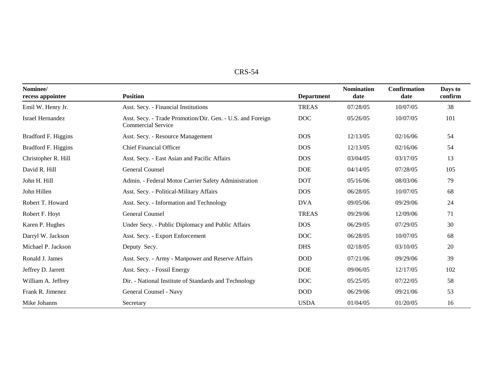| י פי<br>س\، |
|-------------|
|-------------|

| Nominee/<br>recess appointee | <b>Position</b>                                                                         | <b>Department</b> | <b>Nomination</b><br>date | <b>Confirmation</b><br>date | Days to<br>confirm |
|------------------------------|-----------------------------------------------------------------------------------------|-------------------|---------------------------|-----------------------------|--------------------|
| Emil W. Henry Jr.            | Asst. Secy. - Financial Institutions                                                    | <b>TREAS</b>      | 07/28/05                  | 10/07/05                    | 38                 |
| Israel Hernandez             | Asst. Secy. - Trade Promotion/Dir. Gen. - U.S. and Foreign<br><b>Commercial Service</b> | <b>DOC</b>        | 05/26/05                  | 10/07/05                    | 101                |
| Bradford F. Higgins          | Asst. Secy. - Resource Management                                                       | <b>DOS</b>        | 12/13/05                  | 02/16/06                    | 54                 |
| Bradford F. Higgins          | <b>Chief Financial Officer</b>                                                          | <b>DOS</b>        | 12/13/05                  | 02/16/06                    | 54                 |
| Christopher R. Hill          | Asst. Secy. - East Asian and Pacific Affairs                                            | <b>DOS</b>        | 03/04/05                  | 03/17/05                    | 13                 |
| David R. Hill                | General Counsel                                                                         | <b>DOE</b>        | 04/14/05                  | 07/28/05                    | 105                |
| John H. Hill                 | Admin. - Federal Motor Carrier Safety Administration                                    | <b>DOT</b>        | 05/16/06                  | 08/03/06                    | 79                 |
| John Hillen                  | Asst. Secy. - Political-Military Affairs                                                | <b>DOS</b>        | 06/28/05                  | 10/07/05                    | 68                 |
| Robert T. Howard             | Asst. Secy. - Information and Technology                                                | <b>DVA</b>        | 09/05/06                  | 09/29/06                    | 24                 |
| Robert F. Hoyt               | General Counsel                                                                         | <b>TREAS</b>      | 09/29/06                  | 12/09/06                    | 71                 |
| Karen P. Hughes              | Under Secy. - Public Diplomacy and Public Affairs                                       | <b>DOS</b>        | 06/29/05                  | 07/29/05                    | 30                 |
| Darryl W. Jackson            | Asst. Secy. - Export Enforcement                                                        | <b>DOC</b>        | 06/28/05                  | 10/07/05                    | 68                 |
| Michael P. Jackson           | Deputy Secy.                                                                            | <b>DHS</b>        | 02/18/05                  | 03/10/05                    | 20                 |
| Ronald J. James              | Asst. Secy. - Army - Manpower and Reserve Affairs                                       | <b>DOD</b>        | 07/21/06                  | 09/29/06                    | 39                 |
| Jeffrey D. Jarrett           | Asst. Secy. - Fossil Energy                                                             | <b>DOE</b>        | 09/06/05                  | 12/17/05                    | 102                |
| William A. Jeffrey           | Dir. - National Institute of Standards and Technology                                   | <b>DOC</b>        | 05/25/05                  | 07/22/05                    | 58                 |
| Frank R. Jimenez             | General Counsel - Navy                                                                  | <b>DOD</b>        | 06/29/06                  | 09/21/06                    | 53                 |
| Mike Johanns                 | Secretary                                                                               | <b>USDA</b>       | 01/04/05                  | 01/20/05                    | 16                 |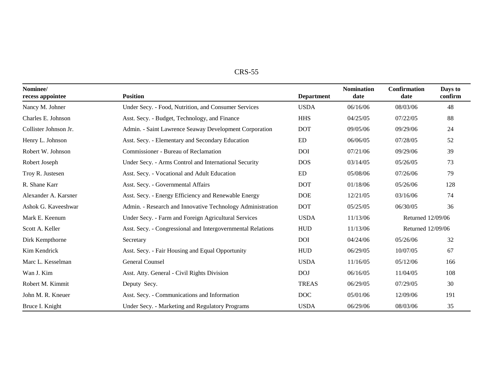| . гэ н<br>ינו אי |
|------------------|
|------------------|

| Nominee/<br>recess appointee | <b>Position</b>                                             | <b>Department</b> | <b>Nomination</b><br>date | <b>Confirmation</b><br>date | Days to<br>confirm |
|------------------------------|-------------------------------------------------------------|-------------------|---------------------------|-----------------------------|--------------------|
| Nancy M. Johner              | Under Secy. - Food, Nutrition, and Consumer Services        | <b>USDA</b>       | 06/16/06                  | 08/03/06                    | 48                 |
| Charles E. Johnson           | Asst. Secy. - Budget, Technology, and Finance               | <b>HHS</b>        | 04/25/05                  | 07/22/05                    | 88                 |
| Collister Johnson Jr.        | Admin. - Saint Lawrence Seaway Development Corporation      | <b>DOT</b>        | 09/05/06                  | 09/29/06                    | 24                 |
| Henry L. Johnson             | Asst. Secy. - Elementary and Secondary Education            | <b>ED</b>         | 06/06/05                  | 07/28/05                    | 52                 |
| Robert W. Johnson            | Commissioner - Bureau of Reclamation                        | <b>DOI</b>        | 07/21/06                  | 09/29/06                    | 39                 |
| Robert Joseph                | Under Secy. - Arms Control and International Security       | <b>DOS</b>        | 03/14/05                  | 05/26/05                    | 73                 |
| Troy R. Justesen             | Asst. Secy. - Vocational and Adult Education                | ED                | 05/08/06                  | 07/26/06                    | 79                 |
| R. Shane Karr                | Asst. Secy. - Governmental Affairs                          | <b>DOT</b>        | 01/18/06                  | 05/26/06                    | 128                |
| Alexander A. Karsner         | Asst. Secy. - Energy Efficiency and Renewable Energy        | <b>DOE</b>        | 12/21/05                  | 03/16/06                    | 74                 |
| Ashok G. Kaveeshwar          | Admin. - Research and Innovative Technology Administration  | <b>DOT</b>        | 05/25/05                  | 06/30/05                    | 36                 |
| Mark E. Keenum               | Under Secy. - Farm and Foreign Agricultural Services        | <b>USDA</b>       | 11/13/06                  | Returned 12/09/06           |                    |
| Scott A. Keller              | Asst. Secy. - Congressional and Intergovernmental Relations | <b>HUD</b>        | 11/13/06                  | Returned 12/09/06           |                    |
| Dirk Kempthorne              | Secretary                                                   | <b>DOI</b>        | 04/24/06                  | 05/26/06                    | 32                 |
| Kim Kendrick                 | Asst. Secy. - Fair Housing and Equal Opportunity            | <b>HUD</b>        | 06/29/05                  | 10/07/05                    | 67                 |
| Marc L. Kesselman            | General Counsel                                             | <b>USDA</b>       | 11/16/05                  | 05/12/06                    | 166                |
| Wan J. Kim                   | Asst. Atty. General - Civil Rights Division                 | <b>DOJ</b>        | 06/16/05                  | 11/04/05                    | 108                |
| Robert M. Kimmit             | Deputy Secy.                                                | <b>TREAS</b>      | 06/29/05                  | 07/29/05                    | 30                 |
| John M. R. Kneuer            | Asst. Secy. - Communications and Information                | <b>DOC</b>        | 05/01/06                  | 12/09/06                    | 191                |
| Bruce I. Knight              | Under Secy. - Marketing and Regulatory Programs             | <b>USDA</b>       | 06/29/06                  | 08/03/06                    | 35                 |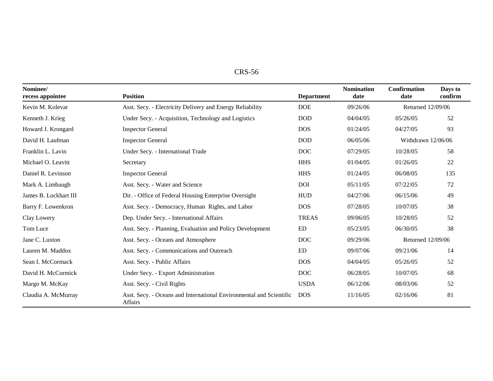| <b>CRS-56</b> |
|---------------|
|---------------|

| Nominee/<br>recess appointee | <b>Position</b>                                                                | <b>Department</b> | <b>Nomination</b><br>date | <b>Confirmation</b><br>date | Days to<br>confirm |
|------------------------------|--------------------------------------------------------------------------------|-------------------|---------------------------|-----------------------------|--------------------|
| Kevin M. Kolevar             | Asst. Secy. - Electricity Delivery and Energy Reliability                      | <b>DOE</b>        | 09/26/06                  | Returned 12/09/06           |                    |
| Kenneth J. Krieg             | Under Secy. - Acquisition, Technology and Logistics                            | <b>DOD</b>        | 04/04/05                  | 05/26/05                    | 52                 |
| Howard J. Krongard           | <b>Inspector General</b>                                                       | <b>DOS</b>        | 01/24/05                  | 04/27/05                    | 93                 |
| David H. Laufman             | <b>Inspector General</b>                                                       | <b>DOD</b>        | 06/05/06                  | Withdrawn 12/06/06          |                    |
| Franklin L. Lavin            | Under Secy. - International Trade                                              | <b>DOC</b>        | 07/29/05                  | 10/28/05                    | 58                 |
| Michael O. Leavitt           | Secretary                                                                      | <b>HHS</b>        | 01/04/05                  | 01/26/05                    | 22                 |
| Daniel R. Levinson           | <b>Inspector General</b>                                                       | <b>HHS</b>        | 01/24/05                  | 06/08/05                    | 135                |
| Mark A. Limbaugh             | Asst. Secy. - Water and Science                                                | <b>DOI</b>        | 05/11/05                  | 07/22/05                    | 72                 |
| James B. Lockhart III        | Dir. - Office of Federal Housing Enterprise Oversight                          | <b>HUD</b>        | 04/27/06                  | 06/15/06                    | 49                 |
| Barry F. Lowenkron           | Asst. Secy. - Democracy, Human Rights, and Labor                               | <b>DOS</b>        | 07/28/05                  | 10/07/05                    | 38                 |
| Clay Lowery                  | Dep. Under Secy. - International Affairs                                       | <b>TREAS</b>      | 09/06/05                  | 10/28/05                    | 52                 |
| Tom Luce                     | Asst. Secy. - Planning, Evaluation and Policy Development                      | <b>ED</b>         | 05/23/05                  | 06/30/05                    | 38                 |
| Jane C. Luxton               | Asst. Secy. - Oceans and Atmosphere                                            | <b>DOC</b>        | 09/29/06                  | Returned 12/09/06           |                    |
| Lauren M. Maddox             | Asst. Secy. - Communications and Outreach                                      | ED                | 09/07/06                  | 09/21/06                    | 14                 |
| Sean I. McCormack            | Asst. Secy. - Public Affairs                                                   | <b>DOS</b>        | 04/04/05                  | 05/26/05                    | 52                 |
| David H. McCormick           | Under Secy. - Export Administration                                            | <b>DOC</b>        | 06/28/05                  | 10/07/05                    | 68                 |
| Margo M. McKay               | Asst. Secy. - Civil Rights                                                     | <b>USDA</b>       | 06/12/06                  | 08/03/06                    | 52                 |
| Claudia A. McMurray          | Asst. Secy. - Oceans and International Environmental and Scientific<br>Affairs | <b>DOS</b>        | 11/16/05                  | 02/16/06                    | 81                 |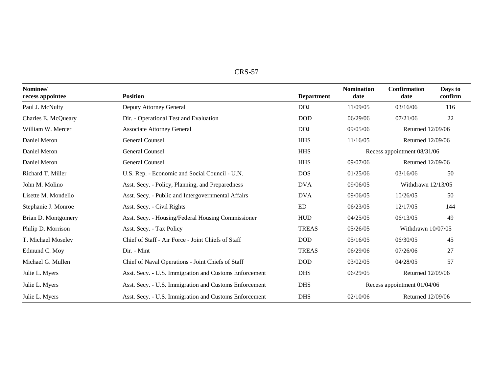| n,<br>. נ |  |
|-----------|--|
|-----------|--|

| Nominee/<br>recess appointee | <b>Position</b>                                        | <b>Department</b> | <b>Nomination</b><br>date   | <b>Confirmation</b><br>date | Days to<br>confirm |
|------------------------------|--------------------------------------------------------|-------------------|-----------------------------|-----------------------------|--------------------|
| Paul J. McNulty              | Deputy Attorney General                                | <b>DOJ</b>        | 11/09/05                    | 03/16/06                    | 116                |
| Charles E. McQueary          | Dir. - Operational Test and Evaluation                 | <b>DOD</b>        | 06/29/06                    | 07/21/06                    | 22                 |
| William W. Mercer            | <b>Associate Attorney General</b>                      | DOJ               | 09/05/06                    | Returned 12/09/06           |                    |
| Daniel Meron                 | General Counsel                                        | <b>HHS</b>        | 11/16/05                    | Returned 12/09/06           |                    |
| Daniel Meron                 | General Counsel                                        | <b>HHS</b>        |                             | Recess appointment 08/31/06 |                    |
| Daniel Meron                 | General Counsel                                        | <b>HHS</b>        | 09/07/06                    | Returned 12/09/06           |                    |
| Richard T. Miller            | U.S. Rep. - Economic and Social Council - U.N.         | <b>DOS</b>        | 01/25/06                    | 03/16/06                    | 50                 |
| John M. Molino               | Asst. Secy. - Policy, Planning, and Preparedness       | <b>DVA</b>        | 09/06/05                    | Withdrawn $12/13/05$        |                    |
| Lisette M. Mondello          | Asst. Secy. - Public and Intergovernmental Affairs     | <b>DVA</b>        | 09/06/05                    | 10/26/05                    | 50                 |
| Stephanie J. Monroe          | Asst. Secy. - Civil Rights                             | <b>ED</b>         | 06/23/05                    | 12/17/05                    | 144                |
| Brian D. Montgomery          | Asst. Secy. - Housing/Federal Housing Commissioner     | <b>HUD</b>        | 04/25/05                    | 06/13/05                    | 49                 |
| Philip D. Morrison           | Asst. Secy. - Tax Policy                               | <b>TREAS</b>      | 05/26/05                    | Withdrawn 10/07/05          |                    |
| T. Michael Moseley           | Chief of Staff - Air Force - Joint Chiefs of Staff     | <b>DOD</b>        | 05/16/05                    | 06/30/05                    | 45                 |
| Edmund C. Moy                | Dir. - Mint                                            | <b>TREAS</b>      | 06/29/06                    | 07/26/06                    | 27                 |
| Michael G. Mullen            | Chief of Naval Operations - Joint Chiefs of Staff      | <b>DOD</b>        | 03/02/05                    | 04/28/05                    | 57                 |
| Julie L. Myers               | Asst. Secy. - U.S. Immigration and Customs Enforcement | <b>DHS</b>        | 06/29/05                    | Returned 12/09/06           |                    |
| Julie L. Myers               | Asst. Secy. - U.S. Immigration and Customs Enforcement | <b>DHS</b>        | Recess appointment 01/04/06 |                             |                    |
| Julie L. Myers               | Asst. Secy. - U.S. Immigration and Customs Enforcement | <b>DHS</b>        | 02/10/06                    | Returned 12/09/06           |                    |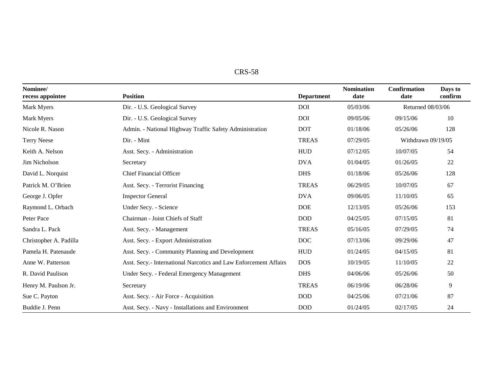| CRS-.<br>. .<br>ാറ |
|--------------------|
|--------------------|

| Nominee/<br>recess appointee | <b>Position</b>                                                  | <b>Department</b> | <b>Nomination</b><br>date | Confirmation<br>date | Days to<br>confirm |
|------------------------------|------------------------------------------------------------------|-------------------|---------------------------|----------------------|--------------------|
| Mark Myers                   | Dir. - U.S. Geological Survey                                    | <b>DOI</b>        | 05/03/06                  | Returned 08/03/06    |                    |
| Mark Myers                   | Dir. - U.S. Geological Survey                                    | <b>DOI</b>        | 09/05/06                  | 09/15/06             | 10                 |
| Nicole R. Nason              | Admin. - National Highway Traffic Safety Administration          | <b>DOT</b>        | 01/18/06                  | 05/26/06             | 128                |
| <b>Terry Neese</b>           | Dir. - Mint                                                      | <b>TREAS</b>      | 07/29/05                  | Withdrawn 09/19/05   |                    |
| Keith A. Nelson              | Asst. Secy. - Administration                                     | <b>HUD</b>        | 07/12/05                  | 10/07/05             | 54                 |
| Jim Nicholson                | Secretary                                                        | <b>DVA</b>        | 01/04/05                  | 01/26/05             | 22                 |
| David L. Norquist            | <b>Chief Financial Officer</b>                                   | <b>DHS</b>        | 01/18/06                  | 05/26/06             | 128                |
| Patrick M. O'Brien           | Asst. Secy. - Terrorist Financing                                | <b>TREAS</b>      | 06/29/05                  | 10/07/05             | 67                 |
| George J. Opfer              | <b>Inspector General</b>                                         | <b>DVA</b>        | 09/06/05                  | 11/10/05             | 65                 |
| Raymond L. Orbach            | Under Secy. - Science                                            | <b>DOE</b>        | 12/13/05                  | 05/26/06             | 153                |
| Peter Pace                   | Chairman - Joint Chiefs of Staff                                 | <b>DOD</b>        | 04/25/05                  | 07/15/05             | 81                 |
| Sandra L. Pack               | Asst. Secy. - Management                                         | <b>TREAS</b>      | 05/16/05                  | 07/29/05             | 74                 |
| Christopher A. Padilla       | Asst. Secy. - Export Administration                              | <b>DOC</b>        | 07/13/06                  | 09/29/06             | 47                 |
| Pamela H. Patenaude          | Asst. Secy. - Community Planning and Development                 | <b>HUD</b>        | 01/24/05                  | 04/15/05             | 81                 |
| Anne W. Patterson            | Asst. Secy.- International Narcotics and Law Enforcement Affairs | <b>DOS</b>        | 10/19/05                  | 11/10/05             | 22                 |
| R. David Paulison            | Under Secy. - Federal Emergency Management                       | <b>DHS</b>        | 04/06/06                  | 05/26/06             | 50                 |
| Henry M. Paulson Jr.         | Secretary                                                        | <b>TREAS</b>      | 06/19/06                  | 06/28/06             | 9                  |
| Sue C. Payton                | Asst. Secy. - Air Force - Acquisition                            | <b>DOD</b>        | 04/25/06                  | 07/21/06             | 87                 |
| Buddie J. Penn               | Asst. Secy. - Navy - Installations and Environment               | $\rm{DOD}$        | 01/24/05                  | 02/17/05             | 24                 |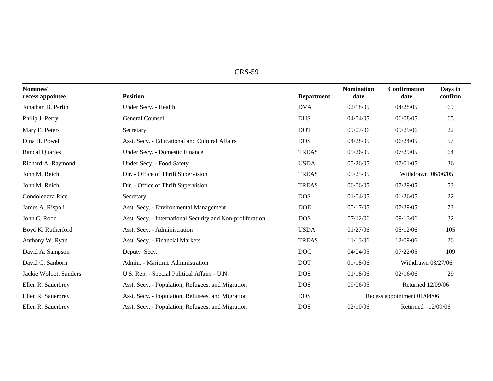| DС<br>AJ. |
|-----------|
|-----------|

| Nominee/<br>recess appointee | <b>Position</b>                                            | <b>Department</b> | <b>Nomination</b><br>date | <b>Confirmation</b><br>date | Days to<br>confirm |
|------------------------------|------------------------------------------------------------|-------------------|---------------------------|-----------------------------|--------------------|
| Jonathan B. Perlin           | Under Secy. - Health                                       | <b>DVA</b>        | 02/18/05                  | 04/28/05                    | 69                 |
| Philip J. Perry              | General Counsel                                            | <b>DHS</b>        | 04/04/05                  | 06/08/05                    | 65                 |
| Mary E. Peters               | Secretary                                                  | <b>DOT</b>        | 09/07/06                  | 09/29/06                    | 22                 |
| Dina H. Powell               | Asst. Secy. - Educational and Cultural Affairs             | <b>DOS</b>        | 04/28/05                  | 06/24/05                    | 57                 |
| <b>Randal Quarles</b>        | Under Secy. - Domestic Finance                             | <b>TREAS</b>      | 05/26/05                  | 07/29/05                    | 64                 |
| Richard A. Raymond           | Under Secy. - Food Safety                                  | <b>USDA</b>       | 05/26/05                  | 07/01/05                    | 36                 |
| John M. Reich                | Dir. - Office of Thrift Supervision                        | <b>TREAS</b>      | 05/25/05                  | Withdrawn 06/06/05          |                    |
| John M. Reich                | Dir. - Office of Thrift Supervision                        | <b>TREAS</b>      | 06/06/05                  | 07/29/05                    | 53                 |
| Condoleezza Rice             | Secretary                                                  | <b>DOS</b>        | 01/04/05                  | 01/26/05                    | 22                 |
| James A. Rispoli             | Asst. Secy. - Environmental Management                     | <b>DOE</b>        | 05/17/05                  | 07/29/05                    | 73                 |
| John C. Rood                 | Asst. Secy. - International Security and Non-proliferation | <b>DOS</b>        | 07/12/06                  | 09/13/06                    | 32                 |
| Boyd K. Rutherford           | Asst. Secy. - Administration                               | <b>USDA</b>       | 01/27/06                  | 05/12/06                    | 105                |
| Anthony W. Ryan              | Asst. Secy. - Financial Markets                            | <b>TREAS</b>      | 11/13/06                  | 12/09/06                    | 26                 |
| David A. Sampson             | Deputy Secy.                                               | <b>DOC</b>        | 04/04/05                  | 07/22/05                    | 109                |
| David C. Sanborn             | Admin. - Maritime Administration                           | <b>DOT</b>        | 01/18/06                  | Withdrawn 03/27/06          |                    |
| Jackie Wolcott Sanders       | U.S. Rep. - Special Political Affairs - U.N.               | <b>DOS</b>        | 01/18/06                  | 02/16/06                    | 29                 |
| Ellen R. Sauerbrey           | Asst. Secy. - Population, Refugees, and Migration          | <b>DOS</b>        | 09/06/05                  | Returned 12/09/06           |                    |
| Ellen R. Sauerbrey           | Asst. Secy. - Population, Refugees, and Migration          | <b>DOS</b>        |                           | Recess appointment 01/04/06 |                    |
| Ellen R. Sauerbrey           | Asst. Secy. - Population, Refugees, and Migration          | <b>DOS</b>        | 02/10/06                  | Returned 12/09/06           |                    |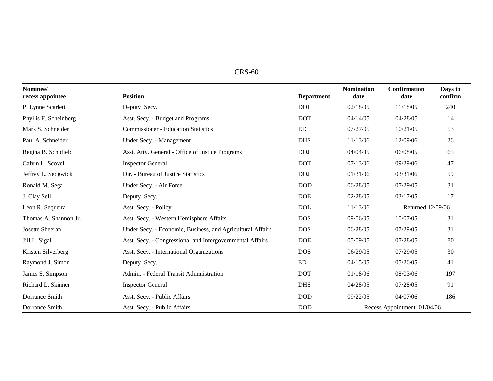| $CRS-60$ |  |
|----------|--|
|----------|--|

| Nominee/<br>recess appointee | <b>Position</b>                                            | <b>Department</b> | <b>Nomination</b><br>date   | <b>Confirmation</b><br>date | Days to<br>confirm |
|------------------------------|------------------------------------------------------------|-------------------|-----------------------------|-----------------------------|--------------------|
| P. Lynne Scarlett            | Deputy Secy.                                               | <b>DOI</b>        | 02/18/05                    | 11/18/05                    | 240                |
| Phyllis F. Scheinberg        | Asst. Secy. - Budget and Programs                          | <b>DOT</b>        | 04/14/05                    | 04/28/05                    | 14                 |
| Mark S. Schneider            | <b>Commissioner - Education Statistics</b>                 | ED                | 07/27/05                    | 10/21/05                    | 53                 |
| Paul A. Schneider            | Under Secy. - Management                                   | <b>DHS</b>        | 11/13/06                    | 12/09/06                    | 26                 |
| Regina B. Schofield          | Asst. Atty. General - Office of Justice Programs           | <b>DOJ</b>        | 04/04/05                    | 06/08/05                    | 65                 |
| Calvin L. Scovel             | <b>Inspector General</b>                                   | <b>DOT</b>        | 07/13/06                    | 09/29/06                    | 47                 |
| Jeffrey L. Sedgwick          | Dir. - Bureau of Justice Statistics                        | <b>DOJ</b>        | 01/31/06                    | 03/31/06                    | 59                 |
| Ronald M. Sega               | Under Secy. - Air Force                                    | <b>DOD</b>        | 06/28/05                    | 07/29/05                    | 31                 |
| J. Clay Sell                 | Deputy Secy.                                               | <b>DOE</b>        | 02/28/05                    | 03/17/05                    | 17                 |
| Leon R. Sequeira             | Asst. Secy. - Policy                                       | <b>DOL</b>        | 11/13/06                    | Returned 12/09/06           |                    |
| Thomas A. Shannon Jr.        | Asst. Secy. - Western Hemisphere Affairs                   | <b>DOS</b>        | 09/06/05                    | 10/07/05                    | 31                 |
| Josette Sheeran              | Under Secy. - Economic, Business, and Agricultural Affairs | <b>DOS</b>        | 06/28/05                    | 07/29/05                    | 31                 |
| Jill L. Sigal                | Asst. Secy. - Congressional and Intergovernmental Affairs  | <b>DOE</b>        | 05/09/05                    | 07/28/05                    | 80                 |
| Kristen Silverberg           | Asst. Secy. - International Organizations                  | <b>DOS</b>        | 06/29/05                    | 07/29/05                    | 30                 |
| Raymond J. Simon             | Deputy Secy.                                               | ED                | 04/15/05                    | 05/26/05                    | 41                 |
| James S. Simpson             | Admin. - Federal Transit Administration                    | <b>DOT</b>        | 01/18/06                    | 08/03/06                    | 197                |
| Richard L. Skinner           | <b>Inspector General</b>                                   | <b>DHS</b>        | 04/28/05                    | 07/28/05                    | 91                 |
| Dorrance Smith               | Asst. Secy. - Public Affairs                               | <b>DOD</b>        | 09/22/05                    | 04/07/06                    | 186                |
| Dorrance Smith               | Asst. Secy. - Public Affairs                               | $\rm{DOD}$        | Recess Appointment 01/04/06 |                             |                    |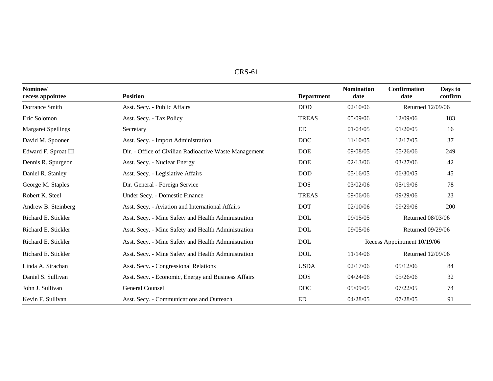| 'D C<br>-61<br>K2- |  |
|--------------------|--|
|--------------------|--|

| Nominee/<br>recess appointee | <b>Position</b>                                        | <b>Department</b> | <b>Nomination</b><br>date | <b>Confirmation</b><br>date | Days to<br>confirm |
|------------------------------|--------------------------------------------------------|-------------------|---------------------------|-----------------------------|--------------------|
| Dorrance Smith               | Asst. Secy. - Public Affairs                           | <b>DOD</b>        | 02/10/06                  | Returned 12/09/06           |                    |
| Eric Solomon                 | Asst. Secy. - Tax Policy                               | <b>TREAS</b>      | 05/09/06                  | 12/09/06                    | 183                |
| <b>Margaret Spellings</b>    | Secretary                                              | ED                | 01/04/05                  | 01/20/05                    | 16                 |
| David M. Spooner             | Asst. Secy. - Import Administration                    | <b>DOC</b>        | 11/10/05                  | 12/17/05                    | 37                 |
| Edward F. Sproat III         | Dir. - Office of Civilian Radioactive Waste Management | <b>DOE</b>        | 09/08/05                  | 05/26/06                    | 249                |
| Dennis R. Spurgeon           | Asst. Secy. - Nuclear Energy                           | <b>DOE</b>        | 02/13/06                  | 03/27/06                    | 42                 |
| Daniel R. Stanley            | Asst. Secy. - Legislative Affairs                      | <b>DOD</b>        | 05/16/05                  | 06/30/05                    | 45                 |
| George M. Staples            | Dir. General - Foreign Service                         | <b>DOS</b>        | 03/02/06                  | 05/19/06                    | 78                 |
| Robert K. Steel              | Under Secy. - Domestic Finance                         | <b>TREAS</b>      | 09/06/06                  | 09/29/06                    | 23                 |
| Andrew B. Steinberg          | Asst. Secy. - Aviation and International Affairs       | <b>DOT</b>        | 02/10/06                  | 09/29/06                    | 200                |
| Richard E. Stickler          | Asst. Secy. - Mine Safety and Health Administration    | <b>DOL</b>        | 09/15/05                  | Returned 08/03/06           |                    |
| Richard E. Stickler          | Asst. Secy. - Mine Safety and Health Administration    | <b>DOL</b>        | 09/05/06                  | Returned 09/29/06           |                    |
| Richard E. Stickler          | Asst. Secy. - Mine Safety and Health Administration    | <b>DOL</b>        |                           | Recess Appointment 10/19/06 |                    |
| Richard E. Stickler          | Asst. Secy. - Mine Safety and Health Administration    | <b>DOL</b>        | 11/14/06                  | Returned 12/09/06           |                    |
| Linda A. Strachan            | Asst. Secy. - Congressional Relations                  | <b>USDA</b>       | 02/17/06                  | 05/12/06                    | 84                 |
| Daniel S. Sullivan           | Asst. Secy. - Economic, Energy and Business Affairs    | <b>DOS</b>        | 04/24/06                  | 05/26/06                    | 32                 |
| John J. Sullivan             | General Counsel                                        | <b>DOC</b>        | 05/09/05                  | 07/22/05                    | 74                 |
| Kevin F. Sullivan            | Asst. Secy. - Communications and Outreach              | ED                | 04/28/05                  | 07/28/05                    | 91                 |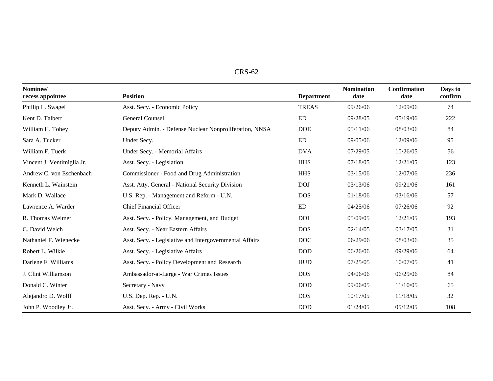| Nominee/<br>recess appointee | <b>Position</b>                                         | <b>Department</b> | <b>Nomination</b><br>date | <b>Confirmation</b><br>date | Days to<br>confirm |
|------------------------------|---------------------------------------------------------|-------------------|---------------------------|-----------------------------|--------------------|
| Phillip L. Swagel            | Asst. Secy. - Economic Policy                           | <b>TREAS</b>      | 09/26/06                  | 12/09/06                    | 74                 |
| Kent D. Talbert              | General Counsel                                         | <b>ED</b>         | 09/28/05                  | 05/19/06                    | 222                |
| William H. Tobey             | Deputy Admin. - Defense Nuclear Nonproliferation, NNSA  | <b>DOE</b>        | 05/11/06                  | 08/03/06                    | 84                 |
| Sara A. Tucker               | Under Secy.                                             | <b>ED</b>         | 09/05/06                  | 12/09/06                    | 95                 |
| William F. Tuerk             | Under Secy. - Memorial Affairs                          | <b>DVA</b>        | 07/29/05                  | 10/26/05                    | 56                 |
| Vincent J. Ventimiglia Jr.   | Asst. Secy. - Legislation                               | <b>HHS</b>        | 07/18/05                  | 12/21/05                    | 123                |
| Andrew C. von Eschenbach     | Commissioner - Food and Drug Administration             | <b>HHS</b>        | 03/15/06                  | 12/07/06                    | 236                |
| Kenneth L. Wainstein         | Asst. Atty. General - National Security Division        | <b>DOJ</b>        | 03/13/06                  | 09/21/06                    | 161                |
| Mark D. Wallace              | U.S. Rep. - Management and Reform - U.N.                | <b>DOS</b>        | 01/18/06                  | 03/16/06                    | 57                 |
| Lawrence A. Warder           | <b>Chief Financial Officer</b>                          | <b>ED</b>         | 04/25/06                  | 07/26/06                    | 92                 |
| R. Thomas Weimer             | Asst. Secy. - Policy, Management, and Budget            | <b>DOI</b>        | 05/09/05                  | 12/21/05                    | 193                |
| C. David Welch               | Asst. Secy. - Near Eastern Affairs                      | <b>DOS</b>        | 02/14/05                  | 03/17/05                    | 31                 |
| Nathaniel F. Wienecke        | Asst. Secy. - Legislative and Intergovernmental Affairs | <b>DOC</b>        | 06/29/06                  | 08/03/06                    | 35                 |
| Robert L. Wilkie             | Asst. Secy. - Legislative Affairs                       | <b>DOD</b>        | 06/26/06                  | 09/29/06                    | 64                 |
| Darlene F. Williams          | Asst. Secy. - Policy Development and Research           | <b>HUD</b>        | 07/25/05                  | 10/07/05                    | 41                 |
| J. Clint Williamson          | Ambassador-at-Large - War Crimes Issues                 | <b>DOS</b>        | 04/06/06                  | 06/29/06                    | 84                 |
| Donald C. Winter             | Secretary - Navy                                        | <b>DOD</b>        | 09/06/05                  | 11/10/05                    | 65                 |
| Alejandro D. Wolff           | U.S. Dep. Rep. - U.N.                                   | <b>DOS</b>        | 10/17/05                  | 11/18/05                    | 32                 |
| John P. Woodley Jr.          | Asst. Secy. - Army - Civil Works                        | <b>DOD</b>        | 01/24/05                  | 05/12/05                    | 108                |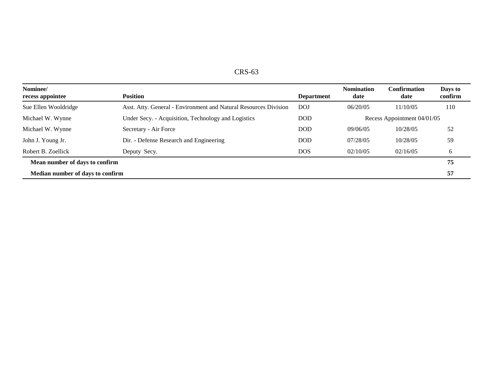| CRS-63 |  |
|--------|--|
|--------|--|

| Nominee/<br>recess appointee     | <b>Position</b>                                                  | <b>Department</b> | <b>Nomination</b><br>date   | Confirmation<br>date | Days to<br>confirm |
|----------------------------------|------------------------------------------------------------------|-------------------|-----------------------------|----------------------|--------------------|
| Sue Ellen Wooldridge             | Asst. Atty. General - Environment and Natural Resources Division | <b>DOJ</b>        | 06/20/05                    | 11/10/05             | 110                |
| Michael W. Wynne                 | Under Secy. - Acquisition, Technology and Logistics              | DOD               | Recess Appointment 04/01/05 |                      |                    |
| Michael W. Wynne                 | Secretary - Air Force                                            | <b>DOD</b>        | 09/06/05                    | 10/28/05             | 52                 |
| John J. Young Jr.                | Dir. - Defense Research and Engineering                          | DOD               | 07/28/05                    | 10/28/05             | 59                 |
| Robert B. Zoellick               | Deputy Secy.                                                     | <b>DOS</b>        | 02/10/05                    | 02/16/05             | 6                  |
| Mean number of days to confirm   |                                                                  |                   |                             |                      |                    |
| Median number of days to confirm |                                                                  |                   |                             |                      | 57                 |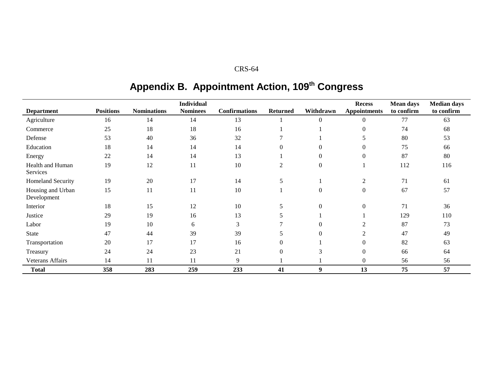# **Appendix B. Appointment Action, 109th Congress**

| <b>Department</b>                | <b>Positions</b> | <b>Nominations</b> | <b>Individual</b><br><b>Nominees</b> | <b>Confirmations</b> | <b>Returned</b> | Withdrawn        | <b>Recess</b><br><b>Appointments</b> | <b>Mean days</b><br>to confirm | <b>Median days</b><br>to confirm |
|----------------------------------|------------------|--------------------|--------------------------------------|----------------------|-----------------|------------------|--------------------------------------|--------------------------------|----------------------------------|
| Agriculture                      | 16               | 14                 | 14                                   | 13                   |                 | $\boldsymbol{0}$ | $\theta$                             | 77                             | 63                               |
| Commerce                         | 25               | 18                 | 18                                   | 16                   |                 |                  | $\theta$                             | 74                             | 68                               |
| Defense                          | 53               | 40                 | 36                                   | 32                   |                 |                  | 5                                    | 80                             | 53                               |
| Education                        | 18               | 14                 | 14                                   | 14                   | $\Omega$        | $\Omega$         | $\Omega$                             | 75                             | 66                               |
| Energy                           | 22               | 14                 | 14                                   | 13                   |                 | $\overline{0}$   | $\overline{0}$                       | 87                             | 80                               |
| Health and Human<br>Services     | 19               | 12                 | 11                                   | 10                   | $\overline{c}$  | $\boldsymbol{0}$ |                                      | 112                            | 116                              |
| <b>Homeland Security</b>         | 19               | 20                 | 17                                   | 14                   | 5               |                  | $\mathfrak{2}$                       | 71                             | 61                               |
| Housing and Urban<br>Development | 15               | 11                 | 11                                   | 10                   |                 | $\mathbf{0}$     | $\theta$                             | 67                             | 57                               |
| Interior                         | 18               | 15                 | 12                                   | 10                   | 5               | $\overline{0}$   | $\overline{0}$                       | 71                             | 36                               |
| Justice                          | 29               | 19                 | 16                                   | 13                   | 5               |                  |                                      | 129                            | 110                              |
| Labor                            | 19               | 10                 | 6                                    | 3                    |                 | $\overline{0}$   | 2                                    | 87                             | 73                               |
| <b>State</b>                     | 47               | 44                 | 39                                   | 39                   | 5               | $\overline{0}$   | 2                                    | 47                             | 49                               |
| Transportation                   | 20               | 17                 | 17                                   | 16                   | 0               |                  | $\Omega$                             | 82                             | 63                               |
| Treasury                         | 24               | 24                 | 23                                   | 21                   | $\theta$        | 3                | $\Omega$                             | 66                             | 64                               |
| Veterans Affairs                 | 14               | 11                 | 11                                   | 9                    |                 |                  | $\theta$                             | 56                             | 56                               |
| <b>Total</b>                     | 358              | 283                | 259                                  | 233                  | 41              | 9                | 13                                   | 75                             | 57                               |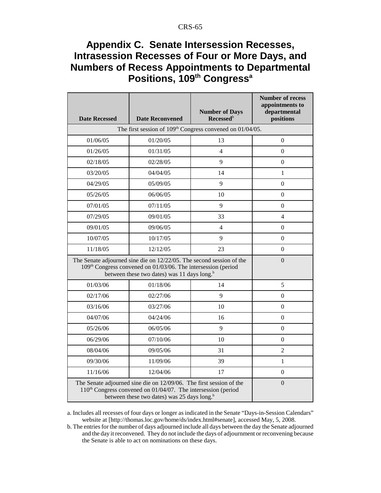# **Appendix C. Senate Intersession Recesses, Intrasession Recesses of Four or More Days, and Numbers of Recess Appointments to Departmental** Positions, 109<sup>th</sup> Congress<sup>a</sup>

| <b>Date Recessed</b>                                                                                                                                                                                        | <b>Date Reconvened</b> | <b>Number of Days</b><br>Recessed <sup>b</sup> | <b>Number of recess</b><br>appointments to<br>departmental<br>positions |
|-------------------------------------------------------------------------------------------------------------------------------------------------------------------------------------------------------------|------------------------|------------------------------------------------|-------------------------------------------------------------------------|
| The first session of $109th$ Congress convened on $01/04/05$ .                                                                                                                                              |                        |                                                |                                                                         |
| 01/06/05                                                                                                                                                                                                    | 01/20/05               | 13                                             | $\Omega$                                                                |
| 01/26/05                                                                                                                                                                                                    | 01/31/05               | $\overline{4}$                                 | $\Omega$                                                                |
| 02/18/05                                                                                                                                                                                                    | 02/28/05               | 9                                              | $\overline{0}$                                                          |
| 03/20/05                                                                                                                                                                                                    | 04/04/05               | 14                                             | 1                                                                       |
| 04/29/05                                                                                                                                                                                                    | 05/09/05               | 9                                              | $\Omega$                                                                |
| 05/26/05                                                                                                                                                                                                    | 06/06/05               | 10                                             | $\overline{0}$                                                          |
| 07/01/05                                                                                                                                                                                                    | 07/11/05               | 9                                              | $\Omega$                                                                |
| 07/29/05                                                                                                                                                                                                    | 09/01/05               | 33                                             | $\overline{4}$                                                          |
| 09/01/05                                                                                                                                                                                                    | 09/06/05               | 4                                              | $\Omega$                                                                |
| 10/07/05                                                                                                                                                                                                    | 10/17/05               | 9                                              | $\Omega$                                                                |
| 11/18/05                                                                                                                                                                                                    | 12/12/05               | 23                                             | $\overline{0}$                                                          |
| The Senate adjourned sine die on 12/22/05. The second session of the<br>109th Congress convened on 01/03/06. The intersession (period<br>between these two dates) was 11 days long. <sup>b</sup>            | $\Omega$               |                                                |                                                                         |
| 01/03/06                                                                                                                                                                                                    | 01/18/06               | 14                                             | 5                                                                       |
| 02/17/06                                                                                                                                                                                                    | 02/27/06               | 9                                              | $\Omega$                                                                |
| 03/16/06                                                                                                                                                                                                    | 03/27/06               | 10                                             | $\Omega$                                                                |
| 04/07/06                                                                                                                                                                                                    | 04/24/06               | 16                                             | $\overline{0}$                                                          |
| 05/26/06                                                                                                                                                                                                    | 06/05/06               | 9                                              | $\Omega$                                                                |
| 06/29/06                                                                                                                                                                                                    | 07/10/06               | 10                                             | $\overline{0}$                                                          |
| 08/04/06                                                                                                                                                                                                    | 09/05/06               | 31                                             | $\mathfrak{D}$                                                          |
| 09/30/06                                                                                                                                                                                                    | 11/09/06               | 39                                             | $\mathbf{1}$                                                            |
| 11/16/06                                                                                                                                                                                                    | 12/04/06               | 17                                             | $\Omega$                                                                |
| The Senate adjourned sine die on 12/09/06. The first session of the<br>110 <sup>th</sup> Congress convened on 01/04/07. The intersession (period<br>between these two dates) was 25 days long. <sup>b</sup> | $\theta$               |                                                |                                                                         |

a. Includes all recesses of four days or longer as indicated in the Senate "Days-in-Session Calendars" website at [http://thomas.loc.gov/home/ds/index.html#senate], accessed May, 5, 2008.

b. The entries for the number of days adjourned include all days between the day the Senate adjourned and the day it reconvened. They do not include the days of adjournment or reconvening because the Senate is able to act on nominations on these days.